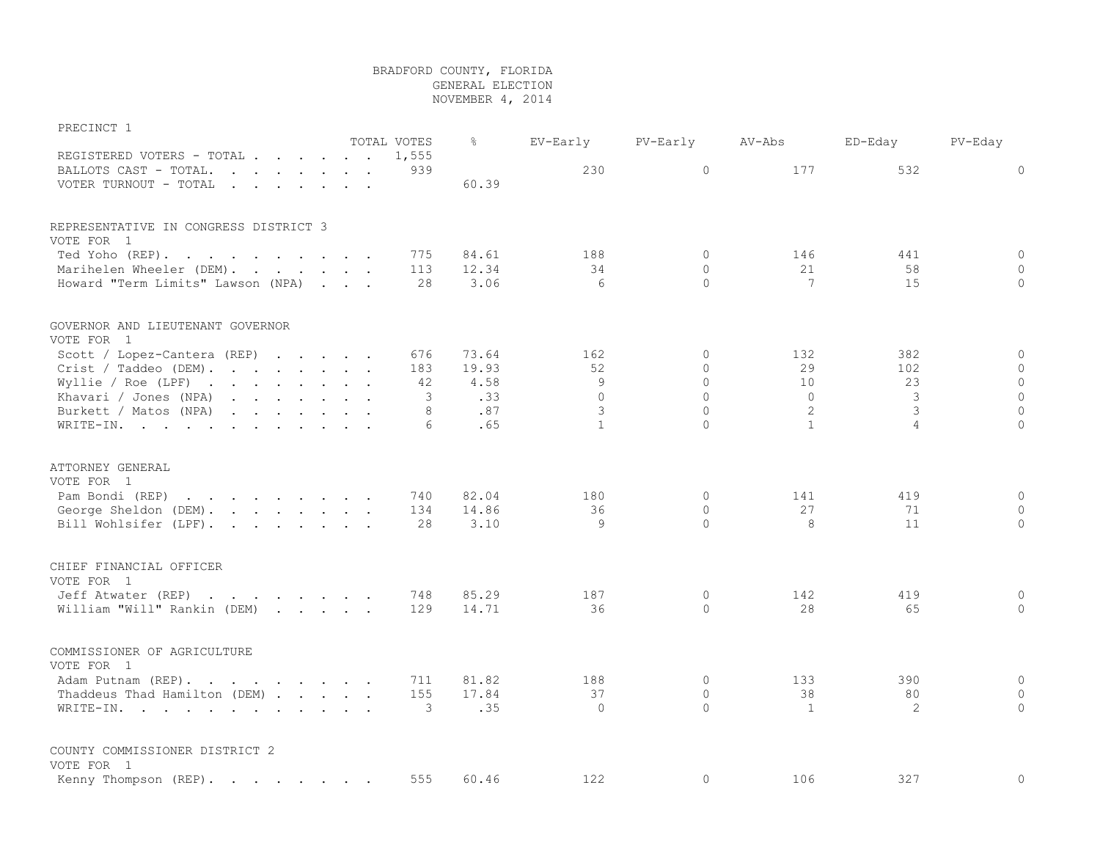## BRADFORD COUNTY, FLORIDA GENERAL ELECTION NOVEMBER 4, 2014

## PRECINCT 1

|                                                                                                                                                                                                                                                            |  |  | TOTAL VOTES | &     | EV-Early       | PV-Early     | AV-Abs       | ED-Eday        | $PV-Eday$    |
|------------------------------------------------------------------------------------------------------------------------------------------------------------------------------------------------------------------------------------------------------------|--|--|-------------|-------|----------------|--------------|--------------|----------------|--------------|
| REGISTERED VOTERS - TOTAL                                                                                                                                                                                                                                  |  |  | 1,555       |       |                |              |              |                |              |
| BALLOTS CAST - TOTAL.<br>$\mathbf{r}$ , $\mathbf{r}$ , $\mathbf{r}$ , $\mathbf{r}$ , $\mathbf{r}$ , $\mathbf{r}$                                                                                                                                           |  |  | 939         |       | 230            | $\circ$      | 177          | 532            | $\circ$      |
| VOTER TURNOUT - TOTAL                                                                                                                                                                                                                                      |  |  |             | 60.39 |                |              |              |                |              |
|                                                                                                                                                                                                                                                            |  |  |             |       |                |              |              |                |              |
| REPRESENTATIVE IN CONGRESS DISTRICT 3<br>VOTE FOR 1                                                                                                                                                                                                        |  |  |             |       |                |              |              |                |              |
| Ted Yoho (REP).                                                                                                                                                                                                                                            |  |  | 775         | 84.61 | 188            | $\Omega$     | 146          | 441            | $\circ$      |
| Marihelen Wheeler (DEM).                                                                                                                                                                                                                                   |  |  | 113         | 12.34 | 34             | $\Omega$     | 21           | 58             | $\Omega$     |
| Howard "Term Limits" Lawson (NPA)                                                                                                                                                                                                                          |  |  | 28          | 3.06  | 6              | $\circ$      | 7            | 15             | $\mathbf{0}$ |
|                                                                                                                                                                                                                                                            |  |  |             |       |                |              |              |                |              |
| GOVERNOR AND LIEUTENANT GOVERNOR                                                                                                                                                                                                                           |  |  |             |       |                |              |              |                |              |
| VOTE FOR 1                                                                                                                                                                                                                                                 |  |  |             |       |                |              |              |                |              |
| Scott / Lopez-Cantera (REP)                                                                                                                                                                                                                                |  |  | 676         | 73.64 | 162            | 0            | 132          | 382            | $\circ$      |
| Crist / Taddeo (DEM).                                                                                                                                                                                                                                      |  |  | 183         | 19.93 | 52             | $\Omega$     | 29           | 102            | $\circ$      |
| Wyllie / Roe (LPF) $\cdot \cdot \cdot \cdot \cdot \cdot \cdot \cdot$                                                                                                                                                                                       |  |  | 42          | 4.58  | $\overline{9}$ | $\Omega$     | 10           | 23             | $\mathbf{0}$ |
| Khavari / Jones (NPA)<br>$\mathbf{r}$ . The set of the set of the set of the set of the set of the set of the set of the set of the set of the set of the set of the set of the set of the set of the set of the set of the set of the set of the set of t |  |  | 3           | .33   | $\circ$        | $\mathbf{0}$ | $\circ$      | 3              | $\circ$      |
| Burkett / Matos (NPA)                                                                                                                                                                                                                                      |  |  | 8           | .87   | 3              | $\Omega$     | 2            | 3              | $\mathbf{0}$ |
| WRITE-IN.                                                                                                                                                                                                                                                  |  |  | 6           | .65   | $\mathbf{1}$   | $\Omega$     | $\mathbf{1}$ | $\overline{4}$ | $\Omega$     |
| ATTORNEY GENERAL<br>VOTE FOR 1                                                                                                                                                                                                                             |  |  |             |       |                |              |              |                |              |
| Pam Bondi (REP)<br>the contract of the contract of the contract of the contract of the contract of the contract of the contract of                                                                                                                         |  |  | 740         | 82.04 | 180            | $\mathbf{0}$ | 141          | 419            | $\mathbf 0$  |
| George Sheldon (DEM).                                                                                                                                                                                                                                      |  |  | 134         | 14.86 | 36             | $\mathbf{0}$ | 27           | 71             | $\circ$      |
| Bill Wohlsifer (LPF).                                                                                                                                                                                                                                      |  |  | 28          | 3.10  | 9              | $\Omega$     | 8            | 11             | $\circ$      |
| CHIEF FINANCIAL OFFICER<br>VOTE FOR 1                                                                                                                                                                                                                      |  |  |             |       |                |              |              |                |              |
| Jeff Atwater (REP)                                                                                                                                                                                                                                         |  |  | 748         | 85.29 | 187            | $\circ$      | 142          | 419            | $\mathbf 0$  |
| William "Will" Rankin (DEM)                                                                                                                                                                                                                                |  |  | 129         | 14.71 | 36             | $\Omega$     | 28           | 65             | $\mathbf{0}$ |
| COMMISSIONER OF AGRICULTURE                                                                                                                                                                                                                                |  |  |             |       |                |              |              |                |              |
| VOTE FOR 1                                                                                                                                                                                                                                                 |  |  |             |       |                |              |              |                |              |
| Adam Putnam (REP).                                                                                                                                                                                                                                         |  |  | 711         | 81.82 | 188            | $\Omega$     | 133          | 390            | $\mathbf{0}$ |
| Thaddeus Thad Hamilton (DEM)                                                                                                                                                                                                                               |  |  | 155         | 17.84 | 37             | $\Omega$     | 38           | 80             | $\mathbf{0}$ |
| WRITE-IN.                                                                                                                                                                                                                                                  |  |  | 3           | .35   | $\Omega$       | $\Omega$     | 1            | 2              | $\Omega$     |
| COUNTY COMMISSIONER DISTRICT 2<br>VOTE FOR 1                                                                                                                                                                                                               |  |  |             |       |                |              |              |                |              |
| Kenny Thompson (REP).                                                                                                                                                                                                                                      |  |  | 555         | 60.46 | 122            | $\mathbf 0$  | 106          | 327            | $\mathbf{0}$ |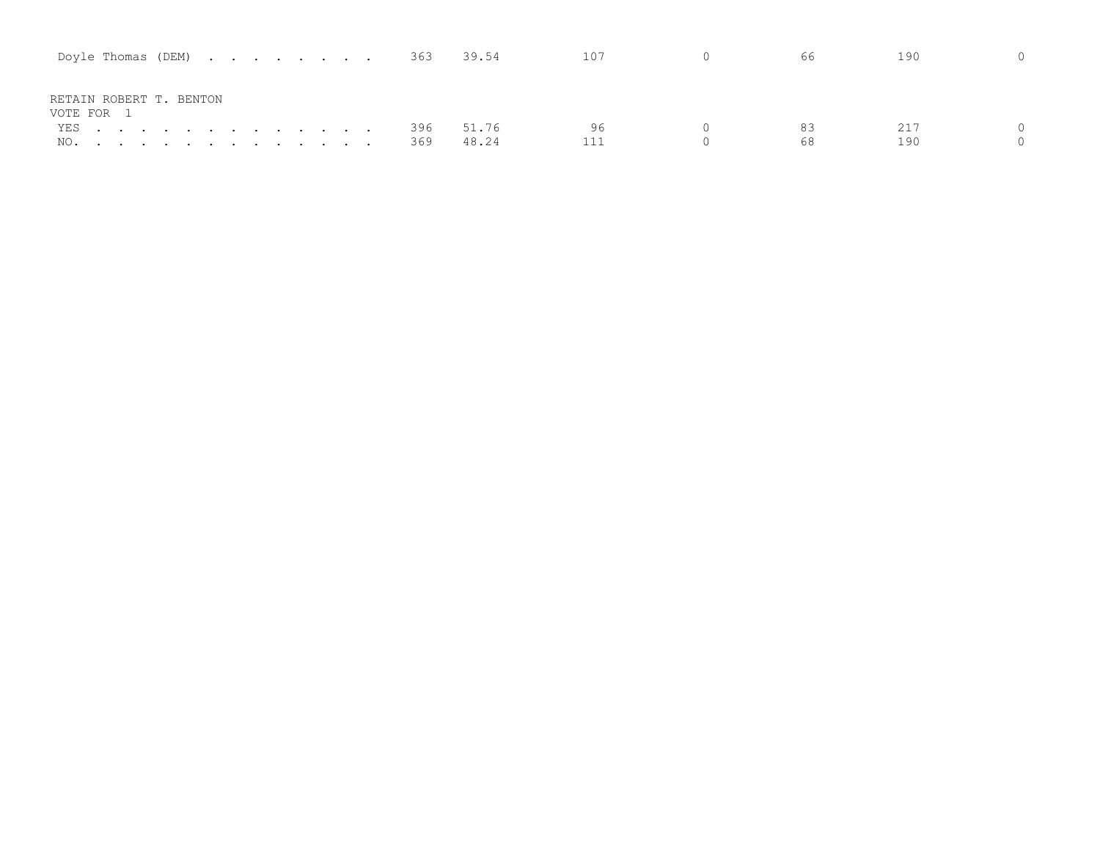| Doyle Thomas (DEM) $\cdot \cdot \cdot \cdot \cdot \cdot \cdot \cdot \cdot 363$ 39.54 |       | 107       | $\overline{0}$ | 66.      | 190        |
|--------------------------------------------------------------------------------------|-------|-----------|----------------|----------|------------|
| RETAIN ROBERT T. BENTON<br>VOTE FOR 1                                                |       |           |                |          |            |
| YES 396 51.76<br>NO. 369                                                             | 48.24 | ୨ଟ<br>111 |                | 83<br>68 | 217<br>190 |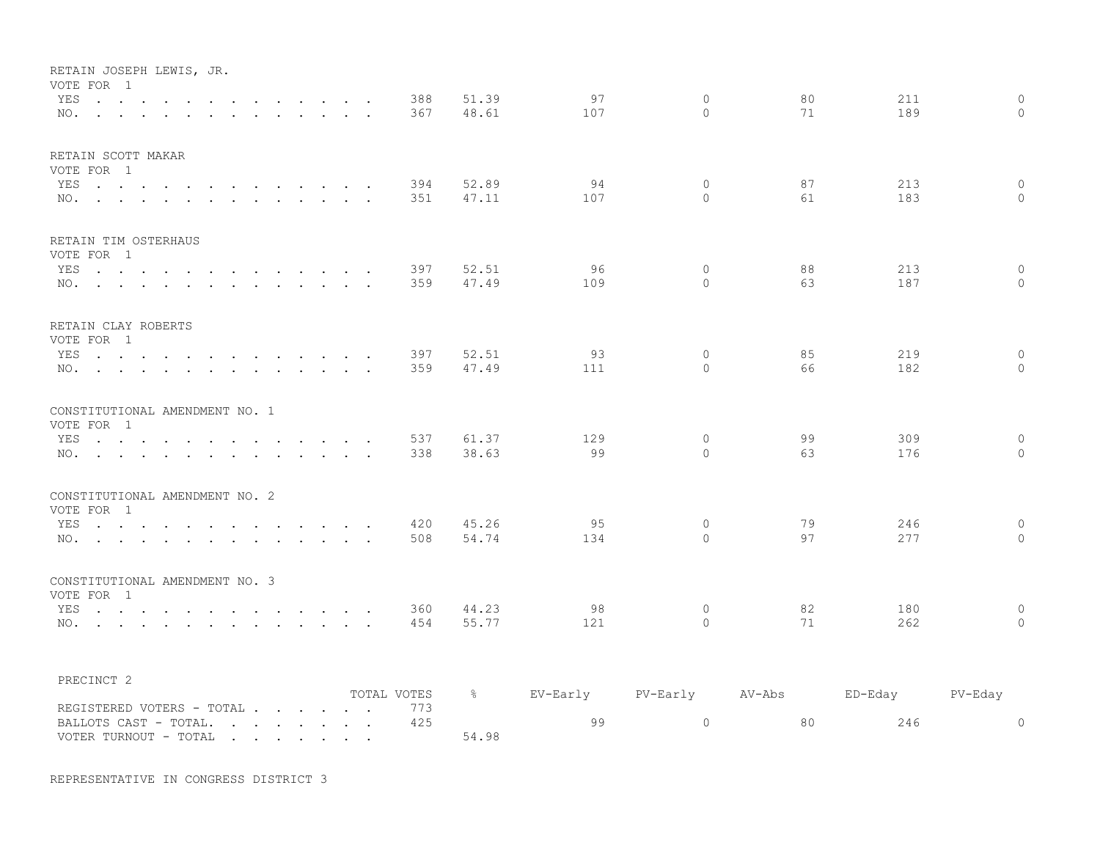| RETAIN JOSEPH LEWIS, JR.<br>VOTE FOR 1<br>YES<br>$\mathbf{r}$ , $\mathbf{r}$ , $\mathbf{r}$ , $\mathbf{r}$ , $\mathbf{r}$ , $\mathbf{r}$<br>NO.                                                                                                                                              | $\sim$<br>$\ddot{\phantom{a}}$   | 388<br>367  | 51.39<br>48.61 | 97<br>107 | $\mathbf{0}$<br>$\Omega$ | 80<br>71 | 211<br>189 | $\mathsf{O}$<br>$\Omega$ |
|----------------------------------------------------------------------------------------------------------------------------------------------------------------------------------------------------------------------------------------------------------------------------------------------|----------------------------------|-------------|----------------|-----------|--------------------------|----------|------------|--------------------------|
| RETAIN SCOTT MAKAR<br>VOTE FOR 1<br>YES<br>NO.                                                                                                                                                                                                                                               |                                  | 394<br>351  | 52.89<br>47.11 | 94<br>107 | $\mathbf 0$<br>$\Omega$  | 87<br>61 | 213<br>183 | $\circ$<br>$\circ$       |
| RETAIN TIM OSTERHAUS<br>VOTE FOR 1<br>YES<br>$\mathbf{r}$ , and $\mathbf{r}$ , and $\mathbf{r}$ , and $\mathbf{r}$<br>NO.<br>$\sim$<br>$\cdot$ $\cdot$ $\cdot$                                                                                                                               | $\sim$ $\sim$                    | 397<br>359  | 52.51<br>47.49 | 96<br>109 | $\Omega$<br>$\Omega$     | 88<br>63 | 213<br>187 | $\circ$<br>$\Omega$      |
| RETAIN CLAY ROBERTS<br>VOTE FOR 1<br>YES<br>NO.                                                                                                                                                                                                                                              |                                  | 397<br>359  | 52.51<br>47.49 | 93<br>111 | $\mathbf{0}$<br>$\Omega$ | 85<br>66 | 219<br>182 | $\circ$<br>$\Omega$      |
| CONSTITUTIONAL AMENDMENT NO. 1<br>VOTE FOR 1<br>YES<br>and the contract of the contract of the contract of the contract of the contract of the contract of the contract of the contract of the contract of the contract of the contract of the contract of the contract of the contra<br>NO. |                                  | 537<br>338  | 61.37<br>38.63 | 129<br>99 | $\circ$<br>$\Omega$      | 99<br>63 | 309<br>176 | $\circ$<br>$\mathbf{0}$  |
| CONSTITUTIONAL AMENDMENT NO. 2<br>VOTE FOR 1<br>YES<br>$\sim$ $\sim$ $\sim$ $\sim$ $\sim$<br>NO.                                                                                                                                                                                             | $\sim$ $\sim$                    | 420<br>508  | 45.26<br>54.74 | 95<br>134 | $\mathbf{0}$<br>$\Omega$ | 79<br>97 | 246<br>277 | $\circ$<br>$\circ$       |
| CONSTITUTIONAL AMENDMENT NO. 3<br>VOTE FOR 1<br>YES<br>$\sim$ $\sim$ $\sim$<br>$\sim$ $\sim$<br>NO.                                                                                                                                                                                          | $\sim$ $\sim$<br>$\cdot$ $\cdot$ | 360<br>454  | 44.23<br>55.77 | 98<br>121 | $\mathbf{0}$<br>$\Omega$ | 82<br>71 | 180<br>262 | $\mathbf 0$<br>$\Omega$  |
| PRECINCT <sub>2</sub>                                                                                                                                                                                                                                                                        |                                  | TOTAL VOTES | $\frac{6}{6}$  | EV-Early  | PV-Early                 | AV-Abs   | ED-Eday    | PV-Eday                  |
| REGISTERED VOTERS - TOTAL<br>BALLOTS CAST - TOTAL.<br>$\mathbf{r} = \mathbf{r} + \mathbf{r} + \mathbf{r} + \mathbf{r} + \mathbf{r} + \mathbf{r} + \mathbf{r}$<br>VOTER TURNOUT - TOTAL<br>$\mathbf{r}$ , and $\mathbf{r}$ , and $\mathbf{r}$ , and $\mathbf{r}$                              |                                  | 773<br>425  | 54.98          | 99        | $\circ$                  | 80       | 246        | $\circ$                  |

REPRESENTATIVE IN CONGRESS DISTRICT 3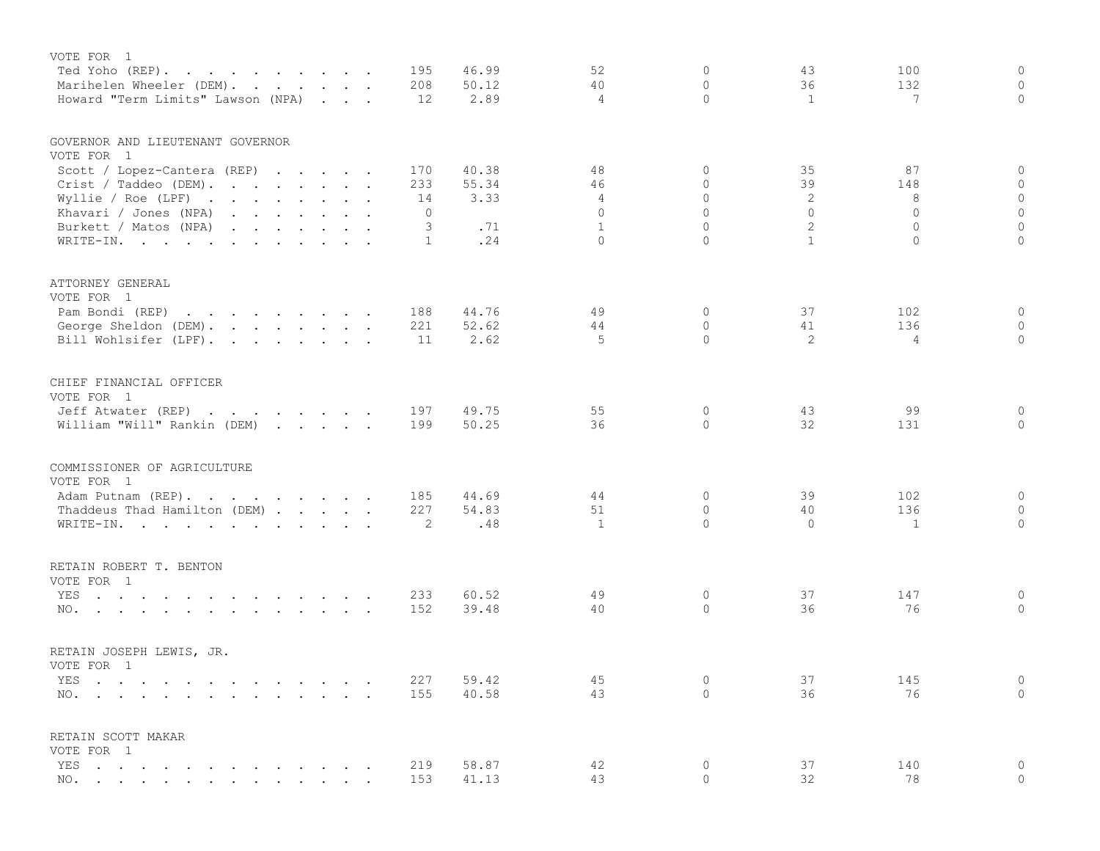| VOTE FOR 1<br>Ted Yoho (REP).<br>Marihelen Wheeler (DEM).                                                              |  |  | 195<br>208 | 46.99<br>50.12 | 52<br>40                 | 0<br>$\circ$        | 43<br>36                     | 100<br>132          | $\mathbf 0$<br>$\circ$ |
|------------------------------------------------------------------------------------------------------------------------|--|--|------------|----------------|--------------------------|---------------------|------------------------------|---------------------|------------------------|
| Howard "Term Limits" Lawson (NPA)                                                                                      |  |  | 12         | 2.89           | 4                        | $\Omega$            | 1                            | 7                   | $\circ$                |
| GOVERNOR AND LIEUTENANT GOVERNOR<br>VOTE FOR 1                                                                         |  |  |            |                |                          |                     |                              |                     |                        |
| Scott / Lopez-Cantera (REP)                                                                                            |  |  | 170        | 40.38          | 48                       | 0                   | 35                           | 87                  | 0                      |
| Crist / Taddeo (DEM).                                                                                                  |  |  | 233        | 55.34          | 46                       | $\Omega$            | 39                           | 148                 | $\circ$                |
| Wyllie / Roe (LPF) $\cdot \cdot \cdot \cdot \cdot \cdot \cdot$                                                         |  |  | 14         | 3.33           | 4                        | $\Omega$            | 2                            | 8                   | $\circ$                |
| Khavari / Jones (NPA)                                                                                                  |  |  | 0          |                | $\Omega$                 | $\Omega$            | $\Omega$                     | $\Omega$            | $\circ$                |
| Burkett / Matos (NPA)                                                                                                  |  |  | 3          | .71            | $\mathbf{1}$<br>$\Omega$ | $\circ$<br>$\Omega$ | $\mathbf{2}$<br>$\mathbf{1}$ | $\circ$<br>$\Omega$ | $\circ$<br>$\circ$     |
| WRITE-IN.                                                                                                              |  |  | 1          | .24            |                          |                     |                              |                     |                        |
| ATTORNEY GENERAL<br>VOTE FOR 1                                                                                         |  |  |            |                |                          |                     |                              |                     |                        |
| Pam Bondi (REP)                                                                                                        |  |  | 188        | 44.76          | 49                       | 0                   | 37                           | 102                 | $\circ$                |
| George Sheldon (DEM).                                                                                                  |  |  | 221        | 52.62          | 44                       | $\Omega$            | 41                           | 136                 | $\mathbf{0}$           |
| Bill Wohlsifer (LPF).                                                                                                  |  |  | 11         | 2.62           | 5                        | $\Omega$            | 2                            | $\overline{4}$      | $\circ$                |
| CHIEF FINANCIAL OFFICER                                                                                                |  |  |            |                |                          |                     |                              |                     |                        |
| VOTE FOR 1                                                                                                             |  |  |            |                |                          |                     |                              |                     |                        |
| Jeff Atwater (REP)                                                                                                     |  |  | 197        | 49.75          | 55                       | 0                   | 43                           | 99                  | $\circ$                |
| William "Will" Rankin (DEM)                                                                                            |  |  | 199        | 50.25          | 36                       | $\Omega$            | 32                           | 131                 | $\circ$                |
| COMMISSIONER OF AGRICULTURE                                                                                            |  |  |            |                |                          |                     |                              |                     |                        |
| VOTE FOR 1                                                                                                             |  |  |            |                |                          |                     |                              |                     |                        |
| Adam Putnam (REP).                                                                                                     |  |  | 185        | 44.69          | 44                       | 0                   | 39                           | 102                 | $\mathbf 0$            |
| Thaddeus Thad Hamilton (DEM)                                                                                           |  |  | 227        | 54.83          | 51                       | $\circ$             | 40                           | 136                 | $\mathbf{0}$           |
| WRITE-IN.                                                                                                              |  |  | 2          | .48            | $\mathbf{1}$             | $\Omega$            | $\Omega$                     | $\mathbf{1}$        | $\circ$                |
| RETAIN ROBERT T. BENTON                                                                                                |  |  |            |                |                          |                     |                              |                     |                        |
| VOTE FOR 1                                                                                                             |  |  |            |                |                          |                     |                              |                     |                        |
| the contract of the contract of the contract of the contract of the contract of the contract of the contract of<br>YES |  |  | 233        | 60.52          | 49<br>40                 | 0<br>$\circ$        | 37<br>36                     | 147<br>76           | $\mathbf 0$<br>$\circ$ |
| NO.                                                                                                                    |  |  | 152        | 39.48          |                          |                     |                              |                     |                        |
| RETAIN JOSEPH LEWIS, JR.                                                                                               |  |  |            |                |                          |                     |                              |                     |                        |
| VOTE FOR 1                                                                                                             |  |  |            |                |                          |                     |                              |                     |                        |
| YES                                                                                                                    |  |  | 227        | 59.42          | 45                       | $\Omega$            | 37                           | 145                 | $\circ$                |
| NO.                                                                                                                    |  |  | 155        | 40.58          | 43                       | $\Omega$            | 36                           | 76                  | $\overline{0}$         |
| RETAIN SCOTT MAKAR                                                                                                     |  |  |            |                |                          |                     |                              |                     |                        |
| VOTE FOR 1                                                                                                             |  |  |            |                |                          |                     |                              |                     |                        |
| YES                                                                                                                    |  |  | 219<br>153 | 58.87<br>41.13 | 42<br>43                 | 0<br>$\circ$        | 37<br>32                     | 140<br>78           | $\circ$<br>$\circ$     |
| NO.                                                                                                                    |  |  |            |                |                          |                     |                              |                     |                        |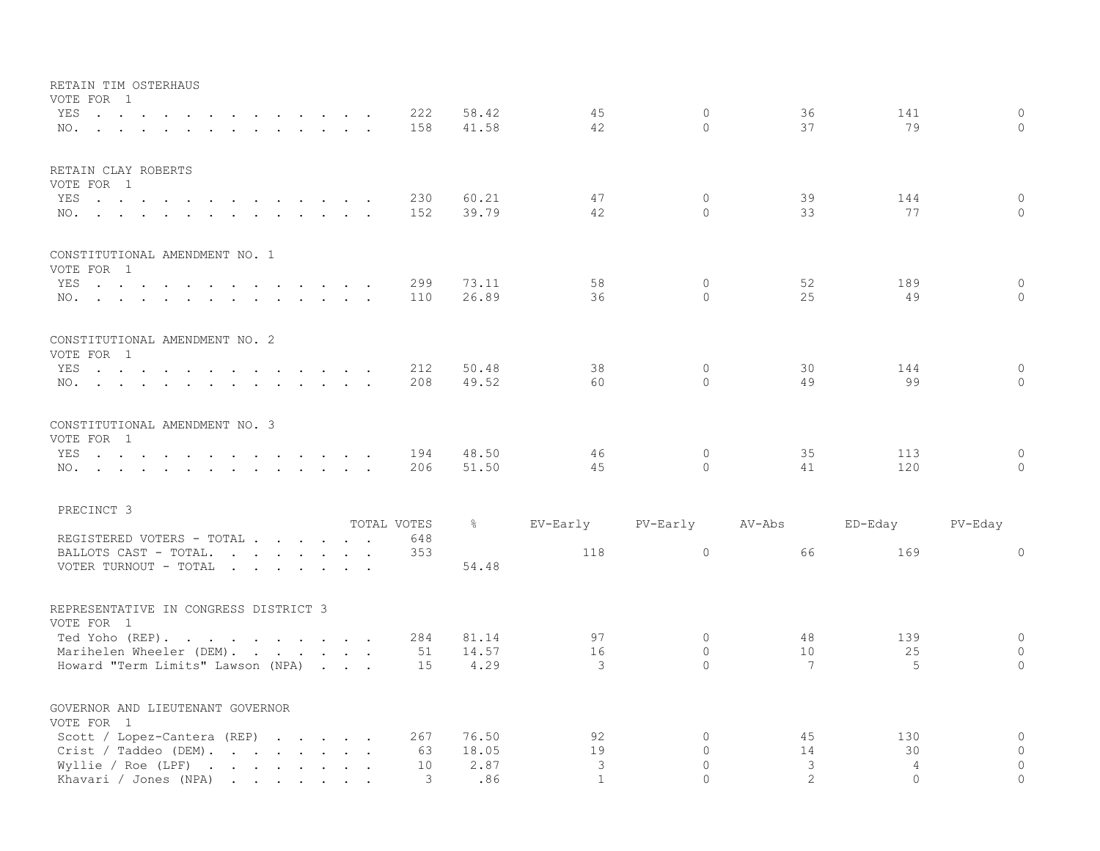| RETAIN TIM OSTERHAUS<br>VOTE FOR 1                             |             |               |              |              |                 |                |              |
|----------------------------------------------------------------|-------------|---------------|--------------|--------------|-----------------|----------------|--------------|
| YES.                                                           | 222         | 58.42         | 45           | $\mathbf{0}$ | 36              | 141            | $\mathbf{0}$ |
| NO.                                                            | 158         | 41.58         | 42           | $\Omega$     | 37              | 79             | $\Omega$     |
| RETAIN CLAY ROBERTS                                            |             |               |              |              |                 |                |              |
| VOTE FOR 1                                                     |             |               |              |              |                 |                |              |
| YES                                                            | 230         | 60.21         | 47           | $\mathbf 0$  | 39              | 144            | $\mathbf{0}$ |
| NO.                                                            | 152         | 39.79         | 42           | $\Omega$     | 33              | 77             | $\circ$      |
| CONSTITUTIONAL AMENDMENT NO. 1                                 |             |               |              |              |                 |                |              |
| VOTE FOR 1                                                     |             |               |              |              |                 |                |              |
| YES                                                            | 299         | 73.11         | 58           | $\mathbf 0$  | 52              | 189            | $\mathbf 0$  |
| NO.                                                            | 110         | 26.89         | 36           | $\Omega$     | 25              | 49             | $\Omega$     |
| CONSTITUTIONAL AMENDMENT NO. 2                                 |             |               |              |              |                 |                |              |
| VOTE FOR 1                                                     |             |               |              |              |                 |                |              |
| YES                                                            | 212         | 50.48         | 38           | $\Omega$     | 30              | 144            | $\mathbf{0}$ |
| NO.                                                            | 208         | 49.52         | 60           | $\Omega$     | 49              | 99             | $\Omega$     |
| CONSTITUTIONAL AMENDMENT NO. 3                                 |             |               |              |              |                 |                |              |
| VOTE FOR 1                                                     |             |               |              |              |                 |                |              |
| YES                                                            | 194         | 48.50         | 46           | $\Omega$     | 35              | 113            | $\mathbf{0}$ |
| NO.                                                            | 206         | 51.50         | 45           | $\Omega$     | 41              | 120            | $\Omega$     |
| PRECINCT 3                                                     |             |               |              |              |                 |                |              |
|                                                                | TOTAL VOTES | $\frac{6}{6}$ | EV-Early     | PV-Early     | AV-Abs          | ED-Eday        | PV-Eday      |
| REGISTERED VOTERS - TOTAL                                      | 648         |               |              |              |                 |                |              |
| BALLOTS CAST - TOTAL.                                          | 353         |               | 118          | $\circ$      | 66              | 169            | $\Omega$     |
| VOTER TURNOUT - TOTAL                                          |             | 54.48         |              |              |                 |                |              |
| REPRESENTATIVE IN CONGRESS DISTRICT 3                          |             |               |              |              |                 |                |              |
| VOTE FOR 1                                                     |             |               |              |              |                 |                |              |
| Ted Yoho (REP).                                                | 284         | 81.14         | 97           | $\circ$      | 48              | 139            | $\mathbf{0}$ |
| Marihelen Wheeler (DEM).                                       | 51          | 14.57         | 16           | $\Omega$     | 10              | 25             | $\circ$      |
| Howard "Term Limits" Lawson (NPA)                              | 15          | 4.29          | 3            | $\Omega$     | $7\overline{ }$ | 5              | $\Omega$     |
| GOVERNOR AND LIEUTENANT GOVERNOR                               |             |               |              |              |                 |                |              |
| VOTE FOR 1                                                     |             |               |              |              |                 |                |              |
| Scott / Lopez-Cantera (REP) $\cdot \cdot \cdot \cdot$          | 267         | 76.50         | 92           | $\mathbf 0$  | 45              | 130            | $\circ$      |
| Crist / Taddeo (DEM).                                          | 63          | 18.05         | 19           | $\Omega$     | 14              | 30             | $\mathbf{0}$ |
| Wyllie / Roe (LPF) $\cdot \cdot \cdot \cdot \cdot \cdot \cdot$ | 10          | 2.87          | 3            | $\Omega$     | 3               | $\overline{4}$ | $\mathbf{0}$ |
| Khavari / Jones (NPA)                                          | 3           | .86           | $\mathbf{1}$ | $\cap$       | $\mathcal{L}$   | $\bigcap$      | $\Omega$     |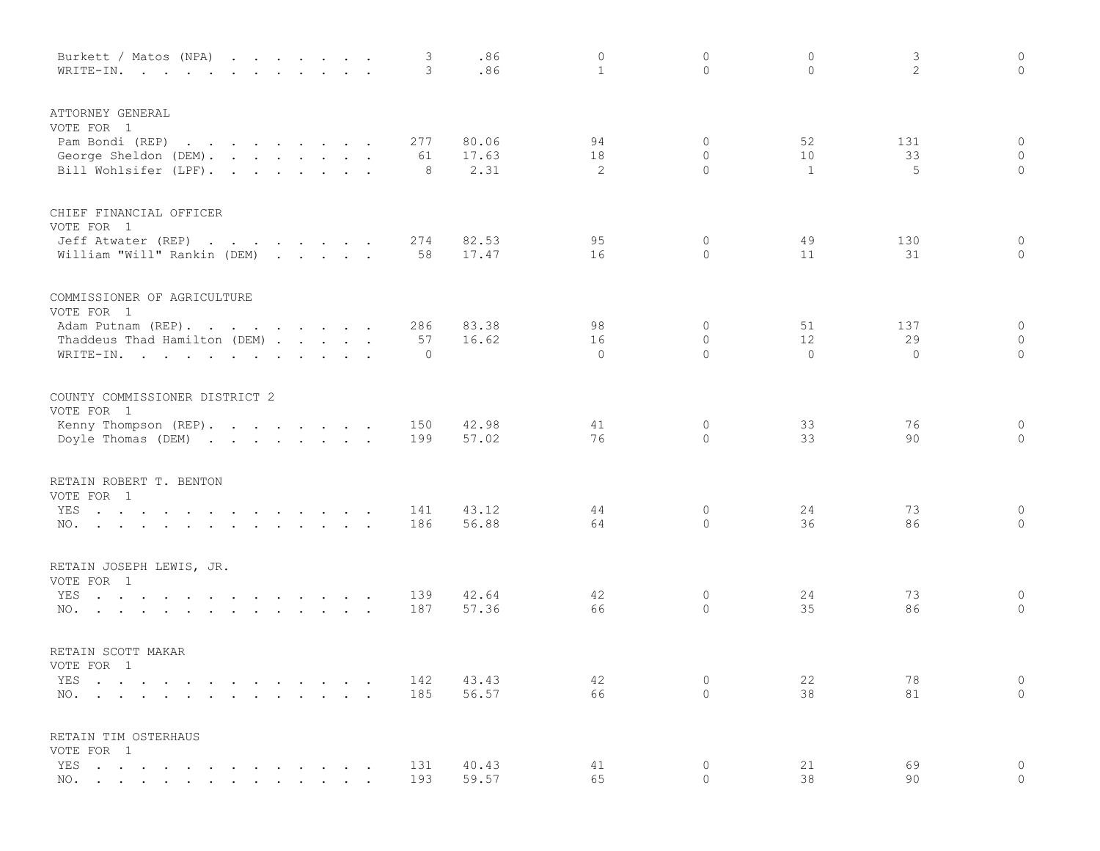| Burkett / Matos (NPA)<br>WRITE-IN.                                                                                           |                                 | $\cdot$ $\cdot$ | 3<br>3     | .86<br>.86     | 0<br>$\mathbf{1}$ | 0<br>$\mathbf{0}$            | $\circ$<br>$\circ$ | 3<br>2    | $\circ$<br>$\circ$        |
|------------------------------------------------------------------------------------------------------------------------------|---------------------------------|-----------------|------------|----------------|-------------------|------------------------------|--------------------|-----------|---------------------------|
| ATTORNEY GENERAL<br>VOTE FOR 1                                                                                               |                                 |                 |            |                |                   |                              |                    |           |                           |
| Pam Bondi (REP)<br>$\mathcal{A}$ . The second contribution of the second contribution $\mathcal{A}$<br>George Sheldon (DEM). |                                 |                 | 277<br>61  | 80.06<br>17.63 | 94<br>18          | $\mathbf{0}$<br>$\mathbf{0}$ | 52<br>10           | 131<br>33 | $\overline{0}$<br>$\circ$ |
| Bill Wohlsifer (LPF).                                                                                                        |                                 |                 | 8          | 2.31           | 2                 | $\Omega$                     | 1                  | 5         | $\circ$                   |
| CHIEF FINANCIAL OFFICER                                                                                                      |                                 |                 |            |                |                   |                              |                    |           |                           |
| VOTE FOR 1<br>Jeff Atwater (REP)<br>the contract of the contract of the contract of                                          |                                 |                 | 274        | 82.53          | 95                | $\mathbf{0}$                 | 49                 | 130       | $\circ$                   |
| William "Will" Rankin (DEM)                                                                                                  |                                 |                 | 58         | 17.47          | 16                | $\mathbf{0}$                 | 11                 | 31        | $\circ$                   |
| COMMISSIONER OF AGRICULTURE                                                                                                  |                                 |                 |            |                |                   |                              |                    |           |                           |
| VOTE FOR 1<br>Adam Putnam (REP).                                                                                             |                                 |                 | 286        | 83.38          | 98                | $\mathbf{0}$                 | 51                 | 137       | $\overline{0}$            |
| Thaddeus Thad Hamilton (DEM)                                                                                                 |                                 |                 | 57         | 16.62          | 16                | $\mathbf{0}$                 | 12                 | 29        | $\circ$                   |
| WRITE-IN.                                                                                                                    |                                 |                 | $\circ$    |                | $\mathbf{0}$      | $\Omega$                     | $\Omega$           | $\circ$   | $\circ$                   |
| COUNTY COMMISSIONER DISTRICT 2<br>VOTE FOR 1                                                                                 |                                 |                 |            |                |                   |                              |                    |           |                           |
| Kenny Thompson (REP).                                                                                                        |                                 |                 | 150        | 42.98          | 41                | 0                            | 33                 | 76        | $\overline{0}$            |
| Doyle Thomas (DEM)                                                                                                           |                                 |                 | 199        | 57.02          | 76                | $\Omega$                     | 33                 | 90        | $\circ$                   |
| RETAIN ROBERT T. BENTON<br>VOTE FOR 1                                                                                        |                                 |                 |            |                |                   |                              |                    |           |                           |
| YES                                                                                                                          |                                 |                 | 141        | 43.12          | 44                | 0                            | 24                 | 73        | $\circ$                   |
| NO.                                                                                                                          |                                 |                 | 186        | 56.88          | 64                | $\Omega$                     | 36                 | 86        | $\circ$                   |
| RETAIN JOSEPH LEWIS, JR.<br>VOTE FOR 1                                                                                       |                                 |                 |            |                |                   |                              |                    |           |                           |
| YES<br>the contract of the contract of the contract of the                                                                   |                                 |                 | 139        | 42.64          | 42                | $\circ$                      | 24                 | 73        | $\circ$                   |
| NO.<br>the contract of the contract of the contract of the contract of the contract of the contract of the contract of       |                                 |                 | 187        | 57.36          | 66                | $\circ$                      | 35                 | 86        | $\circ$                   |
| RETAIN SCOTT MAKAR                                                                                                           |                                 |                 |            |                |                   |                              |                    |           |                           |
| VOTE FOR 1                                                                                                                   |                                 |                 |            |                |                   |                              |                    |           |                           |
| YES<br>NO.                                                                                                                   | <b>Contract Contract Street</b> | $\sim$ $\sim$   | 142<br>185 | 43.43<br>56.57 | 42<br>66          | 0<br>$\Omega$                | 22<br>38           | 78<br>81  | $\circ$<br>$\circ$        |
| RETAIN TIM OSTERHAUS                                                                                                         |                                 |                 |            |                |                   |                              |                    |           |                           |
| VOTE FOR 1                                                                                                                   |                                 |                 |            |                |                   |                              |                    |           |                           |
| YES<br>NO. .                                                                                                                 |                                 |                 | 131<br>193 | 40.43<br>59.57 | 41<br>65          | $\circ$<br>0                 | 21<br>38           | 69<br>90  | 0<br>$\circ$              |
|                                                                                                                              |                                 |                 |            |                |                   |                              |                    |           |                           |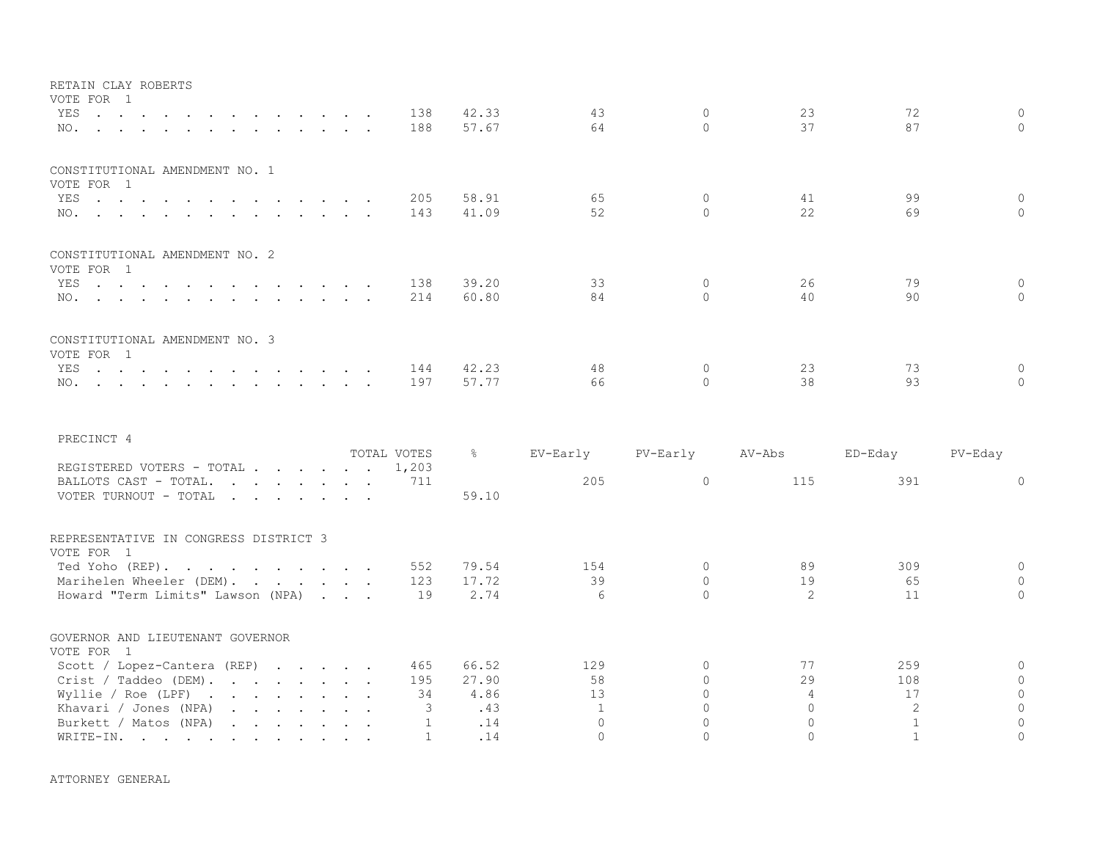| RETAIN CLAY ROBERTS                          |  |  |     |       |    |         |    |    |          |
|----------------------------------------------|--|--|-----|-------|----|---------|----|----|----------|
| VOTE FOR 1<br>YES 138                        |  |  |     | 42.33 | 43 | $\circ$ | 23 | 72 | $\Omega$ |
| NO.                                          |  |  | 188 | 57.67 | 64 |         | 37 | 87 |          |
| CONSTITUTIONAL AMENDMENT NO. 1               |  |  |     |       |    |         |    |    |          |
| VOTE FOR 1<br>YES 205                        |  |  |     | 58.91 | 65 |         | 41 | 99 | $\Omega$ |
| NO. 143                                      |  |  |     | 41.09 | 52 |         | 22 | 69 |          |
|                                              |  |  |     |       |    |         |    |    |          |
| CONSTITUTIONAL AMENDMENT NO. 2<br>VOTE FOR 1 |  |  |     |       |    |         |    |    |          |
| YES 138                                      |  |  |     | 39.20 | 33 |         | 26 | 79 |          |
| NO. 214                                      |  |  |     | 60.80 | 84 |         | 40 | 90 |          |
| CONSTITUTIONAL AMENDMENT NO. 3<br>VOTE FOR 1 |  |  |     |       |    |         |    |    |          |
| YES. 144                                     |  |  |     | 42.23 | 48 |         | 23 | 73 |          |
| NO.                                          |  |  | 197 | 57.77 | 66 |         | 38 | 93 |          |
|                                              |  |  |     |       |    |         |    |    |          |

| PRECINCT 4                                                                                                                                                                                                                                                                                                                                                                                                                                                                          |                      |               |          |          |                |         |          |
|-------------------------------------------------------------------------------------------------------------------------------------------------------------------------------------------------------------------------------------------------------------------------------------------------------------------------------------------------------------------------------------------------------------------------------------------------------------------------------------|----------------------|---------------|----------|----------|----------------|---------|----------|
| REGISTERED VOTERS - TOTAL                                                                                                                                                                                                                                                                                                                                                                                                                                                           | TOTAL VOTES<br>1,203 | $\frac{6}{6}$ | EV-Early | PV-Early | AV-Abs         | ED-Eday | PV-Eday  |
| BALLOTS CAST - TOTAL.<br>VOTER TURNOUT - TOTAL<br>$\mathbf{r} = \mathbf{r} + \mathbf{r} + \mathbf{r} + \mathbf{r} + \mathbf{r} + \mathbf{r} + \mathbf{r} + \mathbf{r}$                                                                                                                                                                                                                                                                                                              | 711                  | 59.10         | 205      |          | 115            | 391     | $\Omega$ |
| REPRESENTATIVE IN CONGRESS DISTRICT 3<br>VOTE FOR 1                                                                                                                                                                                                                                                                                                                                                                                                                                 |                      |               |          |          |                |         |          |
| Ted Yoho (REP).                                                                                                                                                                                                                                                                                                                                                                                                                                                                     | 552                  | 79.54         | 154      |          | 89             | 309     |          |
| Marihelen Wheeler (DEM).                                                                                                                                                                                                                                                                                                                                                                                                                                                            | 123                  | 17.72         | 39       |          | 19             | 65      |          |
| Howard "Term Limits" Lawson (NPA)                                                                                                                                                                                                                                                                                                                                                                                                                                                   | 19                   | 2.74          | 6        |          | $\overline{2}$ | 11      | $\Omega$ |
| GOVERNOR AND LIEUTENANT GOVERNOR<br>VOTE FOR 1                                                                                                                                                                                                                                                                                                                                                                                                                                      |                      |               |          |          |                |         |          |
| Scott / Lopez-Cantera (REP) $\cdot \cdot \cdot \cdot$                                                                                                                                                                                                                                                                                                                                                                                                                               | 465                  | 66.52         | 129      |          | 77             | 259     | $\Omega$ |
|                                                                                                                                                                                                                                                                                                                                                                                                                                                                                     | 195                  | 27.90         | 58       |          | 29             | 108     | $\Omega$ |
| Crist / Taddeo (DEM).                                                                                                                                                                                                                                                                                                                                                                                                                                                               |                      |               |          |          |                |         | $\cap$   |
| Wyllie / Roe (LPF)<br>the contract of the contract of the contract of the contract of the contract of the contract of the contract of                                                                                                                                                                                                                                                                                                                                               | 34                   | 4.86          | 13       |          | 4              | 17      |          |
| Khavari / Jones (NPA)<br>$\mathbf{1} \qquad \mathbf{1} \qquad \mathbf{1} \qquad \mathbf{1} \qquad \mathbf{1} \qquad \mathbf{1} \qquad \mathbf{1} \qquad \mathbf{1} \qquad \mathbf{1} \qquad \mathbf{1} \qquad \mathbf{1} \qquad \mathbf{1} \qquad \mathbf{1} \qquad \mathbf{1} \qquad \mathbf{1} \qquad \mathbf{1} \qquad \mathbf{1} \qquad \mathbf{1} \qquad \mathbf{1} \qquad \mathbf{1} \qquad \mathbf{1} \qquad \mathbf{1} \qquad \mathbf{1} \qquad \mathbf{1} \qquad \mathbf{$ |                      | .43           |          |          |                |         |          |
| Burkett / Matos (NPA)                                                                                                                                                                                                                                                                                                                                                                                                                                                               |                      | .14           |          |          |                |         |          |
| WRITE-IN.<br>the contract of the contract of the contract of the contract of the contract of the contract of the contract of                                                                                                                                                                                                                                                                                                                                                        |                      | .14           |          |          |                |         |          |

ATTORNEY GENERAL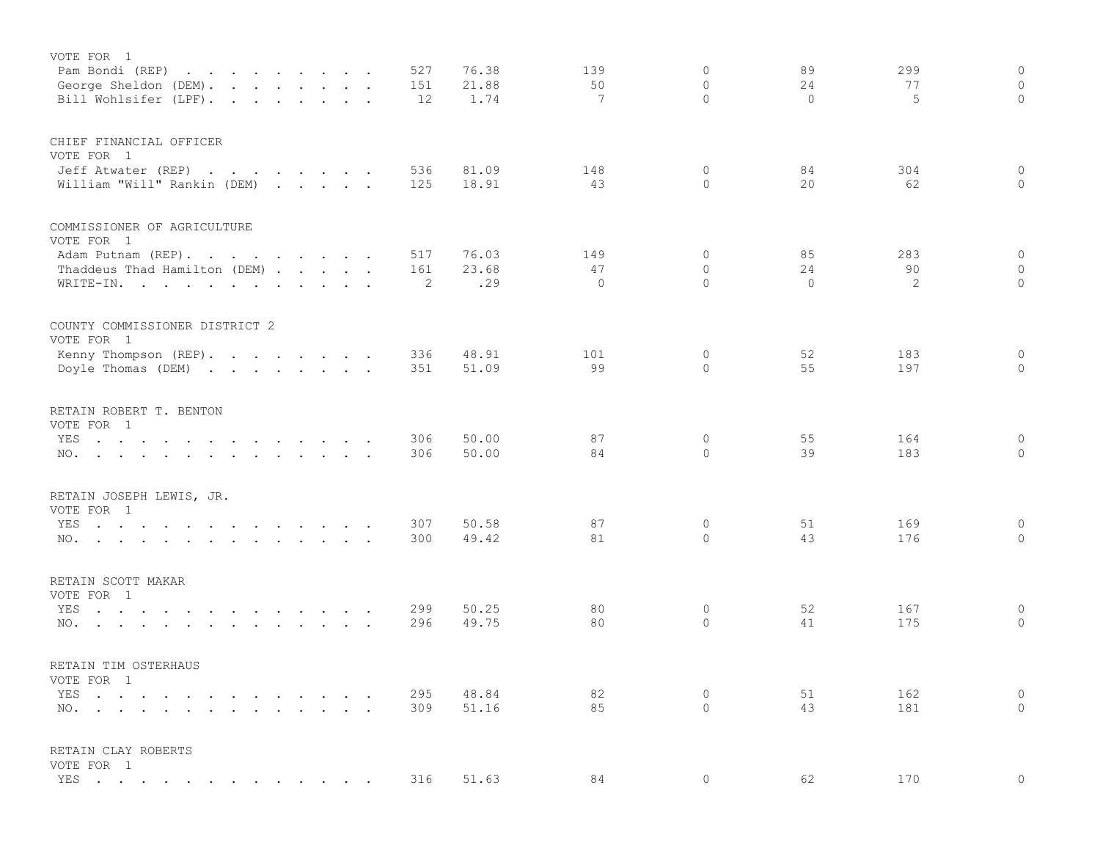| VOTE FOR 1                                                                                                                            |            | 76.38          | 139             | 0             | 89       | 299        | $\circ$             |
|---------------------------------------------------------------------------------------------------------------------------------------|------------|----------------|-----------------|---------------|----------|------------|---------------------|
| Pam Bondi (REP)<br>the contract of the contract of the<br>George Sheldon (DEM).                                                       | 527<br>151 | 21.88          | 50              | $\mathbf{0}$  | 24       | 77         | $\circ$             |
| Bill Wohlsifer (LPF).                                                                                                                 | 12         | 1.74           | $7\phantom{.0}$ | $\Omega$      | $\Omega$ | 5          | $\circ$             |
|                                                                                                                                       |            |                |                 |               |          |            |                     |
| CHIEF FINANCIAL OFFICER                                                                                                               |            |                |                 |               |          |            |                     |
| VOTE FOR 1                                                                                                                            |            |                |                 |               |          |            |                     |
| Jeff Atwater (REP)<br>the contract of the contract of the contract of the contract of the contract of the contract of the contract of | 536        | 81.09          | 148             | 0             | 84       | 304        | $\circ$             |
| William "Will" Rankin (DEM)                                                                                                           | 125        | 18.91          | 43              | $\Omega$      | 20       | 62         | $\circ$             |
| COMMISSIONER OF AGRICULTURE                                                                                                           |            |                |                 |               |          |            |                     |
| VOTE FOR 1                                                                                                                            |            |                |                 |               |          |            |                     |
| Adam Putnam (REP).                                                                                                                    | 517        | 76.03          | 149             | 0             | 85       | 283        | $\mathsf{O}\xspace$ |
| Thaddeus Thad Hamilton (DEM)                                                                                                          | 161        | 23.68          | 47              | $\circ$       | 24       | 90         | $\circ$             |
| WRITE-IN.                                                                                                                             | 2          | .29            | $\Omega$        | $\Omega$      | $\Omega$ | 2          | $\circ$             |
| COUNTY COMMISSIONER DISTRICT 2                                                                                                        |            |                |                 |               |          |            |                     |
| VOTE FOR 1                                                                                                                            |            |                |                 |               |          |            |                     |
| Kenny Thompson (REP).                                                                                                                 | 336        | 48.91          | 101             | 0             | 52       | 183        | 0                   |
| Doyle Thomas (DEM)                                                                                                                    | 351        | 51.09          | 99              | $\Omega$      | 55       | 197        | $\circ$             |
|                                                                                                                                       |            |                |                 |               |          |            |                     |
| RETAIN ROBERT T. BENTON                                                                                                               |            |                |                 |               |          |            |                     |
| VOTE FOR 1                                                                                                                            |            |                |                 |               |          |            |                     |
| YES<br>the contract of the contract of the contract of the contract of the contract of the contract of the contract of                | 306<br>306 | 50.00<br>50.00 | 87<br>84        | 0<br>$\Omega$ | 55<br>39 | 164<br>183 | 0<br>$\Omega$       |
| NO.                                                                                                                                   |            |                |                 |               |          |            |                     |
| RETAIN JOSEPH LEWIS, JR.                                                                                                              |            |                |                 |               |          |            |                     |
| VOTE FOR 1                                                                                                                            |            |                |                 |               |          |            |                     |
| YES                                                                                                                                   | 307        | 50.58          | 87              | 0             | 51       | 169        | $\circ$             |
| NO.                                                                                                                                   | 300        | 49.42          | 81              | $\Omega$      | 43       | 176        | $\circ$             |
| RETAIN SCOTT MAKAR                                                                                                                    |            |                |                 |               |          |            |                     |
| VOTE FOR 1                                                                                                                            |            |                |                 |               |          |            |                     |
| YES<br>the contract of the contract of the contract of the contract of the contract of the contract of the contract of                | 299        | 50.25          | 80              | $\circ$       | 52       | 167        | $\circ$             |
| NO.                                                                                                                                   | 296        | 49.75          | 80              | 0             | 41       | 175        | $\mathbb O$         |
|                                                                                                                                       |            |                |                 |               |          |            |                     |
| RETAIN TIM OSTERHAUS                                                                                                                  |            |                |                 |               |          |            |                     |
| VOTE FOR 1                                                                                                                            |            |                |                 |               |          |            |                     |
| YES                                                                                                                                   | 295        | 48.84          | 82              | 0             | 51       | 162        | $\circ$             |
| $NO.$ $\cdots$ $\cdots$ $\cdots$ $\cdots$ $\cdots$                                                                                    | 309        | 51.16          | 85              | $\Omega$      | 43       | 181        | $\mathbf{0}$        |
| RETAIN CLAY ROBERTS                                                                                                                   |            |                |                 |               |          |            |                     |
| VOTE FOR 1                                                                                                                            |            |                |                 |               |          |            |                     |
| YES                                                                                                                                   | 316        | 51.63          | 84              | $\mathbf 0$   | 62       | 170        | $\circ$             |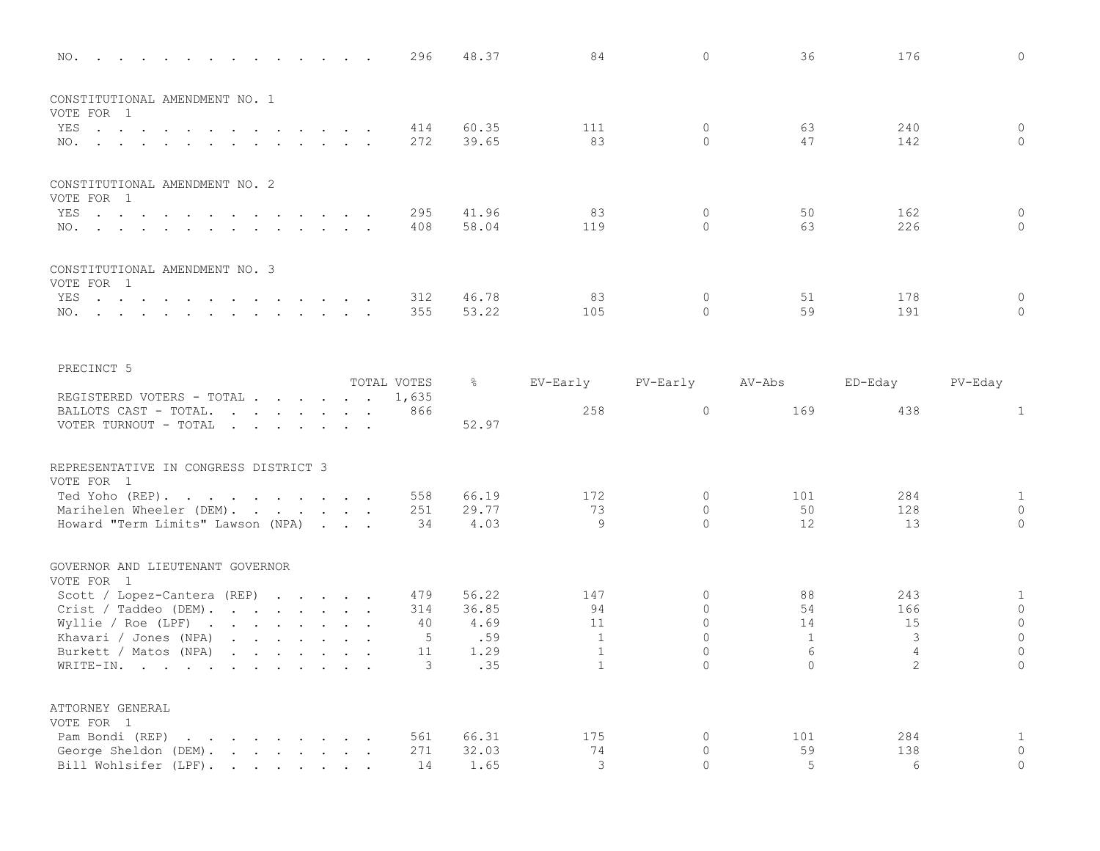| NO.                                                                                                                                                                                                                                                        |                                            | 296         | 48.37         | 84             | $\mathbf{0}$         | 36                   | 176            | $\mathbf{0}$                |
|------------------------------------------------------------------------------------------------------------------------------------------------------------------------------------------------------------------------------------------------------------|--------------------------------------------|-------------|---------------|----------------|----------------------|----------------------|----------------|-----------------------------|
| CONSTITUTIONAL AMENDMENT NO. 1                                                                                                                                                                                                                             |                                            |             |               |                |                      |                      |                |                             |
| VOTE FOR 1                                                                                                                                                                                                                                                 |                                            |             |               |                |                      |                      |                |                             |
| YES<br>the contract of the contract of the<br>$\sim$<br>$\sim 10^{-1}$ and $\sim 10^{-1}$<br>$\cdots$                                                                                                                                                      | $\cdot$ $\cdot$                            | 414         | 60.35         | 111            | $\mathbf{0}$         | 63                   | 240            | $\mathbf{0}$                |
| NO.                                                                                                                                                                                                                                                        |                                            | 272         | 39.65         | 83             | $\Omega$             | 47                   | 142            | $\Omega$                    |
| CONSTITUTIONAL AMENDMENT NO. 2                                                                                                                                                                                                                             |                                            |             |               |                |                      |                      |                |                             |
| VOTE FOR 1                                                                                                                                                                                                                                                 |                                            |             |               |                |                      |                      |                |                             |
| YES                                                                                                                                                                                                                                                        |                                            | 295         | 41.96         | 83             | $\mathbf{0}$         | 50                   | 162            | $\mathbf{0}$                |
| NO.                                                                                                                                                                                                                                                        |                                            | 408         | 58.04         | 119            | $\Omega$             | 63                   | 226            | $\circ$                     |
| CONSTITUTIONAL AMENDMENT NO. 3                                                                                                                                                                                                                             |                                            |             |               |                |                      |                      |                |                             |
| VOTE FOR 1                                                                                                                                                                                                                                                 |                                            | 312         | 46.78         | 83             | $\mathbf{0}$         | 51                   | 178            | $\mathbf 0$                 |
| YES<br>NO.                                                                                                                                                                                                                                                 |                                            | 355         | 53.22         | 105            | $\Omega$             | 59                   | 191            | $\Omega$                    |
|                                                                                                                                                                                                                                                            |                                            |             |               |                |                      |                      |                |                             |
| PRECINCT 5                                                                                                                                                                                                                                                 |                                            |             |               |                |                      |                      |                |                             |
|                                                                                                                                                                                                                                                            |                                            | TOTAL VOTES | $\frac{8}{6}$ | EV-Early       | PV-Early             | AV-Abs               | ED-Eday        | PV-Eday                     |
| REGISTERED VOTERS - TOTAL                                                                                                                                                                                                                                  |                                            | 1,635       |               |                |                      |                      |                |                             |
| BALLOTS CAST - TOTAL.                                                                                                                                                                                                                                      |                                            | 866         |               | 258            | $\circ$              | 169                  | 438            | $\mathbf{1}$                |
| VOTER TURNOUT - TOTAL                                                                                                                                                                                                                                      |                                            |             | 52.97         |                |                      |                      |                |                             |
| REPRESENTATIVE IN CONGRESS DISTRICT 3<br>VOTE FOR 1                                                                                                                                                                                                        |                                            |             |               |                |                      |                      |                |                             |
| Ted Yoho (REP).<br>and the contract of the contract of                                                                                                                                                                                                     |                                            | 558         | 66.19         | 172            | $\mathbf{0}$         | 101                  | 284            | $\mathbf{1}$                |
| Marihelen Wheeler (DEM).                                                                                                                                                                                                                                   |                                            | 251         | 29.77         | 73             | $\mathbf{0}$         | 50                   | 128            | $\circ$                     |
| Howard "Term Limits" Lawson (NPA)                                                                                                                                                                                                                          | $\mathbf{r}$ , $\mathbf{r}$ , $\mathbf{r}$ | 34          | 4.03          | 9              | $\Omega$             | 12                   | 13             | $\Omega$                    |
| GOVERNOR AND LIEUTENANT GOVERNOR<br>VOTE FOR 1                                                                                                                                                                                                             |                                            |             |               |                |                      |                      |                |                             |
| Scott / Lopez-Cantera (REP) $\cdot \cdot \cdot \cdot$                                                                                                                                                                                                      |                                            | 479         | 56.22         | 147            | $\Omega$             | 88                   | 243            | $\mathbf{1}$                |
| Crist / Taddeo (DEM).                                                                                                                                                                                                                                      |                                            | 314         | 36.85         | 94             | $\mathbf 0$          | 54                   | 166            | $\mathbb O$                 |
| Wyllie / Roe (LPF) $\cdot \cdot \cdot \cdot \cdot \cdot \cdot \cdot$                                                                                                                                                                                       |                                            | 40          | 4.69          | 11             | $\Omega$             | 14                   | 15             | $\circ$                     |
| Khavari / Jones (NPA) $\cdots$ $\cdots$                                                                                                                                                                                                                    |                                            | 5           | .59           | $\overline{1}$ | $\Omega$             | $\mathbf{1}$         | 3              | $\mathbf{0}$                |
| Burkett / Matos (NPA)<br>$\mathbf{r}$ . The contract of the contract of the contract of the contract of the contract of the contract of the contract of the contract of the contract of the contract of the contract of the contract of the contract of th |                                            | 11          | 1.29          | $\mathbf{1}$   | $\Omega$             | 6                    | $\overline{4}$ | $\mathbf{0}$                |
| WRITE-IN.<br>$\cdot$ $\cdot$ $\cdot$                                                                                                                                                                                                                       |                                            | 3           | .35           | $\mathbf{1}$   | $\Omega$             | $\circ$              | $\mathbf{2}$   | $\circ$                     |
| ATTORNEY GENERAL                                                                                                                                                                                                                                           |                                            |             |               |                |                      |                      |                |                             |
| VOTE FOR 1                                                                                                                                                                                                                                                 |                                            |             |               |                |                      |                      |                |                             |
| Pam Bondi (REP)<br>and a strong control of the state of the state of the state of the state of the state of the state of the state of the state of the state of the state of the state of the state of the state of the state of the state of the          |                                            | 561         | 66.31         | 175            | $\mathbf{0}$         | 101                  | 284            | $\mathbf{1}$                |
| George Sheldon (DEM).<br>Bill Wohlsifer (LPF).                                                                                                                                                                                                             |                                            | 271<br>14   | 32.03<br>1.65 | 74<br>3        | $\Omega$<br>$\Omega$ | 59<br>$\overline{5}$ | 138<br>6       | $\mathbf 0$<br>$\mathbf{0}$ |
|                                                                                                                                                                                                                                                            |                                            |             |               |                |                      |                      |                |                             |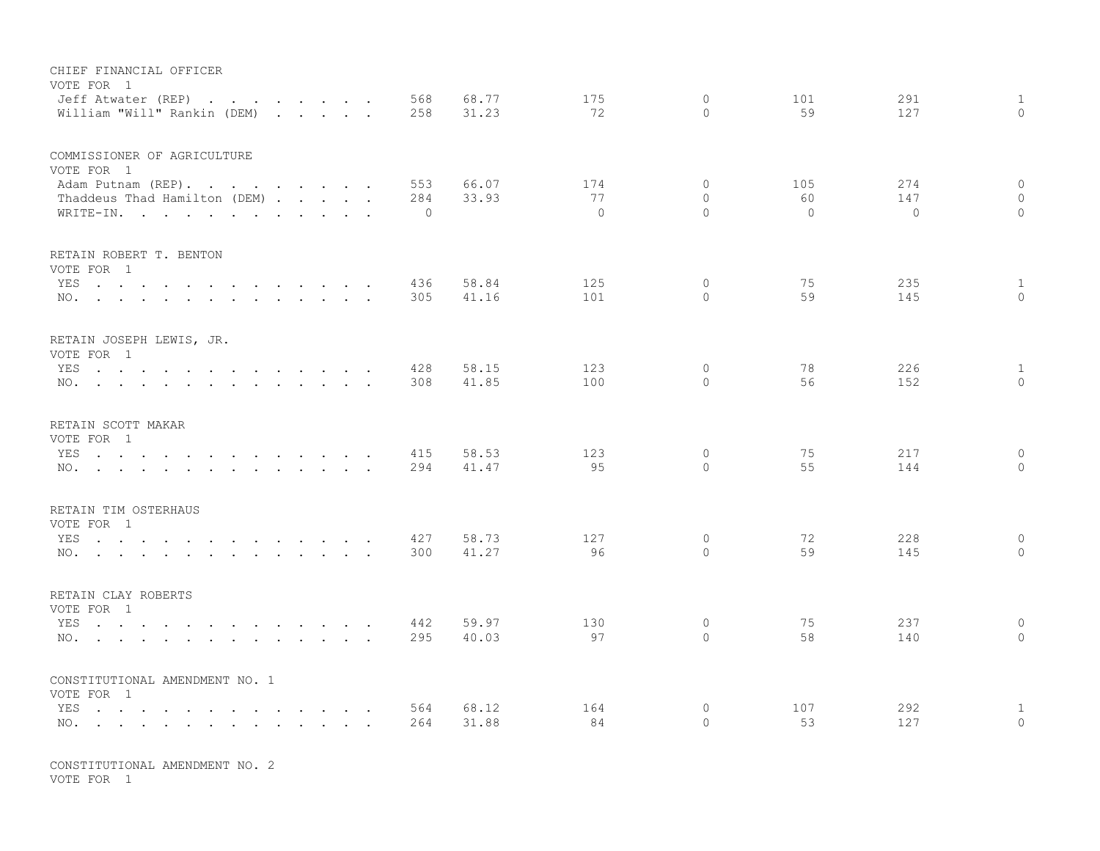| CHIEF FINANCIAL OFFICER<br>VOTE FOR 1<br>Jeff Atwater (REP)                                                                                                                                                                           |  |                 | 568        | 68.77          | 175       | $\mathbf 0$              | 101      | 291      | $\mathbf{1}$             |
|---------------------------------------------------------------------------------------------------------------------------------------------------------------------------------------------------------------------------------------|--|-----------------|------------|----------------|-----------|--------------------------|----------|----------|--------------------------|
| William "Will" Rankin (DEM)                                                                                                                                                                                                           |  |                 | 258        | 31.23          | 72        | $\Omega$                 | 59       | 127      | $\Omega$                 |
| COMMISSIONER OF AGRICULTURE<br>VOTE FOR 1                                                                                                                                                                                             |  |                 |            |                |           |                          |          |          |                          |
| Adam Putnam (REP).                                                                                                                                                                                                                    |  |                 | 553        | 66.07          | 174       | $\mathbf{0}$             | 105      | 274      | $\mathbf{0}$             |
| Thaddeus Thad Hamilton (DEM)                                                                                                                                                                                                          |  |                 | 284        | 33.93          | 77        | $\Omega$                 | 60       | 147      | $\circ$                  |
| WRITE-IN.                                                                                                                                                                                                                             |  |                 | $\Omega$   |                | $\Omega$  | $\Omega$                 | $\Omega$ | $\Omega$ | $\Omega$                 |
| RETAIN ROBERT T. BENTON<br>VOTE FOR 1                                                                                                                                                                                                 |  |                 |            |                |           |                          |          |          |                          |
| YES<br>the contract of the contract of the contract of the contract of the contract of the contract of the contract of                                                                                                                |  |                 | 436        | 58.84          | 125       | $\circ$                  | 75       | 235      | $\mathbf{1}$             |
| NO.                                                                                                                                                                                                                                   |  |                 | 305        | 41.16          | 101       | $\Omega$                 | 59       | 145      | $\Omega$                 |
| RETAIN JOSEPH LEWIS, JR.                                                                                                                                                                                                              |  |                 |            |                |           |                          |          |          |                          |
| VOTE FOR 1                                                                                                                                                                                                                            |  |                 |            |                |           |                          |          |          |                          |
| YES                                                                                                                                                                                                                                   |  |                 | 428        | 58.15          | 123       | $\mathbf{0}$<br>$\Omega$ | 78       | 226      | $\mathbf{1}$<br>$\Omega$ |
| NO.                                                                                                                                                                                                                                   |  |                 | 308        | 41.85          | 100       |                          | 56       | 152      |                          |
| RETAIN SCOTT MAKAR                                                                                                                                                                                                                    |  |                 |            |                |           |                          |          |          |                          |
| VOTE FOR 1                                                                                                                                                                                                                            |  |                 |            |                |           |                          |          | 217      | $\mathbf{0}$             |
| YES<br>NO.                                                                                                                                                                                                                            |  |                 | 415<br>294 | 58.53<br>41.47 | 123<br>95 | $\circ$<br>$\Omega$      | 75<br>55 | 144      | $\Omega$                 |
|                                                                                                                                                                                                                                       |  |                 |            |                |           |                          |          |          |                          |
| RETAIN TIM OSTERHAUS                                                                                                                                                                                                                  |  |                 |            |                |           |                          |          |          |                          |
| VOTE FOR 1<br>YES                                                                                                                                                                                                                     |  |                 | 427        | 58.73          | 127       | $\circ$                  | 72       | 228      | $\mathbf{0}$             |
| NO.                                                                                                                                                                                                                                   |  |                 | 300        | 41.27          | 96        | $\Omega$                 | 59       | 145      | $\circ$                  |
|                                                                                                                                                                                                                                       |  |                 |            |                |           |                          |          |          |                          |
| RETAIN CLAY ROBERTS                                                                                                                                                                                                                   |  |                 |            |                |           |                          |          |          |                          |
| VOTE FOR 1<br>YES<br>the contract of the contract of the contract of the contract of the contract of the contract of the contract of                                                                                                  |  |                 | 442        | 59.97          | 130       | 0                        | 75       | 237      | $\circ$                  |
| NO.                                                                                                                                                                                                                                   |  |                 | 295        | 40.03          | 97        | $\circ$                  | 58       | 140      | $\mathbf{0}$             |
|                                                                                                                                                                                                                                       |  |                 |            |                |           |                          |          |          |                          |
| CONSTITUTIONAL AMENDMENT NO. 1<br>VOTE FOR 1                                                                                                                                                                                          |  |                 |            |                |           |                          |          |          |                          |
| YES<br>and the contract of the contract of the contract of the contract of the contract of the contract of the contract of the contract of the contract of the contract of the contract of the contract of the contract of the contra |  | $\cdot$ $\cdot$ | 564        | 68.12          | 164       | 0                        | 107      | 292      | 1                        |
| NO.                                                                                                                                                                                                                                   |  |                 | 264        | 31.88          | 84        | $\circ$                  | 53       | 127      | $\mathbf{0}$             |

CONSTITUTIONAL AMENDMENT NO. 2 VOTE FOR 1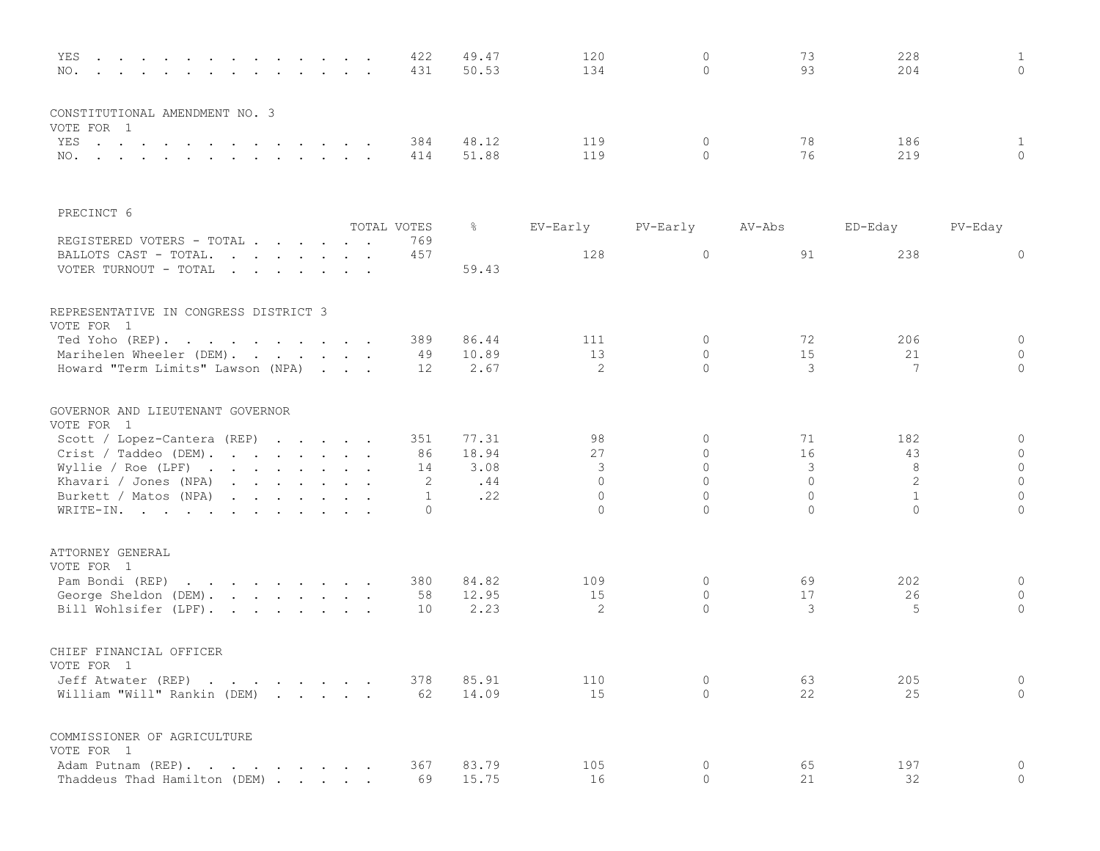| YES<br>$\mathbf{r}$ . The contract of the contract of the contract of the contract of the contract of the contract of the contract of the contract of the contract of the contract of the contract of the contract of the contract of th<br>NO.                                                                                                                                                          |  |             | 422<br>431      | 49.47<br>50.53 | 120<br>134 | $\mathbf 0$<br>$\Omega$ | 73<br>93 | 228<br>204     | $\mathbf{1}$<br>$\Omega$ |
|----------------------------------------------------------------------------------------------------------------------------------------------------------------------------------------------------------------------------------------------------------------------------------------------------------------------------------------------------------------------------------------------------------|--|-------------|-----------------|----------------|------------|-------------------------|----------|----------------|--------------------------|
| CONSTITUTIONAL AMENDMENT NO. 3                                                                                                                                                                                                                                                                                                                                                                           |  |             |                 |                |            |                         |          |                |                          |
| VOTE FOR 1<br>YES                                                                                                                                                                                                                                                                                                                                                                                        |  |             | 384             | 48.12          | 119        | $\circ$                 | 78       | 186            | $\mathbf{1}$             |
| NO.                                                                                                                                                                                                                                                                                                                                                                                                      |  |             | 414             | 51.88          | 119        | $\Omega$                | 76       | 219            | $\Omega$                 |
| PRECINCT 6                                                                                                                                                                                                                                                                                                                                                                                               |  |             |                 |                |            |                         |          |                |                          |
|                                                                                                                                                                                                                                                                                                                                                                                                          |  | TOTAL VOTES |                 | ိင             | EV-Early   | PV-Early                | AV-Abs   | ED-Eday        | PV-Eday                  |
| REGISTERED VOTERS - TOTAL<br>BALLOTS CAST - TOTAL.<br>$\mathbf{r}$ , $\mathbf{r}$ , $\mathbf{r}$ , $\mathbf{r}$ , $\mathbf{r}$ , $\mathbf{r}$<br>VOTER TURNOUT - TOTAL<br>and the contract of the contract of the contract of the contract of the contract of the contract of the contract of the contract of the contract of the contract of the contract of the contract of the contract of the contra |  |             | 769<br>457      | 59.43          | 128        | 0                       | 91       | 238            | 0                        |
| REPRESENTATIVE IN CONGRESS DISTRICT 3<br>VOTE FOR 1                                                                                                                                                                                                                                                                                                                                                      |  |             |                 |                |            |                         |          |                |                          |
| Ted Yoho (REP).                                                                                                                                                                                                                                                                                                                                                                                          |  |             | 389             | 86.44          | 111        | $\mathbf{0}$            | 72       | 206            | $\mathbf 0$              |
| Marihelen Wheeler (DEM).                                                                                                                                                                                                                                                                                                                                                                                 |  |             | 49              | 10.89          | 13         | $\Omega$                | 15       | 21             | $\circ$                  |
| Howard "Term Limits" Lawson (NPA)                                                                                                                                                                                                                                                                                                                                                                        |  |             | 12 <sup>°</sup> | 2.67           | 2          | $\Omega$                | 3        | 7              | $\Omega$                 |
| GOVERNOR AND LIEUTENANT GOVERNOR<br>VOTE FOR 1                                                                                                                                                                                                                                                                                                                                                           |  |             |                 |                |            |                         |          |                |                          |
| Scott / Lopez-Cantera (REP)                                                                                                                                                                                                                                                                                                                                                                              |  |             | 351             | 77.31          | 98         | 0                       | 71       | 182            | 0                        |
| Crist / Taddeo (DEM).                                                                                                                                                                                                                                                                                                                                                                                    |  |             | 86              | 18.94          | 27         | $\circ$                 | 16       | 43             | $\mathbf 0$              |
| Wyllie / Roe (LPF) $\cdot \cdot \cdot \cdot \cdot \cdot \cdot$                                                                                                                                                                                                                                                                                                                                           |  |             | 14              | 3.08           | 3          | $\Omega$                | 3        | 8              | $\circ$                  |
| Khavari / Jones (NPA)                                                                                                                                                                                                                                                                                                                                                                                    |  |             | 2               | .44            | $\Omega$   | $\Omega$                | $\Omega$ | $\overline{2}$ | $\circ$                  |
| Burkett / Matos (NPA)                                                                                                                                                                                                                                                                                                                                                                                    |  |             | 1               | .22            | $\Omega$   | $\Omega$                | $\Omega$ | $\mathbf{1}$   | $\mathbf{0}$             |
| WRITE-IN.                                                                                                                                                                                                                                                                                                                                                                                                |  |             | $\Omega$        |                | $\Omega$   | $\Omega$                | $\Omega$ | $\Omega$       | $\mathbf 0$              |
| ATTORNEY GENERAL<br>VOTE FOR 1                                                                                                                                                                                                                                                                                                                                                                           |  |             |                 |                |            |                         |          |                |                          |
| Pam Bondi (REP)<br>the contract of the contract of the contract of                                                                                                                                                                                                                                                                                                                                       |  |             | 380             | 84.82          | 109        | $\circ$                 | 69       | 202            | $\mathbf 0$              |
| George Sheldon (DEM).                                                                                                                                                                                                                                                                                                                                                                                    |  |             | 58              | 12.95          | 15         | $\circ$                 | 17       | 26             | $\mathbf{0}$             |
| Bill Wohlsifer (LPF).                                                                                                                                                                                                                                                                                                                                                                                    |  |             | 10              | 2.23           | 2          | $\Omega$                | 3        | 5              | $\circ$                  |
| CHIEF FINANCIAL OFFICER                                                                                                                                                                                                                                                                                                                                                                                  |  |             |                 |                |            |                         |          |                |                          |
| VOTE FOR 1                                                                                                                                                                                                                                                                                                                                                                                               |  |             |                 |                |            |                         |          |                |                          |
| Jeff Atwater (REP)                                                                                                                                                                                                                                                                                                                                                                                       |  |             | 378             | 85.91          | 110        | $\Omega$<br>$\Omega$    | 63<br>22 | 205            | $\mathbf{0}$<br>$\Omega$ |
| William "Will" Rankin (DEM)                                                                                                                                                                                                                                                                                                                                                                              |  |             | 62              | 14.09          | 15         |                         |          | 25             |                          |
| COMMISSIONER OF AGRICULTURE<br>VOTE FOR 1                                                                                                                                                                                                                                                                                                                                                                |  |             |                 |                |            |                         |          |                |                          |
| Adam Putnam (REP).                                                                                                                                                                                                                                                                                                                                                                                       |  |             | 367             | 83.79          | 105        | 0                       | 65       | 197            | 0                        |
| Thaddeus Thad Hamilton (DEM)                                                                                                                                                                                                                                                                                                                                                                             |  |             | 69              | 15.75          | $16$       | $\Omega$                | 21       | 32             | $\Omega$                 |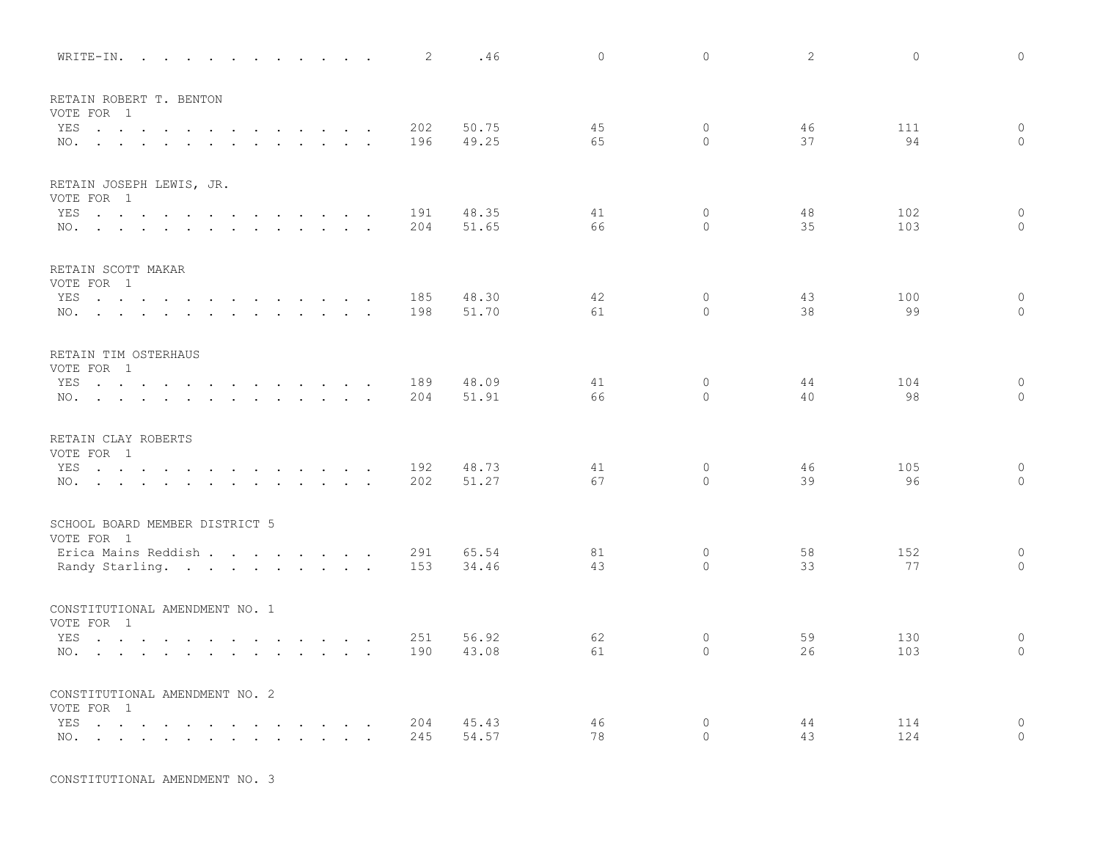| WRITE-IN.                                                                                                              |                                    |  |                 | 2          | .46            | $\Omega$ | $\mathbb O$        | $\overline{2}$ | $\mathbb O$ | $\circ$                   |
|------------------------------------------------------------------------------------------------------------------------|------------------------------------|--|-----------------|------------|----------------|----------|--------------------|----------------|-------------|---------------------------|
| RETAIN ROBERT T. BENTON                                                                                                |                                    |  |                 |            |                |          |                    |                |             |                           |
| VOTE FOR 1                                                                                                             |                                    |  |                 |            |                |          |                    |                |             |                           |
| YES<br>$\mathbf{r}$ , and $\mathbf{r}$ , and $\mathbf{r}$ , and $\mathbf{r}$                                           | $\sim$ $\sim$ $\sim$ $\sim$ $\sim$ |  | $\sim$ $\sim$   | 202<br>196 | 50.75<br>49.25 | 45<br>65 | $\circ$<br>$\circ$ | 46<br>37       | 111<br>94   | $\circ$<br>$\mathbf{0}$   |
| the contract of the contract of the contract of the contract of the contract of the contract of the contract of<br>NO. |                                    |  |                 |            |                |          |                    |                |             |                           |
| RETAIN JOSEPH LEWIS, JR.                                                                                               |                                    |  |                 |            |                |          |                    |                |             |                           |
| VOTE FOR 1                                                                                                             |                                    |  |                 |            |                |          |                    |                |             |                           |
| YES                                                                                                                    |                                    |  |                 | 191        | 48.35          | 41       | $\circ$            | 48             | 102         | $\circ$                   |
| NO.                                                                                                                    |                                    |  |                 | 204        | 51.65          | 66       | $\Omega$           | 35             | 103         | $\Omega$                  |
| RETAIN SCOTT MAKAR                                                                                                     |                                    |  |                 |            |                |          |                    |                |             |                           |
| VOTE FOR 1                                                                                                             |                                    |  |                 |            |                |          |                    |                |             |                           |
| YES                                                                                                                    |                                    |  |                 | 185        | 48.30          | 42       | $\circ$            | 43             | 100         | $\circ$                   |
| NO.                                                                                                                    |                                    |  |                 | 198        | 51.70          | 61       | $\Omega$           | 38             | 99          | $\mathbf{0}$              |
| RETAIN TIM OSTERHAUS                                                                                                   |                                    |  |                 |            |                |          |                    |                |             |                           |
| VOTE FOR 1                                                                                                             |                                    |  |                 |            |                |          |                    |                |             |                           |
| YES                                                                                                                    |                                    |  |                 | 189        | 48.09          | 41       | $\circ$            | 44             | 104         | $\mathsf{O}\xspace$       |
| NO.                                                                                                                    |                                    |  |                 | 204        | 51.91          | 66       | $\Omega$           | 40             | 98          | $\Omega$                  |
| RETAIN CLAY ROBERTS                                                                                                    |                                    |  |                 |            |                |          |                    |                |             |                           |
| VOTE FOR 1                                                                                                             |                                    |  |                 |            |                |          |                    |                |             |                           |
| YES                                                                                                                    |                                    |  |                 | 192        | 48.73          | 41       | 0                  | 46             | 105         | $\circ$                   |
| NO.                                                                                                                    |                                    |  |                 | 202        | 51.27          | 67       | $\Omega$           | 39             | 96          | $\Omega$                  |
| SCHOOL BOARD MEMBER DISTRICT 5                                                                                         |                                    |  |                 |            |                |          |                    |                |             |                           |
| VOTE FOR 1                                                                                                             |                                    |  |                 |            |                |          |                    |                |             |                           |
| Erica Mains Reddish                                                                                                    |                                    |  |                 | 291        | 65.54          | 81       | $\circ$            | 58             | 152         | $\circ$                   |
| Randy Starling.                                                                                                        |                                    |  |                 | 153        | 34.46          | 43       | $\circ$            | 33             | 77          | $\mathbf{0}$              |
| CONSTITUTIONAL AMENDMENT NO. 1                                                                                         |                                    |  |                 |            |                |          |                    |                |             |                           |
| VOTE FOR 1                                                                                                             |                                    |  |                 |            |                |          |                    |                |             |                           |
| YES<br>the contract of the contract of the contract of the contract of the contract of the contract of the contract of |                                    |  |                 | 251        | 56.92          | 62       | 0                  | 59             | 130         | $\mathbf 0$               |
| NO.                                                                                                                    |                                    |  |                 | 190        | 43.08          | 61       | $\circ$            | 26             | 103         | $\mathbf{0}$              |
| CONSTITUTIONAL AMENDMENT NO. 2                                                                                         |                                    |  |                 |            |                |          |                    |                |             |                           |
| VOTE FOR 1                                                                                                             |                                    |  |                 |            |                |          |                    |                |             |                           |
| YES<br>$\mathcal{A}=\mathcal{A}=\mathcal{A}=\mathcal{A}=\mathcal{A}=\mathcal{A}=\mathcal{A}=\mathcal{A}$<br>NO.        | $\sim$ $\sim$ $\sim$ $\sim$ $\sim$ |  | $\cdot$ $\cdot$ | 204<br>245 | 45.43<br>54.57 | 46<br>78 | $\circ$<br>$\circ$ | 44<br>43       | 114<br>124  | $\overline{0}$<br>$\circ$ |
|                                                                                                                        |                                    |  | $\sim$          |            |                |          |                    |                |             |                           |

CONSTITUTIONAL AMENDMENT NO. 3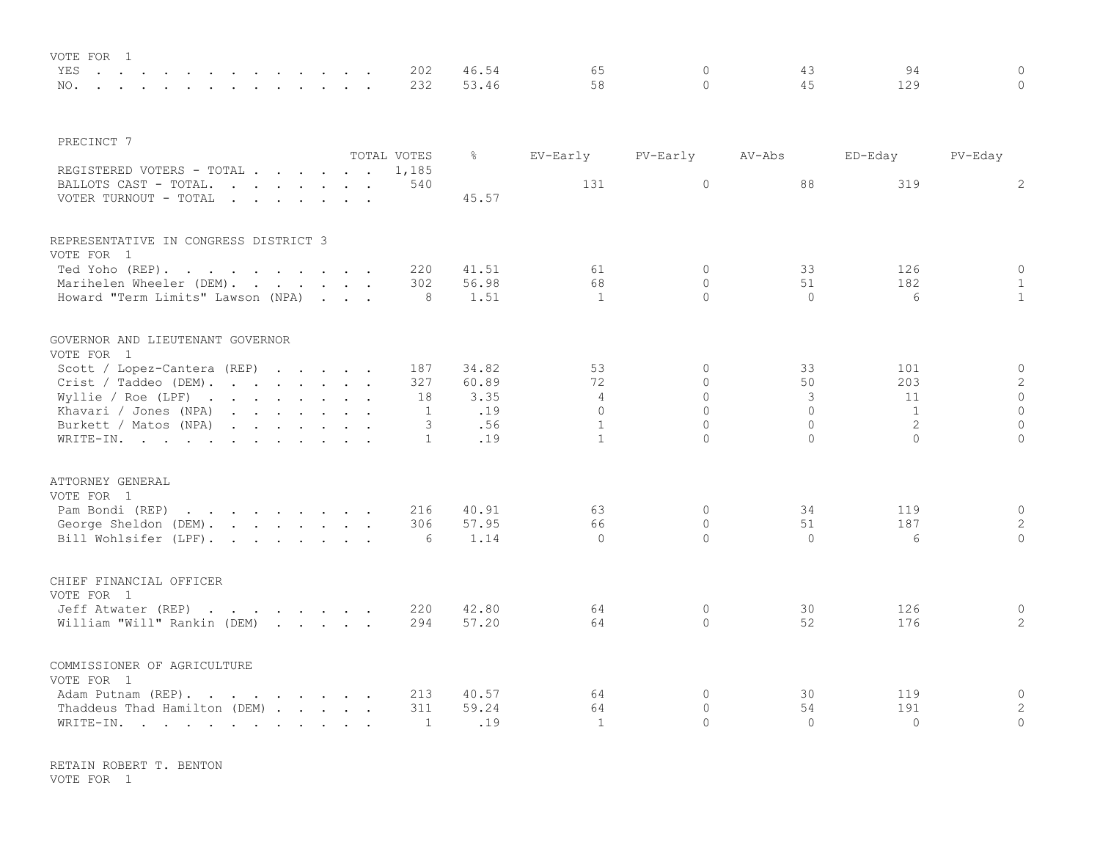| VOTE FOR |  |  |  |  |  |  |           |       |      |  |  |
|----------|--|--|--|--|--|--|-----------|-------|------|--|--|
|          |  |  |  |  |  |  | YES 202   |       |      |  |  |
|          |  |  |  |  |  |  | NO. 232 ! | 53 46 | 58 - |  |  |

| PRECINCT 7                                                     |  |                |               |                    |                      |                 |              |                              |
|----------------------------------------------------------------|--|----------------|---------------|--------------------|----------------------|-----------------|--------------|------------------------------|
|                                                                |  | TOTAL VOTES    | $\frac{6}{6}$ | EV-Early           | PV-Early             | AV-Abs          | ED-Eday      | PV-Eday                      |
| REGISTERED VOTERS - TOTAL                                      |  | 1,185          |               |                    |                      |                 |              |                              |
| BALLOTS CAST - TOTAL.                                          |  | 540            |               | 131                | $\circ$              | 88              | 319          | 2                            |
| VOTER TURNOUT - TOTAL                                          |  |                | 45.57         |                    |                      |                 |              |                              |
| REPRESENTATIVE IN CONGRESS DISTRICT 3                          |  |                |               |                    |                      |                 |              |                              |
| VOTE FOR 1                                                     |  |                |               |                    |                      |                 |              |                              |
| Ted Yoho (REP).                                                |  | 220            | 41.51         | 61                 | $\Omega$<br>$\Omega$ | 33              | 126          | $\circ$                      |
| Marihelen Wheeler (DEM).<br>Howard "Term Limits" Lawson (NPA)  |  | 302<br>- 8     | 56.98<br>1.51 | 68<br>$\mathbf{1}$ | $\Omega$             | 51<br>$\bigcap$ | 182<br>6     | $\mathbf{1}$<br>$\mathbf{1}$ |
|                                                                |  |                |               |                    |                      |                 |              |                              |
| GOVERNOR AND LIEUTENANT GOVERNOR<br>VOTE FOR 1                 |  |                |               |                    |                      |                 |              |                              |
| Scott / Lopez-Cantera (REP)                                    |  | 187            | 34.82         | 53                 | $\Omega$             | 33              | 101          | $\circ$                      |
| Crit / Taddeo (DEM).                                           |  | 327            | 60.89         | 72                 | $\Omega$             | 50              | 203          | $\mathbf{2}$                 |
| Wyllie / Roe (LPF) $\cdot \cdot \cdot \cdot \cdot \cdot \cdot$ |  | 18             | 3.35          | $\overline{4}$     | $\Omega$             | 3               | 11           | $\mathbb O$                  |
| Khavari / Jones (NPA)                                          |  | $\overline{1}$ | .19           | $\Omega$           | $\Omega$             | $\Omega$        | $\mathbf{1}$ | $\circ$                      |
| Burkett / Matos (NPA)                                          |  | 3              | .56           | $\mathbf{1}$       | $\Omega$             | $\Omega$        | 2            | $\mathbf 0$                  |
| WRITE-IN.                                                      |  | 1              | .19           | $\mathbf{1}$       | $\Omega$             | $\Omega$        | $\Omega$     | $\Omega$                     |
| ATTORNEY GENERAL                                               |  |                |               |                    |                      |                 |              |                              |
| VOTE FOR 1                                                     |  |                |               |                    |                      |                 |              |                              |
| Pam Bondi (REP)                                                |  | 216            | 40.91         | 63                 | $\circ$              | 34              | 119          | $\circ$                      |
| George Sheldon (DEM).                                          |  | 306            | 57.95         | 66                 | $\circ$              | 51              | 187          | 2                            |
| Bill Wohlsifer (LPF).                                          |  | 6              | 1.14          | $\Omega$           | $\Omega$             | $\Omega$        | 6            | $\Omega$                     |
|                                                                |  |                |               |                    |                      |                 |              |                              |
| CHIEF FINANCIAL OFFICER                                        |  |                |               |                    |                      |                 |              |                              |
| VOTE FOR 1                                                     |  |                |               |                    |                      |                 |              |                              |
| Jeff Atwater (REP)                                             |  | 220            | 42.80         | 64                 | 0                    | 30              | 126          | $\circ$                      |
| William "Will" Rankin (DEM)                                    |  | 294            | 57.20         | 64                 | $\circ$              | 52              | 176          | $\overline{2}$               |
| COMMISSIONER OF AGRICULTURE                                    |  |                |               |                    |                      |                 |              |                              |
| VOTE FOR 1                                                     |  |                |               |                    |                      |                 |              |                              |
| Adam Putnam (REP).                                             |  | 213            | 40.57         | 64                 | $\mathbf{0}$         | 30              | 119          | $\circ$                      |
| Thaddeus Thad Hamilton (DEM)                                   |  | 311            | 59.24         | 64                 | $\Omega$             | 54              | 191          | 2                            |
| WRITE-IN.                                                      |  | 1              | .19           | $\mathbf{1}$       | $\Omega$             | $\Omega$        | $\Omega$     | $\circ$                      |

RETAIN ROBERT T. BENTON VOTE FOR 1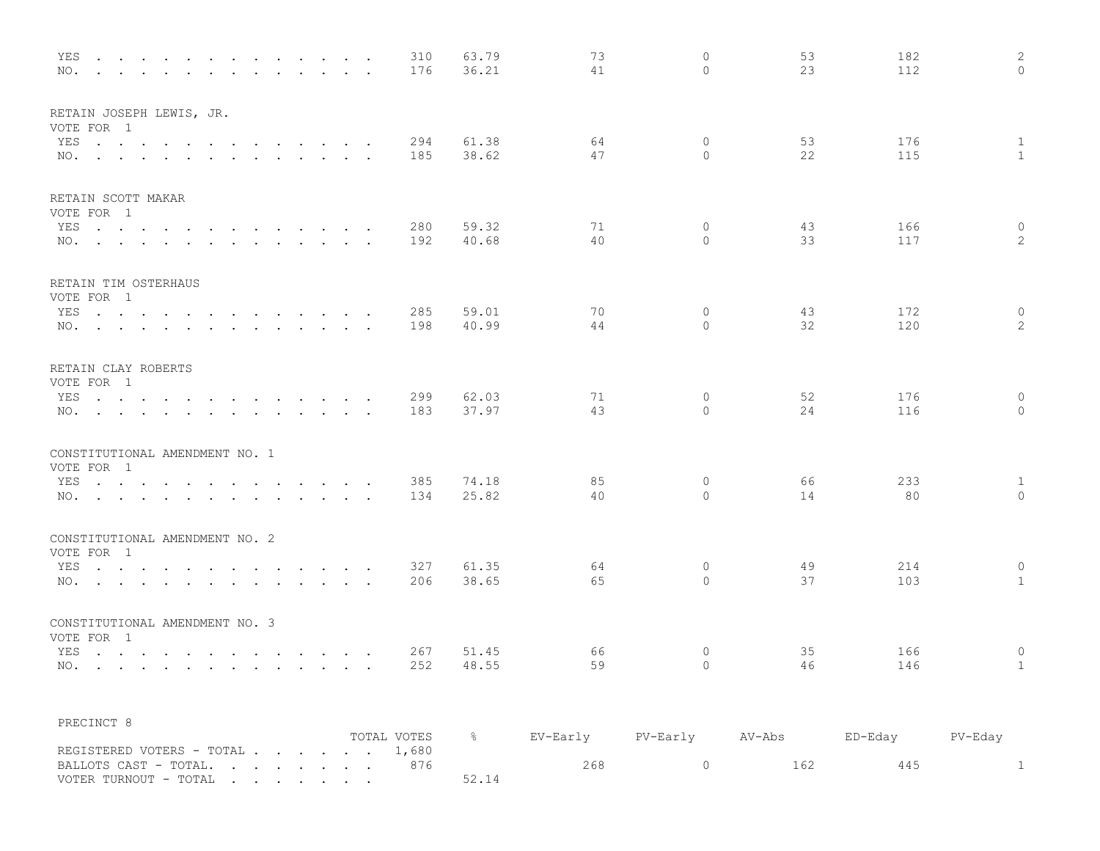| YES<br>the contract of the contract of the contract of the contract of the contract of the contract of the contract of<br>NO.<br>$\mathbf{r}$ , $\mathbf{r}$ , $\mathbf{r}$ , $\mathbf{r}$ |        |                      | 310<br>176 | 63.79<br>36.21 | 73<br>41                                                                        | $\mathbf{0}$<br>$\Omega$ | 53<br>23 | 182<br>112 | 2<br>$\Omega$         |
|--------------------------------------------------------------------------------------------------------------------------------------------------------------------------------------------|--------|----------------------|------------|----------------|---------------------------------------------------------------------------------|--------------------------|----------|------------|-----------------------|
| RETAIN JOSEPH LEWIS, JR.<br>VOTE FOR 1                                                                                                                                                     |        |                      |            |                |                                                                                 |                          |          |            |                       |
| YES                                                                                                                                                                                        |        |                      | 294        | 61.38          | 64                                                                              | 0                        | 53       | 176        | $\mathbf{1}$          |
| NO.                                                                                                                                                                                        |        |                      | 185        | 38.62          | 47                                                                              | $\circ$                  | 22       | 115        | $\mathbf{1}$          |
| RETAIN SCOTT MAKAR                                                                                                                                                                         |        |                      |            |                |                                                                                 |                          |          |            |                       |
| VOTE FOR 1<br>YES                                                                                                                                                                          |        |                      | 280        | 59.32          | 71                                                                              | 0                        | 43       | 166        | 0                     |
| NO.                                                                                                                                                                                        |        | $\sim$ $ \sim$       | 192        | 40.68          | 40                                                                              | $\Omega$                 | 33       | 117        | $\mathbf{2}^{\prime}$ |
| RETAIN TIM OSTERHAUS                                                                                                                                                                       |        |                      |            |                |                                                                                 |                          |          |            |                       |
| VOTE FOR 1                                                                                                                                                                                 |        |                      |            | 59.01          | 70                                                                              |                          | 43       | 172        |                       |
| YES<br>NO.                                                                                                                                                                                 |        |                      | 285<br>198 | 40.99          | 44                                                                              | 0<br>$\circ$             | 32       | 120        | 0<br>$\mathbf{2}$     |
| RETAIN CLAY ROBERTS<br>VOTE FOR 1                                                                                                                                                          |        |                      |            |                |                                                                                 |                          |          |            |                       |
| YES                                                                                                                                                                                        |        |                      | 299        | 62.03          | 71                                                                              | 0                        | 52       | 176        | $\circ$               |
| NO.                                                                                                                                                                                        |        |                      | 183        | 37.97          | 43                                                                              | $\circ$                  | 24       | 116        | $\circ$               |
| CONSTITUTIONAL AMENDMENT NO. 1<br>VOTE FOR 1                                                                                                                                               |        |                      |            |                |                                                                                 |                          |          |            |                       |
| and the contract of the contract of<br>YES<br><b>Contract Contract Service</b>                                                                                                             | $\sim$ | $\ddot{\phantom{1}}$ | 385        | 74.18          | 85                                                                              | 0                        | 66       | 233        | 1                     |
| NO.<br><b>Contract Contract</b>                                                                                                                                                            |        | $\cdots$ $\cdots$    | 134        | 25.82          | 40                                                                              | $\circ$                  | 14       | 80         | $\mathbf{0}$          |
| CONSTITUTIONAL AMENDMENT NO. 2<br>VOTE FOR 1                                                                                                                                               |        |                      |            |                |                                                                                 |                          |          |            |                       |
| . The contribution of the contribution of the contribution of $\mathcal{A}$<br>YES                                                                                                         |        |                      | 327        | 61.35          | 64                                                                              | 0                        | 49       | 214        | 0                     |
| NO.                                                                                                                                                                                        |        |                      | 206        | 38.65          | 65                                                                              | $\circ$                  | 37       | 103        | $\mathbf{1}$          |
| CONSTITUTIONAL AMENDMENT NO. 3<br>VOTE FOR 1                                                                                                                                               |        |                      |            |                |                                                                                 |                          |          |            |                       |
| YES                                                                                                                                                                                        |        |                      | 267        | 51.45          | 66                                                                              | 0                        | 35       | 166        | 0                     |
| NO.                                                                                                                                                                                        |        |                      | 252        | 48.55          | 59                                                                              | $\Omega$                 | 46       | 146        | $\mathbf{1}$          |
| PRECINCT 8                                                                                                                                                                                 |        |                      |            |                | TOTAL VOTES    %     EV-Early     PV-Early     AV-Abs      ED-Eday      PV-Eday |                          |          |            |                       |
| REGISTERED VOTERS - TOTAL 1,680                                                                                                                                                            |        |                      |            |                |                                                                                 |                          |          |            |                       |
| BALLOTS CAST - TOTAL. 876                                                                                                                                                                  |        |                      |            |                | 268                                                                             | $\overline{0}$           | 162      | 445        | $\sim$ 1              |
| VOTER TURNOUT - TOTAL .                                                                                                                                                                    |        |                      |            | 52.14          |                                                                                 |                          |          |            |                       |

VOTER TURNOUT - TOTAL . . . . . . .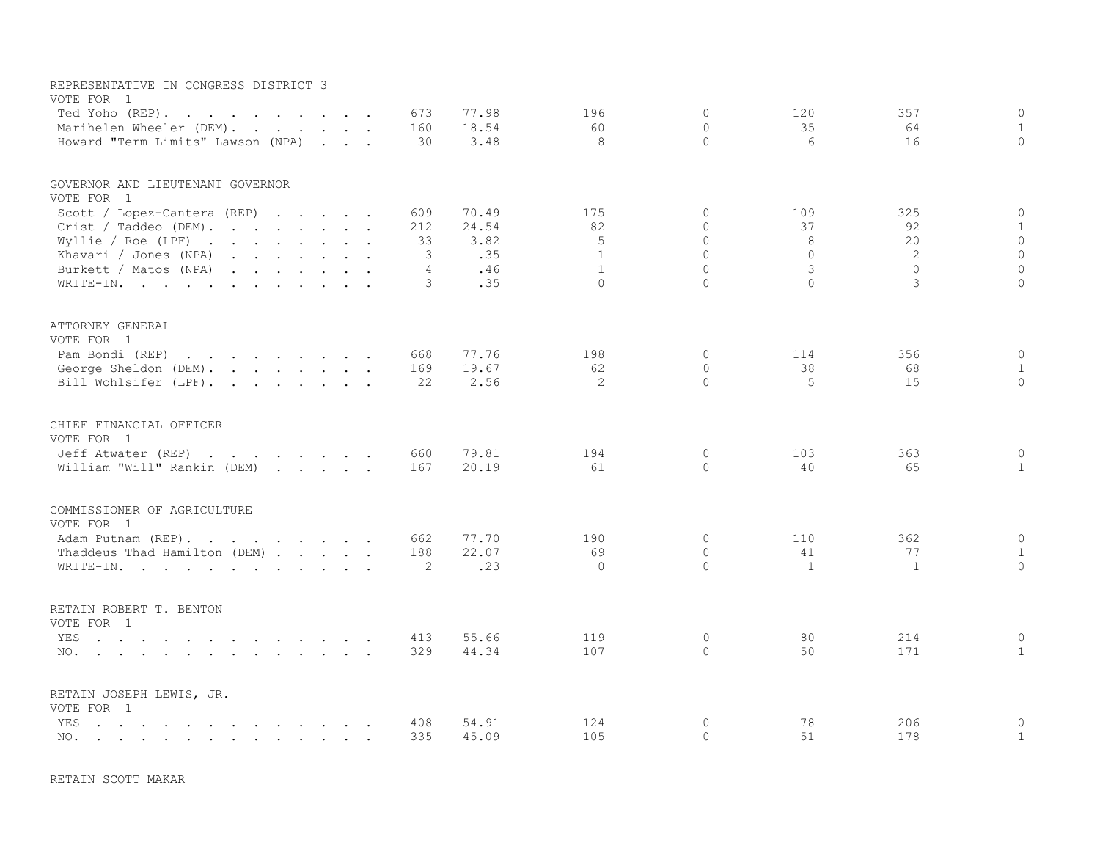| REPRESENTATIVE IN CONGRESS DISTRICT 3<br>VOTE FOR 1                                                                                                                                                                                                     |                |       |              |             |              |          |                |
|---------------------------------------------------------------------------------------------------------------------------------------------------------------------------------------------------------------------------------------------------------|----------------|-------|--------------|-------------|--------------|----------|----------------|
| Ted Yoho (REP).                                                                                                                                                                                                                                         | 673            | 77.98 | 196          | $\Omega$    | 120          | 357      | $\overline{0}$ |
| Marihelen Wheeler (DEM).                                                                                                                                                                                                                                | 160            | 18.54 | 60           | $\Omega$    | 35           | 64       | $\mathbf{1}$   |
| Howard "Term Limits" Lawson (NPA)                                                                                                                                                                                                                       | 30             | 3.48  | 8            | $\Omega$    | 6            | 16       | $\circ$        |
| GOVERNOR AND LIEUTENANT GOVERNOR                                                                                                                                                                                                                        |                |       |              |             |              |          |                |
| VOTE FOR 1                                                                                                                                                                                                                                              |                |       |              |             |              |          |                |
| Scott / Lopez-Cantera (REP)                                                                                                                                                                                                                             | 609            | 70.49 | 175          | $\Omega$    | 109          | 325      | $\circ$        |
| Crist / Taddeo (DEM).                                                                                                                                                                                                                                   | 212            | 24.54 | 82           | $\Omega$    | 37           | 92       | $\mathbf{1}$   |
| Wyllie / Roe (LPF) $\cdot \cdot \cdot \cdot \cdot \cdot \cdot$                                                                                                                                                                                          | 33             | 3.82  | 5            | $\Omega$    | 8            | 20       | $\circ$        |
| Khavari / Jones (NPA)<br>and the contract of the contract of the contract of the contract of the contract of the contract of the contract of the contract of the contract of the contract of the contract of the contract of the contract of the contra | 3              | .35   | $\mathbf{1}$ | $\Omega$    | $\Omega$     | 2        | $\mathbf{0}$   |
| Burkett / Matos (NPA)<br>$\mathbf{r}$ , $\mathbf{r}$ , $\mathbf{r}$ , $\mathbf{r}$ , $\mathbf{r}$ , $\mathbf{r}$                                                                                                                                        | $\overline{4}$ | .46   | $\mathbf{1}$ | $\Omega$    | 3            | $\Omega$ | $\Omega$       |
| WRITE-IN.                                                                                                                                                                                                                                               | 3              | .35   | $\Omega$     | $\Omega$    | $\Omega$     | 3        | $\Omega$       |
| ATTORNEY GENERAL                                                                                                                                                                                                                                        |                |       |              |             |              |          |                |
| VOTE FOR 1                                                                                                                                                                                                                                              |                |       |              |             |              |          |                |
| Pam Bondi (REP)                                                                                                                                                                                                                                         | 668            | 77.76 | 198          | $\circ$     | 114          | 356      | $\mathbf 0$    |
| George Sheldon (DEM).                                                                                                                                                                                                                                   | 169            | 19.67 | 62           | $\Omega$    | 38           | 68       | $\mathbf{1}$   |
| Bill Wohlsifer (LPF).                                                                                                                                                                                                                                   | 22             | 2.56  | 2            | $\Omega$    | 5            | 15       | $\Omega$       |
|                                                                                                                                                                                                                                                         |                |       |              |             |              |          |                |
| CHIEF FINANCIAL OFFICER<br>VOTE FOR 1                                                                                                                                                                                                                   |                |       |              |             |              |          |                |
| Jeff Atwater (REP)                                                                                                                                                                                                                                      | 660            | 79.81 | 194          | $\mathbf 0$ | 103          | 363      | $\circ$        |
| William "Will" Rankin (DEM)                                                                                                                                                                                                                             | 167            | 20.19 | 61           | $\Omega$    | 40           | 65       | 1              |
| COMMISSIONER OF AGRICULTURE                                                                                                                                                                                                                             |                |       |              |             |              |          |                |
| VOTE FOR 1                                                                                                                                                                                                                                              |                |       |              |             |              |          |                |
| Adam Putnam (REP).                                                                                                                                                                                                                                      | 662            | 77.70 | 190          | $\Omega$    | 110          | 362      | $\circ$        |
| Thaddeus Thad Hamilton (DEM)                                                                                                                                                                                                                            | 188            | 22.07 | 69           | $\circ$     | 41           | 77       | $\mathbf{1}$   |
|                                                                                                                                                                                                                                                         | 2              | .23   | $\Omega$     | $\Omega$    | $\mathbf{1}$ | 1        | $\Omega$       |
| WRITE-IN.                                                                                                                                                                                                                                               |                |       |              |             |              |          |                |
| RETAIN ROBERT T. BENTON                                                                                                                                                                                                                                 |                |       |              |             |              |          |                |
| VOTE FOR 1                                                                                                                                                                                                                                              |                |       |              |             |              |          |                |
| YES                                                                                                                                                                                                                                                     | 413            | 55.66 | 119          | $\mathbf 0$ | 80           | 214      | $\circ$        |
| NO.                                                                                                                                                                                                                                                     | 329            | 44.34 | 107          | $\Omega$    | 50           | 171      | $\mathbf{1}$   |
| RETAIN JOSEPH LEWIS, JR.                                                                                                                                                                                                                                |                |       |              |             |              |          |                |
| VOTE FOR 1                                                                                                                                                                                                                                              |                |       |              |             |              |          |                |
| YES                                                                                                                                                                                                                                                     | 408            | 54.91 | 124          | $\mathbf 0$ | 78           | 206      | $\circ$        |
| NO.                                                                                                                                                                                                                                                     | 335            | 45.09 | 105          | $\circ$     | 51           | 178      | $\mathbf{1}$   |
|                                                                                                                                                                                                                                                         |                |       |              |             |              |          |                |

RETAIN SCOTT MAKAR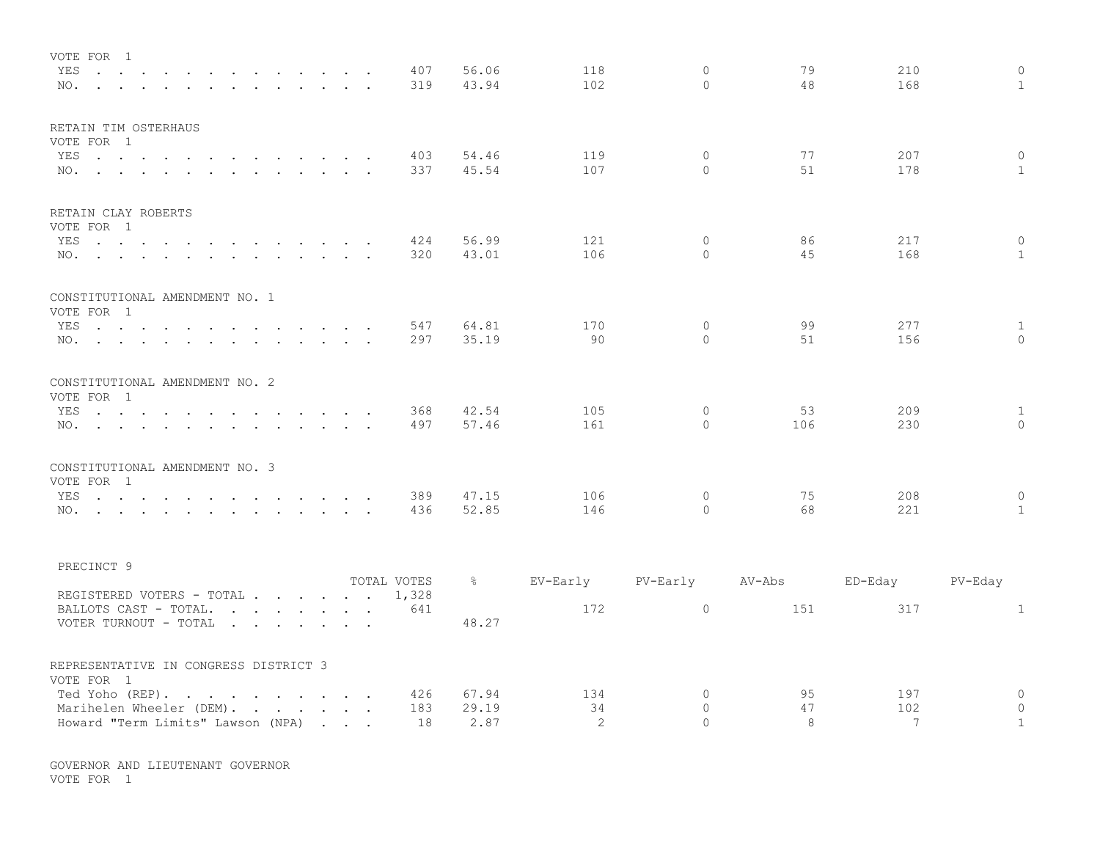| VOTE FOR 1<br>YES<br>the contract of the contract of the contract of the contract of the contract of the contract of the contract of<br>NO.                                                               |                                   | 407<br>319           | 56.06<br>43.94 | 118<br>102 | $\mathbf{0}$<br>$\Omega$    | 79<br>48  | 210<br>168      | $\circ$<br>$\mathbf{1}$        |
|-----------------------------------------------------------------------------------------------------------------------------------------------------------------------------------------------------------|-----------------------------------|----------------------|----------------|------------|-----------------------------|-----------|-----------------|--------------------------------|
| RETAIN TIM OSTERHAUS<br>VOTE FOR 1                                                                                                                                                                        |                                   |                      |                |            |                             |           |                 |                                |
| YES<br>the contract of the contract of the contract of the contract of the contract of the contract of the contract of<br>NO.<br>$\mathbf{L} = \mathbf{L} \times \mathbf{L}$                              | $\sim$                            | 403<br>337           | 54.46<br>45.54 | 119<br>107 | $\Omega$<br>$\Omega$        | 77<br>51  | 207<br>178      | $\mathbf 0$<br>$\mathbf{1}$    |
| RETAIN CLAY ROBERTS                                                                                                                                                                                       |                                   |                      |                |            |                             |           |                 |                                |
| VOTE FOR 1                                                                                                                                                                                                |                                   |                      | 56.99          | 121        | $\mathbf{0}$                | 86        | 217             | $\circ$                        |
| YES<br>NO.                                                                                                                                                                                                |                                   | 424<br>320           | 43.01          | 106        | $\Omega$                    | 45        | 168             | $\mathbf{1}$                   |
| CONSTITUTIONAL AMENDMENT NO. 1                                                                                                                                                                            |                                   |                      |                |            |                             |           |                 |                                |
| VOTE FOR 1                                                                                                                                                                                                |                                   |                      |                |            |                             |           |                 |                                |
| YES<br>and the state of the state of the<br>NO.                                                                                                                                                           | $\sim$ $\sim$ $\sim$              | 547<br>297           | 64.81<br>35.19 | 170<br>90  | $\mathbf 0$<br>$\mathbf{0}$ | 99<br>51  | 277<br>156      | $\mathbf{1}$<br>$\mathbf{0}$   |
| CONSTITUTIONAL AMENDMENT NO. 2                                                                                                                                                                            |                                   |                      |                |            |                             |           |                 |                                |
| VOTE FOR 1                                                                                                                                                                                                |                                   |                      |                |            |                             |           |                 |                                |
| YES<br>the contract of the contract of the contract of the contract of the contract of the contract of the contract of<br>NO.<br>$\mathbf{r}$ , $\mathbf{r}$ , $\mathbf{r}$ , $\mathbf{r}$ , $\mathbf{r}$ |                                   | 368<br>497           | 42.54<br>57.46 | 105<br>161 | $\mathbf 0$<br>$\Omega$     | 53<br>106 | 209<br>230      | $\mathbf{1}$<br>$\overline{0}$ |
| CONSTITUTIONAL AMENDMENT NO. 3                                                                                                                                                                            |                                   |                      |                |            |                             |           |                 |                                |
| VOTE FOR 1<br>YES                                                                                                                                                                                         |                                   | 389                  | 47.15          | 106        | $\mathbf 0$                 | 75        | 208             | $\mathbf 0$                    |
| $\mathbf{r}$ , and $\mathbf{r}$ , and $\mathbf{r}$ , and $\mathbf{r}$<br>$\sim$<br>NO.                                                                                                                    |                                   | 436                  | 52.85          | 146        | $\Omega$                    | 68        | 221             | $\mathbf{1}$                   |
| PRECINCT 9                                                                                                                                                                                                |                                   |                      |                |            |                             |           |                 |                                |
|                                                                                                                                                                                                           |                                   | TOTAL VOTES<br>1,328 | $\frac{6}{6}$  | EV-Early   | PV-Early                    | AV-Abs    | ED-Eday         | PV-Eday                        |
| REGISTERED VOTERS - TOTAL<br>BALLOTS CAST - TOTAL.                                                                                                                                                        |                                   | 641                  |                | 172        | $\circ$                     | 151       | 317             | $\mathbf{1}$                   |
| VOTER TURNOUT - TOTAL                                                                                                                                                                                     |                                   |                      | 48.27          |            |                             |           |                 |                                |
| REPRESENTATIVE IN CONGRESS DISTRICT 3<br>VOTE FOR 1                                                                                                                                                       |                                   |                      |                |            |                             |           |                 |                                |
| Ted Yoho (REP).<br>$\mathbf{r}$ , $\mathbf{r}$ , $\mathbf{r}$ , $\mathbf{r}$ , $\mathbf{r}$ , $\mathbf{r}$                                                                                                |                                   | 426                  | 67.94          | 134        | $\mathbf 0$                 | 95        | 197             | $\circ$                        |
| Marihelen Wheeler (DEM).<br>$\mathbf{r}$ . The set of $\mathbf{r}$<br>$\sim$                                                                                                                              |                                   | 183                  | 29.19          | 34         | $\Omega$                    | 47        | 102             | $\circ$                        |
| Howard "Term Limits" Lawson (NPA)                                                                                                                                                                         | <b>Contract Contract Contract</b> | 18                   | 2.87           | 2          | $\Omega$                    | 8         | $7\phantom{.0}$ | $\mathbf{1}$                   |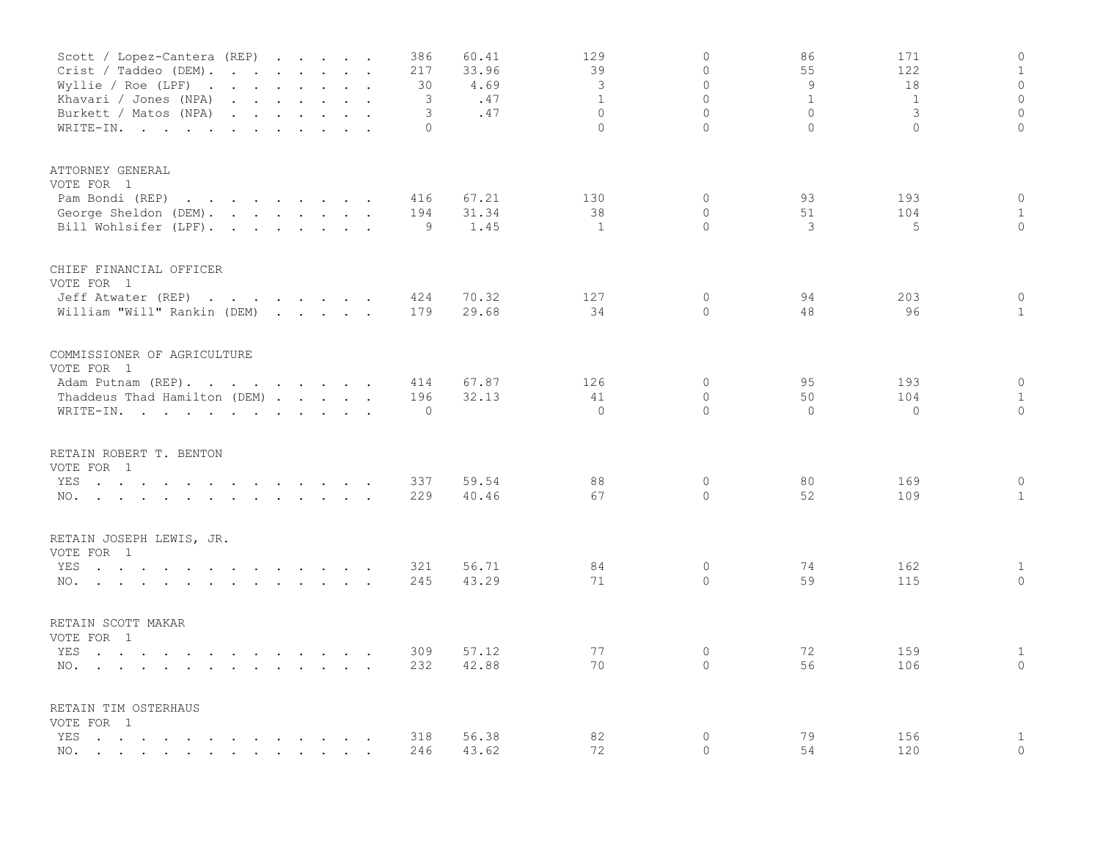| Scott / Lopez-Cantera (REP)<br>Crist / Taddeo (DEM).<br>Wyllie / Roe (LPF) $\cdot \cdot \cdot \cdot \cdot \cdot \cdot$<br>Khavari / Jones (NPA)<br>Burkett / Matos (NPA)<br>and the contract of the contract of the contract of the contract of the contract of<br>WRITE-IN.               |              | $\sim$ | 386<br>217<br>30<br>3<br>3<br>$\Omega$ | 60.41<br>33.96<br>4.69<br>.47<br>.47 | 129<br>39<br>$\mathcal{E}$<br>$\mathbf{1}$<br>$\Omega$<br>$\Omega$ | $\mathbf 0$<br>$\Omega$<br>$\Omega$<br>$\Omega$<br>$\Omega$<br>$\Omega$ | 86<br>55<br>$\overline{9}$<br>$\mathbf{1}$<br>$\Omega$<br>$\Omega$ | 171<br>122<br>18<br>$\mathbf{1}$<br>3<br>$\Omega$ | $\mathbb O$<br>$1\,$<br>$\circ$<br>$\mathbb O$<br>$\mathbb O$<br>$\overline{0}$ |
|--------------------------------------------------------------------------------------------------------------------------------------------------------------------------------------------------------------------------------------------------------------------------------------------|--------------|--------|----------------------------------------|--------------------------------------|--------------------------------------------------------------------|-------------------------------------------------------------------------|--------------------------------------------------------------------|---------------------------------------------------|---------------------------------------------------------------------------------|
| ATTORNEY GENERAL<br>VOTE FOR 1<br>Pam Bondi (REP)<br>the contract of the contract of the contract of the contract of the contract of the contract of the contract of<br>George Sheldon (DEM).<br>Bill Wohlsifer (LPF).                                                                     |              |        | 416<br>194<br>9                        | 67.21<br>31.34<br>1.45               | 130<br>38<br>$\mathbf{1}$                                          | $\mathbf 0$<br>$\Omega$<br>$\Omega$                                     | 93<br>51<br>3                                                      | 193<br>104<br>5                                   | $\mathbb O$<br>$\mathbf{1}$<br>$\Omega$                                         |
| CHIEF FINANCIAL OFFICER<br>VOTE FOR 1<br>Jeff Atwater (REP)<br>the contract of the contract of<br>William "Will" Rankin (DEM)                                                                                                                                                              | $\mathbf{r}$ |        | 424<br>179                             | 70.32<br>29.68                       | 127<br>34                                                          | $\circ$<br>$\circ$                                                      | 94<br>48                                                           | 203<br>96                                         | $\mathbf{0}$<br>$\mathbf{1}$                                                    |
| COMMISSIONER OF AGRICULTURE<br>VOTE FOR 1<br>Adam Putnam (REP).<br>Thaddeus Thad Hamilton (DEM)<br>WRITE-IN.                                                                                                                                                                               |              |        | 414<br>196<br>$\circ$                  | 67.87<br>32.13                       | 126<br>41<br>$\Omega$                                              | 0<br>$\circ$<br>$\Omega$                                                | 95<br>50<br>$\Omega$                                               | 193<br>104<br>$\circ$                             | $\circ$<br>$\mathbf{1}$<br>$\circ$                                              |
| RETAIN ROBERT T. BENTON<br>VOTE FOR 1<br>YES<br>the contract of the contract of the contract of the contract of the contract of the contract of the contract of<br>NO.                                                                                                                     |              |        | 337<br>229                             | 59.54<br>40.46                       | 88<br>67                                                           | $\mathbf{0}$<br>$\Omega$                                                | 80<br>52                                                           | 169<br>109                                        | $\circ$<br>$\mathbf{1}$                                                         |
| RETAIN JOSEPH LEWIS, JR.<br>VOTE FOR 1<br>YES<br>the contract of the contract of the contract of the contract of the contract of the contract of the contract of<br>NO.<br>the contract of the contract of the contract of the contract of the contract of the contract of the contract of |              |        | 321<br>245                             | 56.71<br>43.29                       | 84<br>71                                                           | $\circ$<br>$\circ$                                                      | 74<br>59                                                           | 162<br>115                                        | $\mathbf{1}$<br>$\mathbb O$                                                     |
| RETAIN SCOTT MAKAR<br>VOTE FOR 1<br>YES<br>the contract of the contract of the contract of the contract of<br>NO.                                                                                                                                                                          |              |        | 309<br>232                             | 57.12<br>42.88                       | 77<br>70                                                           | 0<br>$\circ$                                                            | 72<br>56                                                           | 159<br>106                                        | $\mathbf{1}$<br>$\mathbf{0}$                                                    |
| RETAIN TIM OSTERHAUS<br>VOTE FOR 1<br>YES<br>the contract of the contract of the contract of the contract of the contract of the contract of the contract of<br>NO.<br>the contract of the contract of the contract of the contract of the contract of the contract of the contract of     |              |        | 318<br>246                             | 56.38<br>43.62                       | 82<br>72                                                           | $\mathbb O$<br>$\Omega$                                                 | 79<br>54                                                           | 156<br>120                                        | $1\,$<br>$\mathbf{0}$                                                           |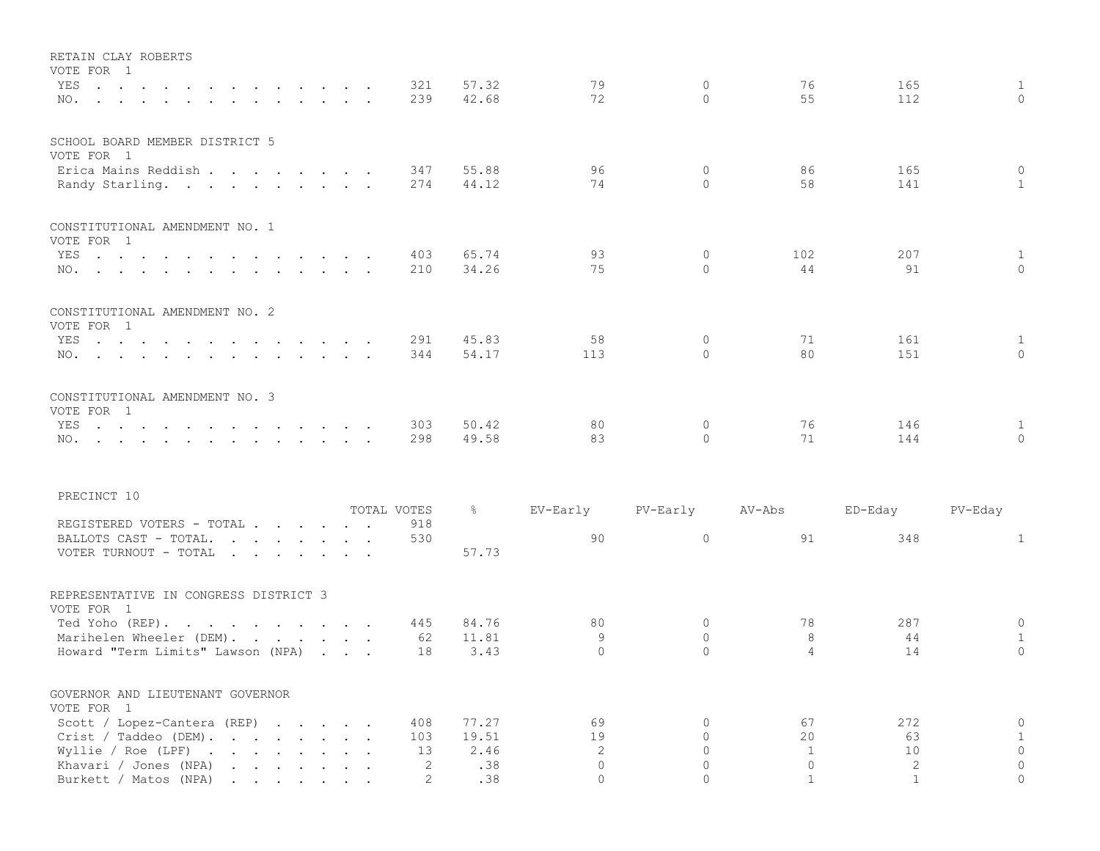| RETAIN CLAY ROBERTS<br>VOTE FOR 1                                                                                                                                                                                                                                                                                            |                       |                |                              |                      |                         |              |                              |
|------------------------------------------------------------------------------------------------------------------------------------------------------------------------------------------------------------------------------------------------------------------------------------------------------------------------------|-----------------------|----------------|------------------------------|----------------------|-------------------------|--------------|------------------------------|
| YES<br>NO.                                                                                                                                                                                                                                                                                                                   | 321<br>239            | 57.32<br>42.68 | 79<br>72                     | $\circ$<br>$\Omega$  | 76<br>55                | 165<br>112   | $\mathbf{1}$<br>$\Omega$     |
| SCHOOL BOARD MEMBER DISTRICT 5<br>VOTE FOR 1                                                                                                                                                                                                                                                                                 |                       |                |                              |                      |                         |              |                              |
| Erica Mains Reddish<br>Randy Starling.                                                                                                                                                                                                                                                                                       | 347<br>274            | 55.88<br>44.12 | 96<br>74                     | $\circ$<br>$\Omega$  | 86<br>58                | 165<br>141   | $\mathbf{0}$<br>$\mathbf{1}$ |
| CONSTITUTIONAL AMENDMENT NO. 1<br>VOTE FOR 1                                                                                                                                                                                                                                                                                 |                       |                |                              |                      |                         |              |                              |
| YES<br>$\mathbf{r}$ , and $\mathbf{r}$ , and $\mathbf{r}$ , and $\mathbf{r}$ , and $\mathbf{r}$ , and $\mathbf{r}$<br>NO.                                                                                                                                                                                                    | 403<br>210            | 65.74<br>34.26 | 93<br>75                     | 0<br>$\Omega$        | 102<br>44               | 207<br>91    | $\mathbf{1}$<br>$\Omega$     |
| CONSTITUTIONAL AMENDMENT NO. 2<br>VOTE FOR 1                                                                                                                                                                                                                                                                                 |                       |                |                              |                      |                         |              |                              |
| YES                                                                                                                                                                                                                                                                                                                          | 291<br>344            | 45.83<br>54.17 | 58<br>113                    | 0<br>$\Omega$        | 71<br>80                | 161<br>151   | $\mathbf{1}$<br>$\Omega$     |
| CONSTITUTIONAL AMENDMENT NO. 3<br>VOTE FOR 1                                                                                                                                                                                                                                                                                 |                       |                |                              |                      |                         |              |                              |
| YES<br>NO.                                                                                                                                                                                                                                                                                                                   | 303<br>298            | 50.42<br>49.58 | 80<br>83                     | $\circ$<br>$\Omega$  | 76<br>71                | 146<br>144   | $\mathbf{1}$<br>$\Omega$     |
| PRECINCT 10                                                                                                                                                                                                                                                                                                                  |                       |                |                              |                      |                         |              |                              |
|                                                                                                                                                                                                                                                                                                                              | TOTAL VOTES           | $\frac{5}{6}$  | EV-Early                     | PV-Early             | AV-Abs                  | ED-Eday      | PV-Eday                      |
| REGISTERED VOTERS - TOTAL<br>BALLOTS CAST - TOTAL.<br>VOTER TURNOUT - TOTAL                                                                                                                                                                                                                                                  | 918<br>530            | 57.73          | 90                           | $\circ$              | 91                      | 348          | $\mathbf{1}$                 |
| REPRESENTATIVE IN CONGRESS DISTRICT 3<br>VOTE FOR 1                                                                                                                                                                                                                                                                          |                       |                |                              |                      |                         |              |                              |
| Ted Yoho (REP).                                                                                                                                                                                                                                                                                                              | 445                   | 84.76          | 80                           | $\Omega$             | 78                      | 287          | $\mathbf 0$                  |
| Marihelen Wheeler (DEM).<br>Howard "Term Limits" Lawson (NPA)                                                                                                                                                                                                                                                                | 62<br>18              | 11.81<br>3.43  | 9<br>$\mathbf{0}$            | $\Omega$<br>$\Omega$ | 8<br>$\overline{4}$     | 44<br>14     | $\mathbf{1}$<br>$\Omega$     |
| GOVERNOR AND LIEUTENANT GOVERNOR<br>VOTE FOR 1                                                                                                                                                                                                                                                                               |                       |                |                              |                      |                         |              |                              |
| Scott / Lopez-Cantera (REP)                                                                                                                                                                                                                                                                                                  | 408                   | 77.27          | 69                           | 0                    | 67                      | 272          | $\mathsf{O}\xspace$          |
| Crist / Taddeo (DEM).                                                                                                                                                                                                                                                                                                        | 103                   | 19.51<br>2.46  | 19                           | $\circ$<br>$\circ$   | 20                      | 63<br>10     | $\mathbf{1}$<br>$\circ$      |
| Wyllie / Roe (LPF) $\cdot \cdot \cdot \cdot \cdot \cdot \cdot$<br>Khavari / Jones (NPA)<br>$\mathbf{r}$ . The set of the set of the set of the set of the set of the set of the set of the set of the set of the set of the set of the set of the set of the set of the set of the set of the set of the set of the set of t | 13<br>2               | .38            | $\mathbf{2}$<br>$\mathbf{0}$ | $\circ$              | $\mathbf{1}$<br>$\circ$ | 2            | $\circ$                      |
| Burkett / Matos (NPA)                                                                                                                                                                                                                                                                                                        | $\mathbf{2}^{\prime}$ | .38            | $\circ$                      | $\circ$              | $\mathbf{1}$            | $\mathbf{1}$ | $\circ$                      |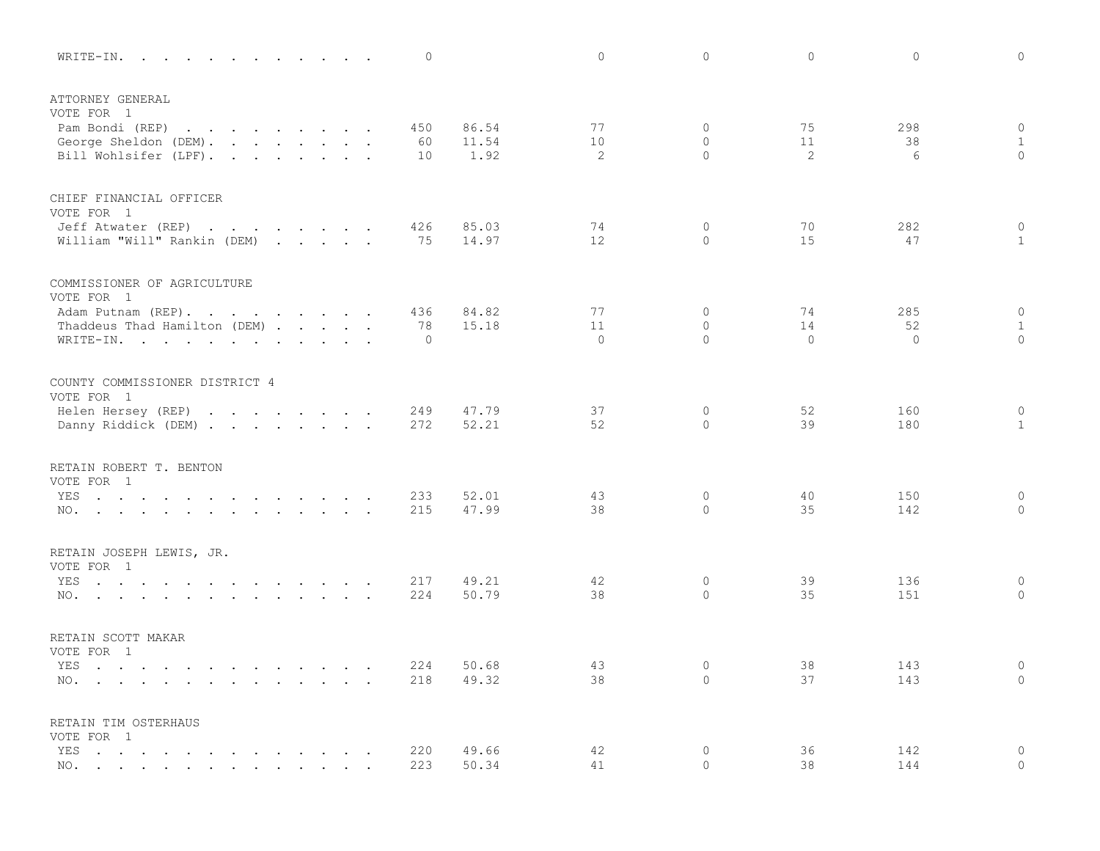| 0<br>WRITE-IN.                                                                                                                                 |                | $\circ$       | $\Omega$                     | $\circ$       | $\circ$<br>$\Omega$                         |
|------------------------------------------------------------------------------------------------------------------------------------------------|----------------|---------------|------------------------------|---------------|---------------------------------------------|
| ATTORNEY GENERAL                                                                                                                               |                |               |                              |               |                                             |
| VOTE FOR 1<br>Pam Bondi (REP)<br>450<br>$\mathbf{r}$ , $\mathbf{r}$ , $\mathbf{r}$ , $\mathbf{r}$ , $\mathbf{r}$ , $\mathbf{r}$ , $\mathbf{r}$ | 86.54          | 77            | $\mathbf{0}$                 | 75            | $\mathbb O$<br>298                          |
| George Sheldon (DEM).<br>60                                                                                                                    | 11.54          | 10            | $\mathbf{0}$                 | 11            | $\mathbf{1}$<br>38                          |
| Bill Wohlsifer (LPF).<br>10                                                                                                                    | 1.92           | 2             | $\cap$                       | 2             | $\circ$<br>6                                |
| CHIEF FINANCIAL OFFICER                                                                                                                        |                |               |                              |               |                                             |
| VOTE FOR 1                                                                                                                                     |                |               |                              |               |                                             |
| Jeff Atwater (REP)<br>426<br>William "Will" Rankin (DEM)<br>75<br>$\mathbf{r}$ , $\mathbf{r}$ , $\mathbf{r}$ , $\mathbf{r}$                    | 85.03<br>14.97 | 74<br>12      | $\mathbf{0}$<br>$\mathbf{0}$ | 70<br>15      | 282<br>$\mathbf 0$<br>$\mathbf{1}$<br>47    |
| COMMISSIONER OF AGRICULTURE                                                                                                                    |                |               |                              |               |                                             |
| VOTE FOR 1                                                                                                                                     |                |               |                              |               |                                             |
| Adam Putnam (REP).<br>436                                                                                                                      | 84.82          | 77            | $\mathbf{0}$                 | 74            | 285<br>$\circ$                              |
| Thaddeus Thad Hamilton (DEM)<br>78                                                                                                             | 15.18          | 11<br>$\circ$ | $\Omega$<br>$\Omega$         | 14<br>$\circ$ | $\mathbf{1}$<br>52<br>$\circ$<br>$\Omega$   |
| $\mathbf{0}$<br>WRITE-IN.                                                                                                                      |                |               |                              |               |                                             |
| COUNTY COMMISSIONER DISTRICT 4                                                                                                                 |                |               |                              |               |                                             |
| VOTE FOR 1<br>249                                                                                                                              | 47.79          | 37            | $\mathbf{0}$                 | 52            | $\mathsf{O}\xspace$<br>160                  |
| Helen Hersey (REP)<br>Danny Riddick (DEM)<br>272                                                                                               | 52.21          | 52            | $\Omega$                     | 39            | 180<br>$\mathbf{1}$                         |
| RETAIN ROBERT T. BENTON                                                                                                                        |                |               |                              |               |                                             |
| VOTE FOR 1                                                                                                                                     |                |               |                              |               |                                             |
| 233<br>YES<br>the contract of the contract of the contract of the contract of the contract of the contract of the contract of                  | 52.01          | 43            | $\mathbf 0$                  | 40            | $\circ$<br>150                              |
| 215<br>NO.                                                                                                                                     | 47.99          | 38            | $\Omega$                     | 35            | $\mathbf{0}$<br>142                         |
| RETAIN JOSEPH LEWIS, JR.                                                                                                                       |                |               |                              |               |                                             |
| VOTE FOR 1<br>217                                                                                                                              | 49.21          | 42            | $\mathbb O$                  | 39            | $\mathsf{O}\xspace$<br>136                  |
| YES<br>224<br>NO.                                                                                                                              | 50.79          | 38            | $\Omega$                     | 35            | $\mathbf 0$<br>151                          |
|                                                                                                                                                |                |               |                              |               |                                             |
| RETAIN SCOTT MAKAR<br>VOTE FOR 1                                                                                                               |                |               |                              |               |                                             |
| YES<br>224<br>the contract of the contract of the contract of the contract of the contract of the contract of the contract of                  | 50.68          | 43            | $\circ$                      | 38            | $\circ$<br>143                              |
| 218<br>NO.                                                                                                                                     | 49.32          | 38            | $\mathbf{0}$                 | 37            | $\mathbf{0}$<br>143                         |
| RETAIN TIM OSTERHAUS                                                                                                                           |                |               |                              |               |                                             |
| VOTE FOR 1                                                                                                                                     |                |               |                              |               |                                             |
| 220<br>YES<br>$\mathbf{r}$ , and $\mathbf{r}$ , and $\mathbf{r}$ , and $\mathbf{r}$ , and $\mathbf{r}$ , and $\mathbf{r}$                      | 49.66          | 42            | $\mathbf{0}$<br>$\mathbf{0}$ | 36<br>38      | $\mathbf 0$<br>142<br>$\overline{0}$<br>144 |
| 223<br>NO.<br>$\mathbf{r}$ , and $\mathbf{r}$ , and $\mathbf{r}$ , and $\mathbf{r}$ , and $\mathbf{r}$ , and $\mathbf{r}$                      | 50.34          | 41            |                              |               |                                             |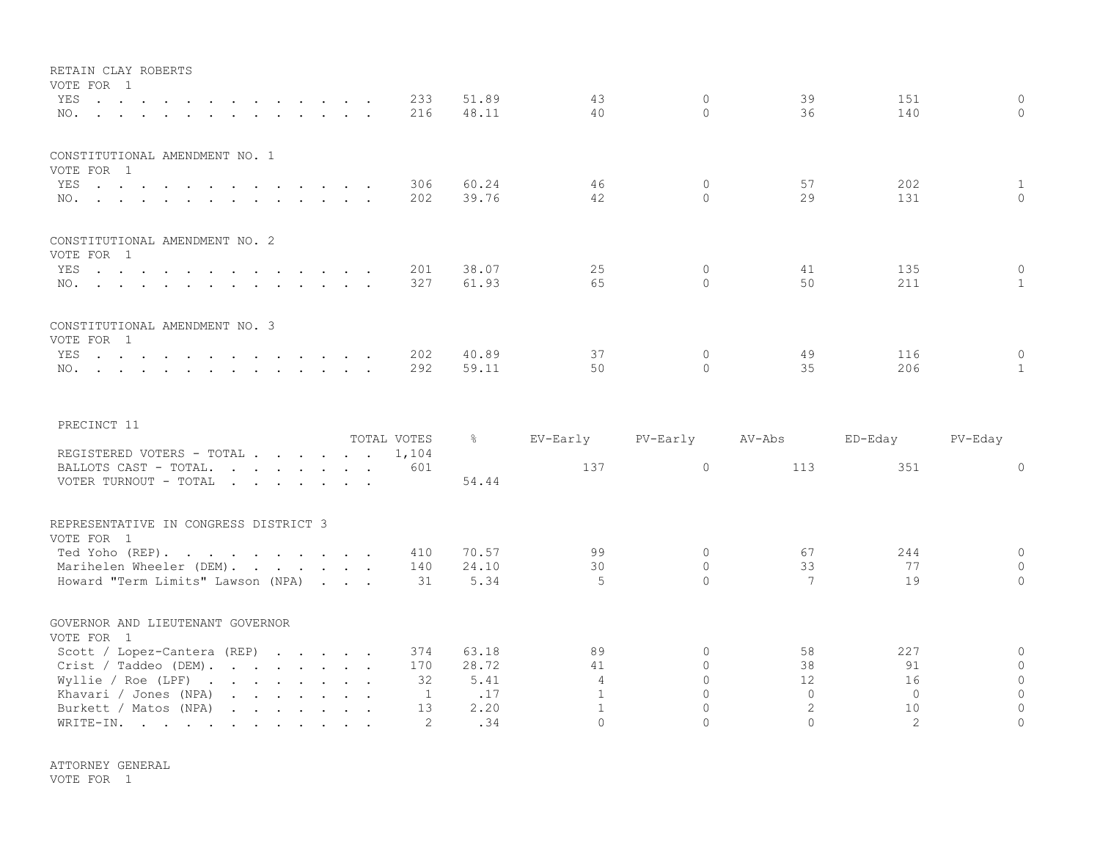| RETAIN CLAY ROBERTS                          |         |  |  |  |  |     |       |    |          |    |     |              |
|----------------------------------------------|---------|--|--|--|--|-----|-------|----|----------|----|-----|--------------|
| VOTE FOR 1                                   |         |  |  |  |  |     |       |    |          |    |     |              |
|                                              | YES 233 |  |  |  |  |     | 51.89 | 43 | $\Omega$ | 39 | 151 | $\Omega$     |
|                                              |         |  |  |  |  | 216 | 48.11 | 40 | $\Omega$ | 36 | 140 | $\cap$       |
| CONSTITUTIONAL AMENDMENT NO. 1               |         |  |  |  |  |     |       |    |          |    |     |              |
| VOTE FOR 1                                   |         |  |  |  |  |     |       |    |          |    |     |              |
|                                              | YES     |  |  |  |  | 306 | 60.24 | 46 |          | 57 | 202 | $\mathbf{1}$ |
|                                              | NO.     |  |  |  |  | 202 | 39.76 | 42 |          | 29 | 131 | $\cap$       |
| CONSTITUTIONAL AMENDMENT NO. 2<br>VOTE FOR 1 |         |  |  |  |  |     |       |    |          |    |     |              |
|                                              | YES 201 |  |  |  |  |     | 38.07 | 25 | 0        | 41 | 135 | $\circ$      |
|                                              | NO.     |  |  |  |  | 327 | 61.93 | 65 | $\Omega$ | 50 | 211 | $\mathbf{1}$ |
| CONSTITUTIONAL AMENDMENT NO. 3<br>VOTE FOR 1 |         |  |  |  |  |     |       |    |          |    |     |              |
|                                              | YES 202 |  |  |  |  |     | 40.89 | 37 | 0        | 49 | 116 | $\circ$      |
|                                              | NO.     |  |  |  |  | 292 | 59.11 | 50 | $\Omega$ | 35 | 206 | $\mathbf{1}$ |

| PRECINCT 11                                                                                                                      |             |       |          |          |        |                |          |
|----------------------------------------------------------------------------------------------------------------------------------|-------------|-------|----------|----------|--------|----------------|----------|
|                                                                                                                                  | TOTAL VOTES | ိဝ    | EV-Early | PV-Early | AV-Abs | ED-Eday        | PV-Eday  |
| REGISTERED VOTERS - TOTAL                                                                                                        | 1,104       |       |          |          |        |                |          |
| BALLOTS CAST - TOTAL.                                                                                                            | 601         |       | 137      | 0        | 113    | 351            | $\Omega$ |
| VOTER TURNOUT - TOTAL                                                                                                            |             | 54.44 |          |          |        |                |          |
| REPRESENTATIVE IN CONGRESS DISTRICT 3                                                                                            |             |       |          |          |        |                |          |
| VOTE FOR 1                                                                                                                       |             |       |          |          |        |                |          |
| Ted Yoho (REP).                                                                                                                  | 410         | 70.57 | 99       | $\Omega$ | 67     | 244            | 0        |
| Marihelen Wheeler (DEM).                                                                                                         | 140         | 24.10 | 30       | $\Omega$ | 33     | 77             | $\Omega$ |
| Howard "Term Limits" Lawson (NPA)                                                                                                | 31          | 5.34  | 5        |          |        | 19             | 0        |
| GOVERNOR AND LIEUTENANT GOVERNOR                                                                                                 |             |       |          |          |        |                |          |
| VOTE FOR 1                                                                                                                       |             |       |          |          |        |                |          |
| Scott / Lopez-Cantera (REP) $\cdot \cdot \cdot \cdot$                                                                            | 374         | 63.18 | 89       | 0        | 58     | 227            | $\Omega$ |
| Crist / Taddeo (DEM).                                                                                                            | 170         | 28.72 | 41       |          | 38     | 91             | $\Omega$ |
| Wyllie / Roe (LPF) $\cdot \cdot \cdot \cdot \cdot \cdot \cdot$                                                                   | 32          | 5.41  | 4        |          | 12     | 16             | $\Omega$ |
| Khavari / Jones (NPA)<br>and a strain and a strain and a strain                                                                  |             | .17   |          |          | 0      | 0              | $\Omega$ |
| Burkett / Matos (NPA)<br>$\mathbf{r} = \mathbf{r} + \mathbf{r} + \mathbf{r} + \mathbf{r} + \mathbf{r} + \mathbf{r} + \mathbf{r}$ | 13          | 2.20  |          |          |        | 10             | $\Omega$ |
| WRITE-IN.                                                                                                                        |             | .34   |          |          |        | $\mathfrak{D}$ |          |
|                                                                                                                                  |             |       |          |          |        |                |          |

ATTORNEY GENERAL VOTE FOR 1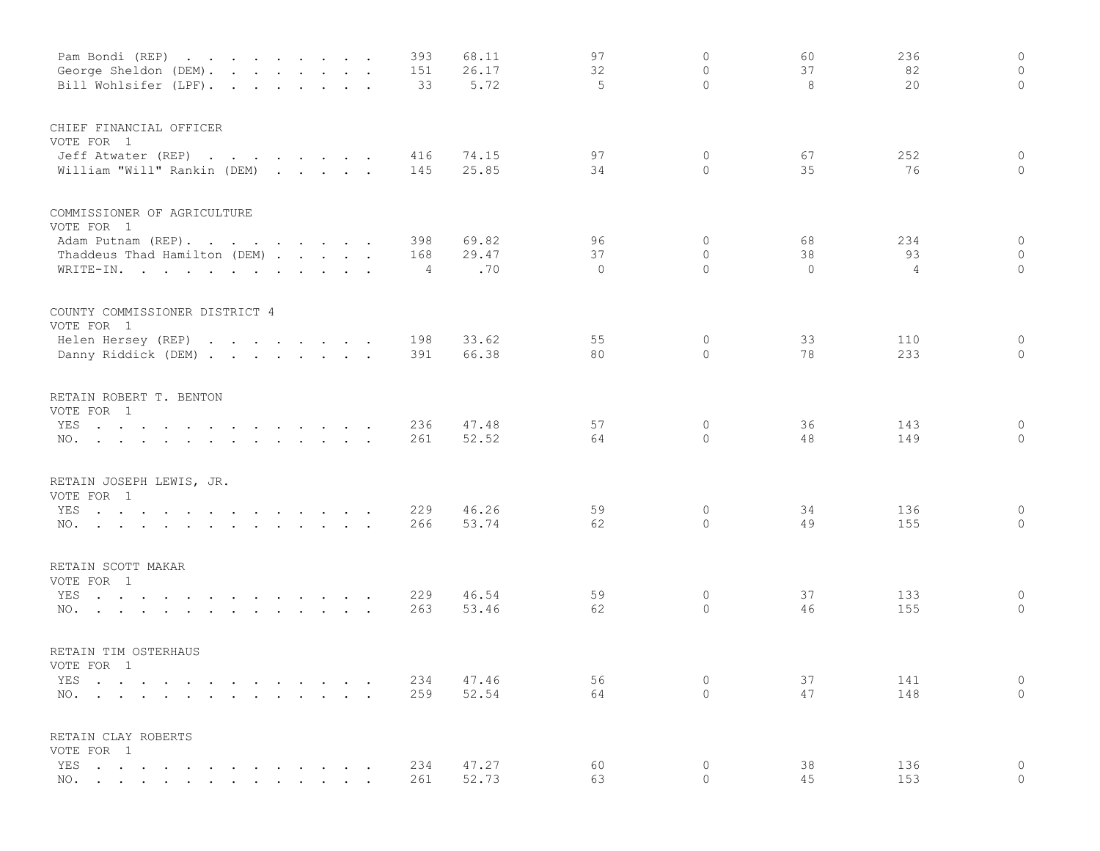| Pam Bondi (REP)<br>George Sheldon (DEM).<br>$\mathbf{r}$ , $\mathbf{r}$ , $\mathbf{r}$ , $\mathbf{r}$ , $\mathbf{r}$ , $\mathbf{r}$ , $\mathbf{r}$ |               | 393<br>151 | 68.11<br>26.17 | 97<br>32     | $\mathbb O$<br>$\circ$ | 60<br>37 | 236<br>82  | $\circ$<br>$\circ$ |
|----------------------------------------------------------------------------------------------------------------------------------------------------|---------------|------------|----------------|--------------|------------------------|----------|------------|--------------------|
| Bill Wohlsifer (LPF).                                                                                                                              |               | 33         | 5.72           | 5            | $\Omega$               | 8        | 20         | $\circ$            |
| CHIEF FINANCIAL OFFICER<br>VOTE FOR 1                                                                                                              |               |            |                |              |                        |          |            |                    |
| Jeff Atwater (REP)                                                                                                                                 |               | 416        | 74.15          | 97           | 0                      | 67       | 252        | $\circ$            |
| William "Will" Rankin (DEM)                                                                                                                        |               | 145        | 25.85          | 34           | $\circ$                | 35       | 76         | $\circ$            |
| COMMISSIONER OF AGRICULTURE                                                                                                                        |               |            |                |              |                        |          |            |                    |
| VOTE FOR 1<br>Adam Putnam (REP).                                                                                                                   |               | 398        | 69.82          | 96           | $\mathbf 0$            | 68       | 234        | $\circ$            |
| Thaddeus Thad Hamilton (DEM)                                                                                                                       |               | 168        | 29.47          | 37           | $\circ$                | 38       | 93         | $\circ$            |
| WRITE-IN.                                                                                                                                          |               | 4          | .70            | $\mathbf{0}$ | $\Omega$               | $\Omega$ | 4          | $\circ$            |
| COUNTY COMMISSIONER DISTRICT 4                                                                                                                     |               |            |                |              |                        |          |            |                    |
| VOTE FOR 1                                                                                                                                         |               |            |                |              |                        |          |            |                    |
| Helen Hersey (REP)<br>Danny Riddick (DEM)                                                                                                          |               | 198<br>391 | 33.62<br>66.38 | 55<br>80     | 0<br>$\circ$           | 33<br>78 | 110<br>233 | $\circ$<br>$\circ$ |
|                                                                                                                                                    |               |            |                |              |                        |          |            |                    |
| RETAIN ROBERT T. BENTON<br>VOTE FOR 1                                                                                                              |               |            |                |              |                        |          |            |                    |
| YES<br>the contract of the contract of the contract of the contract of the contract of the contract of the contract of                             |               | 236        | 47.48          | 57           | 0                      | 36       | 143        | 0                  |
| NO.                                                                                                                                                |               | 261        | 52.52          | 64           | $\circ$                | 48       | 149        | $\circ$            |
| RETAIN JOSEPH LEWIS, JR.                                                                                                                           |               |            |                |              |                        |          |            |                    |
| VOTE FOR 1                                                                                                                                         |               |            |                |              |                        |          |            |                    |
| YES<br>NO.                                                                                                                                         |               | 229<br>266 | 46.26<br>53.74 | 59<br>62     | 0<br>$\Omega$          | 34<br>49 | 136<br>155 | 0<br>$\circ$       |
|                                                                                                                                                    |               |            |                |              |                        |          |            |                    |
| RETAIN SCOTT MAKAR<br>VOTE FOR 1                                                                                                                   |               |            |                |              |                        |          |            |                    |
| YES<br>the contract of the contract of the contract of the contract of the contract of the contract of the contract of                             |               | 229        | 46.54          | 59           | 0                      | 37       | 133        | $\circ$            |
| $\mathbf{r}$ , and $\mathbf{r}$ , and $\mathbf{r}$ , and $\mathbf{r}$ , and $\mathbf{r}$ , and $\mathbf{r}$<br>NO.                                 |               | 263        | 53.46          | 62           | $\mathbb O$            | 46       | 155        | $\mathbb O$        |
| RETAIN TIM OSTERHAUS                                                                                                                               |               |            |                |              |                        |          |            |                    |
| VOTE FOR 1                                                                                                                                         |               |            |                |              |                        |          |            |                    |
| YES<br>$\sim$<br>$\sim$                                                                                                                            |               | 234        | 47.46          | 56           | $\mathbb O$            | 37       | 141        | $\circ$            |
| $NO.$ $\cdots$ $\cdots$ $\cdots$                                                                                                                   | $\sim$ $\sim$ | 259        | 52.54          | 64           | $\Omega$               | 47       | 148        | $\circ$            |
| RETAIN CLAY ROBERTS                                                                                                                                |               |            |                |              |                        |          |            |                    |
| VOTE FOR 1<br>YES                                                                                                                                  |               | 234        | 47.27          | 60           | $\circ$                | 38       | 136        | $\mathsf{O}$       |
| NO. .                                                                                                                                              |               | 261        | 52.73          | 63           | $\overline{0}$         | 45       | 153        | $\overline{0}$     |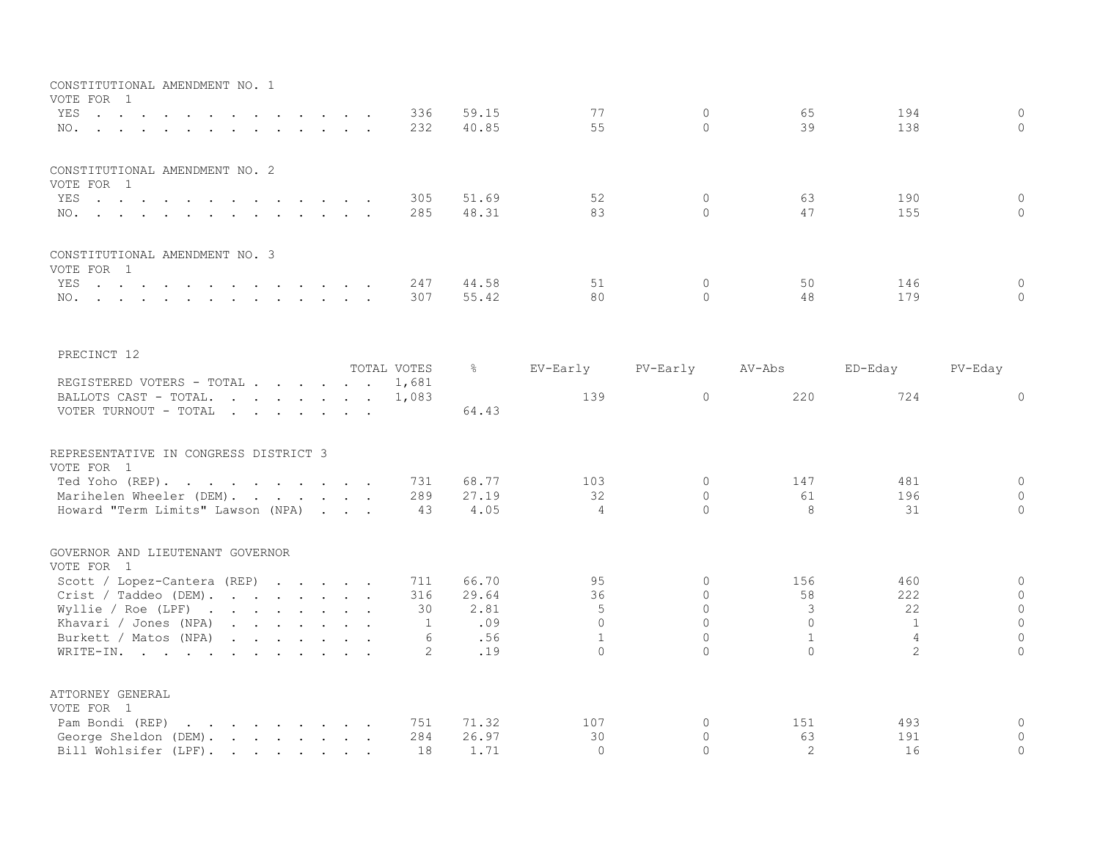| CONSTITUTIONAL AMENDMENT NO. 1<br>VOTE FOR 1                                                                                                                                                                                                                                                 |                |                          |                          |                        |                     |                            |
|----------------------------------------------------------------------------------------------------------------------------------------------------------------------------------------------------------------------------------------------------------------------------------------------|----------------|--------------------------|--------------------------|------------------------|---------------------|----------------------------|
| 336<br>YES<br>$\sim$ $\sim$ $\sim$<br>232<br>NO.                                                                                                                                                                                                                                             | 59.15<br>40.85 | 77<br>55                 | $\mathbf{0}$<br>$\Omega$ | 65<br>39               | 194<br>138          | $\circ$<br>$\Omega$        |
| CONSTITUTIONAL AMENDMENT NO. 2<br>VOTE FOR 1                                                                                                                                                                                                                                                 |                |                          |                          |                        |                     |                            |
| YES<br>305<br>والمتناول والمتناول والمتناول والمتناول والمتناول                                                                                                                                                                                                                              | 51.69          | 52                       | $\circ$                  | 63                     | 190                 | $\mathsf{O}\xspace$        |
| 285<br>NO.                                                                                                                                                                                                                                                                                   | 48.31          | 83                       | $\Omega$                 | 47                     | 155                 | $\Omega$                   |
| CONSTITUTIONAL AMENDMENT NO. 3                                                                                                                                                                                                                                                               |                |                          |                          |                        |                     |                            |
| VOTE FOR 1<br>YES<br>247<br>the contract of the contract of the contract of the contract of the contract of the contract of the contract of                                                                                                                                                  | 44.58          | 51                       | $\Omega$                 | 50                     | 146                 | $\mathbf{0}$               |
| 307<br>NO.<br>the contract of the contract of the contract of the contract of the contract of the contract of the contract of                                                                                                                                                                | 55.42          | 80                       | $\Omega$                 | 48                     | 179                 | $\circ$                    |
| PRECINCT 12                                                                                                                                                                                                                                                                                  |                |                          |                          |                        |                     |                            |
| TOTAL VOTES                                                                                                                                                                                                                                                                                  | ိင             | EV-Early                 | PV-Early                 | AV-Abs                 | ED-Eday             | PV-Eday                    |
| REGISTERED VOTERS - TOTAL<br>1,681                                                                                                                                                                                                                                                           |                |                          |                          |                        |                     |                            |
| BALLOTS CAST - TOTAL.<br>1,083<br>and the contract of the contract of the contract of the contract of the contract of the contract of the contract of the contract of the contract of the contract of the contract of the contract of the contract of the contra<br>VOTER TURNOUT - TOTAL    | 64.43          | 139                      | $\circ$                  | 220                    | 724                 | $\Omega$                   |
| REPRESENTATIVE IN CONGRESS DISTRICT 3                                                                                                                                                                                                                                                        |                |                          |                          |                        |                     |                            |
| VOTE FOR 1<br>Ted Yoho (REP).<br>731                                                                                                                                                                                                                                                         | 68.77          | 103                      | $\Omega$                 | 147                    | 481                 | $\mathbf 0$                |
| Marihelen Wheeler (DEM).<br>289                                                                                                                                                                                                                                                              | 27.19          | 32                       | $\Omega$                 | 61                     | 196                 | $\Omega$                   |
| Howard "Term Limits" Lawson (NPA)<br>43                                                                                                                                                                                                                                                      | 4.05           | $\overline{4}$           | $\Omega$                 | 8                      | 31                  | $\mathbf{0}$               |
| GOVERNOR AND LIEUTENANT GOVERNOR<br>VOTE FOR 1                                                                                                                                                                                                                                               |                |                          |                          |                        |                     |                            |
| Scott / Lopez-Cantera (REP) $\cdot \cdot \cdot \cdot$<br>711                                                                                                                                                                                                                                 | 66.70          | 95                       | 0                        | 156                    | 460                 | $\mathsf{O}\xspace$        |
| Crist / Taddeo (DEM).<br>316                                                                                                                                                                                                                                                                 | 29.64          | 36                       | $\circ$                  | 58                     | 222                 | $\mathbf{0}$               |
| 30<br>Wyllie / Roe (LPF) $\cdot \cdot \cdot \cdot \cdot \cdot \cdot \cdot$                                                                                                                                                                                                                   | 2.81           | .5                       | $\Omega$                 | 3                      | 22                  | $\circ$                    |
| Khavari / Jones (NPA) $\cdots$ $\cdots$<br>1                                                                                                                                                                                                                                                 | .09            | $\Omega$                 | $\Omega$<br>$\Omega$     | $\Omega$               | 1                   | $\mathbb O$                |
| Burkett / Matos (NPA)<br>6<br>WRITE-IN.<br>2                                                                                                                                                                                                                                                 | .56<br>.19     | $\mathbf{1}$<br>$\Omega$ | $\cap$                   | $\mathbf{1}$<br>$\cap$ | 4<br>$\overline{2}$ | $\circ$<br>$\Omega$        |
| ATTORNEY GENERAL                                                                                                                                                                                                                                                                             |                |                          |                          |                        |                     |                            |
| VOTE FOR 1                                                                                                                                                                                                                                                                                   |                |                          |                          |                        |                     |                            |
| Pam Bondi (REP)<br>$\mathcal{A}$ . The set of the set of the set of the set of the set of the set of the set of the set of the set of the set of the set of the set of the set of the set of the set of the set of the set of the set of the set of t<br>751<br>284<br>George Sheldon (DEM). | 71.32<br>26.97 | 107<br>30                | 0<br>$\circ$             | 151<br>63              | 493<br>191          | $\mathbb O$<br>$\mathbf 0$ |
| Bill Wohlsifer (LPF).<br>18                                                                                                                                                                                                                                                                  | 1.71           | $\bigcap$                | $\Omega$                 | $\mathcal{L}$          | 16                  | $\Omega$                   |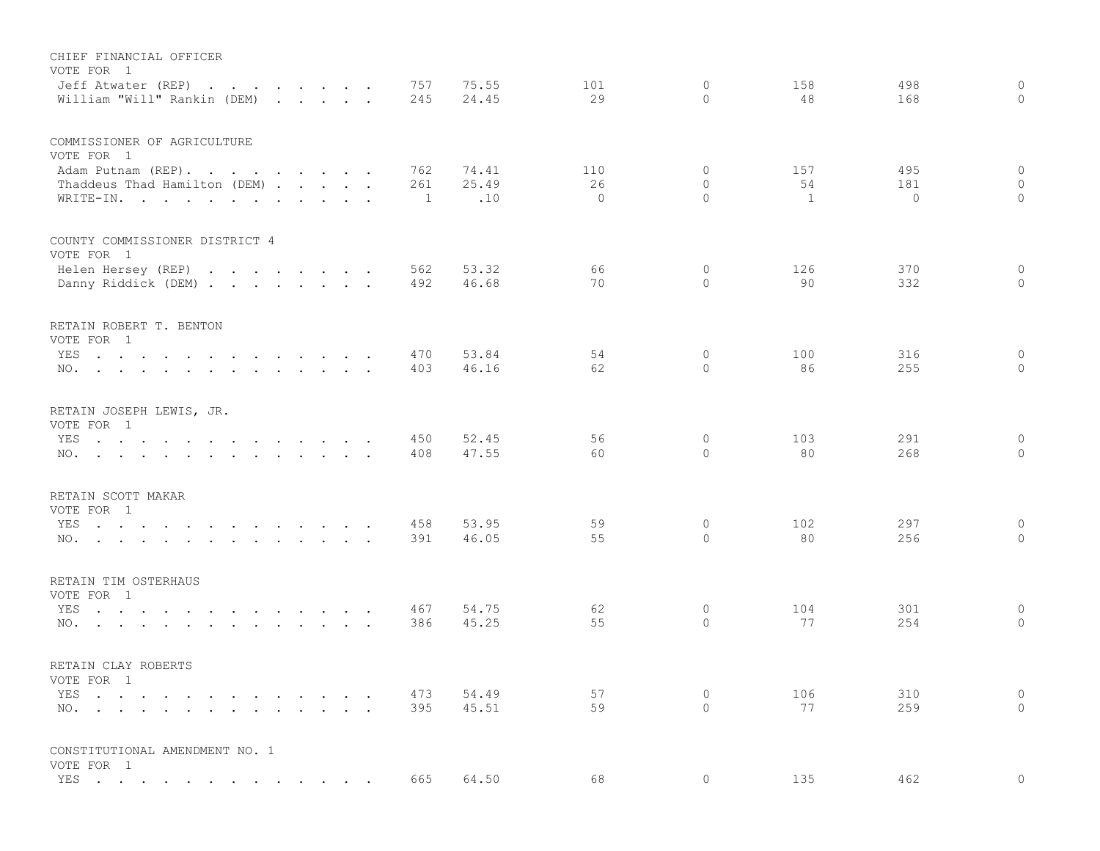| CHIEF FINANCIAL OFFICER<br>VOTE FOR 1<br>Jeff Atwater (REP)<br>William "Will" Rankin (DEM)                             |                             |  |                      | 757<br>245            | 75.55<br>24.45 | 101<br>29      | $\circ$<br>$\Omega$ | 158<br>48 | 498<br>168     | $\circ$<br>$\circ$  |
|------------------------------------------------------------------------------------------------------------------------|-----------------------------|--|----------------------|-----------------------|----------------|----------------|---------------------|-----------|----------------|---------------------|
| COMMISSIONER OF AGRICULTURE                                                                                            |                             |  |                      |                       |                |                |                     |           |                |                     |
| VOTE FOR 1                                                                                                             |                             |  |                      |                       |                |                |                     |           |                |                     |
| Adam Putnam (REP).                                                                                                     |                             |  |                      | 762                   | 74.41          | 110            | 0                   | 157       | 495            | $\circ$             |
| Thaddeus Thad Hamilton (DEM)<br>WRITE-IN.                                                                              |                             |  |                      | 261<br>$\overline{1}$ | 25.49<br>.10   | 26<br>$\Omega$ | $\circ$<br>$\Omega$ | 54<br>1   | 181<br>$\circ$ | $\circ$<br>$\circ$  |
| COUNTY COMMISSIONER DISTRICT 4                                                                                         |                             |  |                      |                       |                |                |                     |           |                |                     |
| VOTE FOR 1                                                                                                             |                             |  |                      |                       |                |                |                     |           |                |                     |
| Helen Hersey (REP)                                                                                                     |                             |  |                      | 562                   | 53.32          | 66             | 0                   | 126       | 370            | $\circ$             |
| Danny Riddick (DEM)                                                                                                    |                             |  |                      | 492                   | 46.68          | 70             | $\Omega$            | 90        | 332            | $\circ$             |
| RETAIN ROBERT T. BENTON                                                                                                |                             |  |                      |                       |                |                |                     |           |                |                     |
| VOTE FOR 1                                                                                                             |                             |  |                      |                       |                |                |                     |           |                |                     |
| YES<br>the contract of the contract of the contract of the contract of the contract of the contract of the contract of |                             |  |                      | 470                   | 53.84          | 54             | $\mathbf{0}$        | 100       | 316            | 0                   |
| NO.                                                                                                                    |                             |  |                      | 403                   | 46.16          | 62             | $\circ$             | 86        | 255            | $\circ$             |
| RETAIN JOSEPH LEWIS, JR.                                                                                               |                             |  |                      |                       |                |                |                     |           |                |                     |
| VOTE FOR 1                                                                                                             |                             |  |                      |                       |                |                |                     |           |                |                     |
| the contract of the contract of the contract of the contract of the contract of the contract of the contract of<br>YES |                             |  |                      | 450<br>408            | 52.45<br>47.55 | 56<br>60       | 0<br>$\circ$        | 103<br>80 | 291<br>268     | $\circ$<br>$\Omega$ |
| NO.                                                                                                                    |                             |  |                      |                       |                |                |                     |           |                |                     |
| RETAIN SCOTT MAKAR                                                                                                     |                             |  |                      |                       |                |                |                     |           |                |                     |
| VOTE FOR 1                                                                                                             |                             |  |                      |                       |                |                |                     |           |                |                     |
| YES<br>the contract of the contract of the contract of the contract of the contract of the contract of the contract of |                             |  |                      | 458                   | 53.95          | 59<br>55       | 0<br>$\Omega$       | 102<br>80 | 297<br>256     | 0<br>$\Omega$       |
| NO.                                                                                                                    |                             |  |                      | 391                   | 46.05          |                |                     |           |                |                     |
| RETAIN TIM OSTERHAUS                                                                                                   |                             |  |                      |                       |                |                |                     |           |                |                     |
| VOTE FOR 1                                                                                                             |                             |  |                      |                       |                |                |                     |           |                |                     |
| YES                                                                                                                    |                             |  |                      | 467                   | 54.75          | 62<br>55       | 0                   | 104<br>77 | 301<br>254     | $\circ$             |
| NO.                                                                                                                    |                             |  |                      | 386                   | 45.25          |                | $\circ$             |           |                | 0                   |
| RETAIN CLAY ROBERTS                                                                                                    |                             |  |                      |                       |                |                |                     |           |                |                     |
| VOTE FOR 1                                                                                                             |                             |  |                      |                       |                |                |                     |           |                |                     |
| YES                                                                                                                    | $\sim$ $\sim$ $\sim$ $\sim$ |  | $\ddot{\phantom{0}}$ | 473                   | 54.49          | 57             | 0                   | 106       | 310            | $\circ$             |
| NO.                                                                                                                    |                             |  | $\sim$ $\sim$        | 395                   | 45.51          | 59             | $\circ$             | 77        | 259            | $\circ$             |
| CONSTITUTIONAL AMENDMENT NO. 1                                                                                         |                             |  |                      |                       |                |                |                     |           |                |                     |
| VOTE FOR 1                                                                                                             |                             |  |                      |                       |                |                |                     |           |                |                     |
| YES                                                                                                                    |                             |  | $\sim$ $\sim$        | 665                   | 64.50          | 68             | 0                   | 135       | 462            | $\circ$             |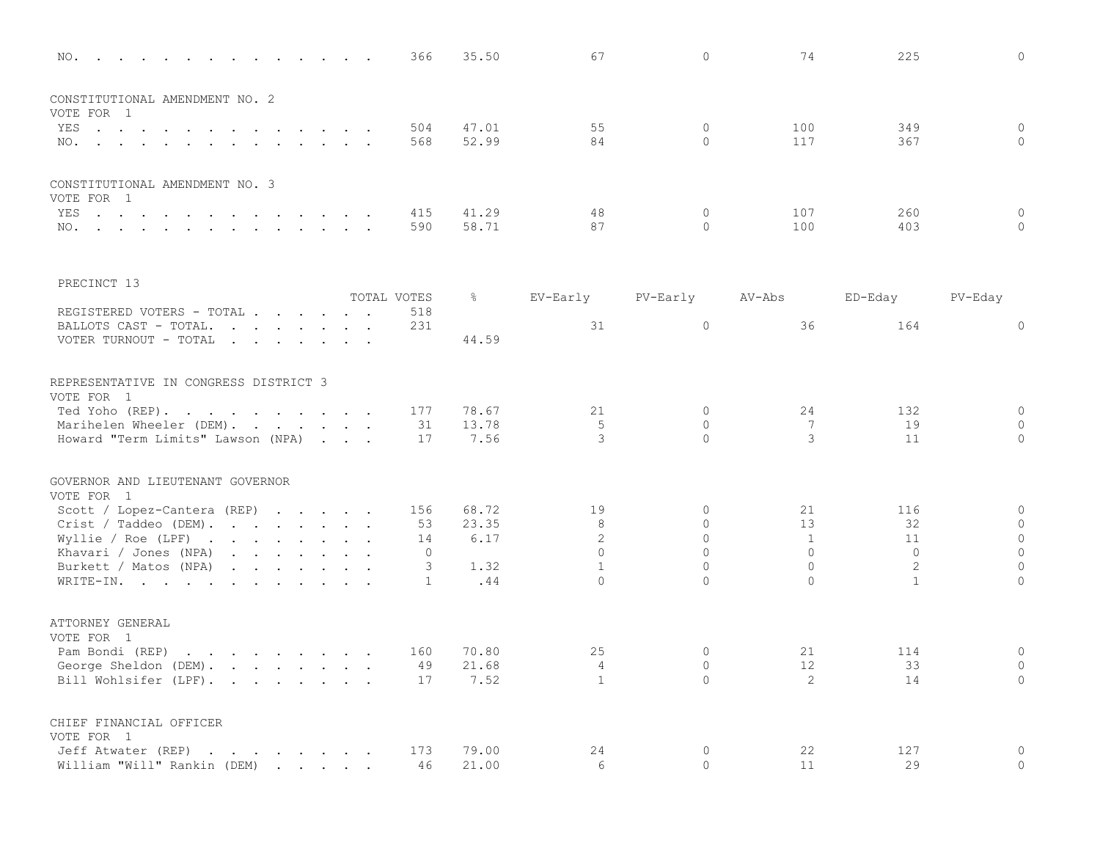| NO.                                                                 |             | 366          | 35.50         | 67                 | $\mathbf{0}$         | 74                | 225      | $\circ$             |
|---------------------------------------------------------------------|-------------|--------------|---------------|--------------------|----------------------|-------------------|----------|---------------------|
| CONSTITUTIONAL AMENDMENT NO. 2<br>VOTE FOR 1                        |             |              |               |                    |                      |                   |          |                     |
| YES                                                                 |             | 504          | 47.01         | 55                 | $\mathbf{0}$         | 100               | 349      | $\overline{0}$      |
| NO.                                                                 |             | 568          | 52.99         | 84                 | $\Omega$             | 117               | 367      | $\Omega$            |
| CONSTITUTIONAL AMENDMENT NO. 3<br>VOTE FOR 1                        |             |              |               |                    |                      |                   |          |                     |
| YES                                                                 |             | 415          | 41.29         | 48                 | $\mathbf{0}$         | 107               | 260      | $\mathbf 0$         |
| NO.                                                                 |             | 590          | 58.71         | 87                 | $\Omega$             | 100               | 403      | $\mathbf 0$         |
| PRECINCT 13                                                         |             |              |               |                    |                      |                   |          |                     |
|                                                                     | TOTAL VOTES |              | $\frac{5}{6}$ | EV-Early           | PV-Early             | AV-Abs            | ED-Eday  | PV-Eday             |
| REGISTERED VOTERS - TOTAL<br>BALLOTS CAST - TOTAL.                  |             | 518<br>231   |               | 31                 | $\overline{0}$       | 36                | 164      | $\mathbf 0$         |
| VOTER TURNOUT - TOTAL                                               |             |              | 44.59         |                    |                      |                   |          |                     |
| REPRESENTATIVE IN CONGRESS DISTRICT 3<br>VOTE FOR 1                 |             |              |               |                    |                      |                   |          |                     |
| Ted Yoho (REP).                                                     |             | 177          | 78.67         | 21                 | $\mathbf{0}$         | 24                | 132      | $\mathsf{O}\xspace$ |
| Marihelen Wheeler (DEM).<br>Howard "Term Limits" Lawson (NPA)       |             | 31<br>17     | 13.78<br>7.56 | 5<br>$\mathcal{E}$ | $\Omega$<br>$\Omega$ | 7<br>3            | 19<br>11 | $\circ$<br>$\circ$  |
| GOVERNOR AND LIEUTENANT GOVERNOR                                    |             |              |               |                    |                      |                   |          |                     |
| VOTE FOR 1<br>Scott / Lopez-Cantera (REP) $\cdot \cdot \cdot \cdot$ |             | 156          | 68.72         | 19                 | $\mathbf 0$          | 21                | 116      | $\mathbf 0$         |
| Crist / Taddeo (DEM).                                               |             | 53           | 23.35         | 8                  | $\mathbf{0}$         | 13                | 32       | $\circ$             |
| Wyllie / Roe (LPF) $\cdot \cdot \cdot \cdot \cdot \cdot \cdot$      |             | 14           | 6.17          | 2                  | $\Omega$             | 1                 | 11       | $\circ$             |
| Khavari / Jones (NPA)                                               |             | $\mathbf 0$  |               | $\Omega$           | $\Omega$             | $\Omega$          | $\Omega$ | $\mathbf{0}$        |
| Burkett / Matos (NPA)                                               |             | 3            | 1.32          | $\mathbf{1}$       | $\Omega$             | $\Omega$          | 2        | $\Omega$            |
| WRITE-IN.                                                           |             | $\mathbf{1}$ | .44           | $\Omega$           | $\Omega$             | $\Omega$          | 1        | $\Omega$            |
| ATTORNEY GENERAL                                                    |             |              |               |                    |                      |                   |          |                     |
| VOTE FOR 1<br>Pam Bondi (REP)                                       |             | 160          | 70.80         | 25                 | $\mathbf{0}$         | 21                | 114      | $\circ$             |
| George Sheldon (DEM).                                               |             | 49           | 21.68         | 4                  | $\circ$              | $12 \overline{ }$ | 33       | $\overline{0}$      |
| Bill Wohlsifer (LPF).                                               |             | 17           | 7.52          | $\mathbf{1}$       | $\Omega$             | 2                 | 14       | $\Omega$            |
| CHIEF FINANCIAL OFFICER<br>VOTE FOR 1                               |             |              |               |                    |                      |                   |          |                     |
| Jeff Atwater (REP)                                                  |             | 173          | 79.00         | 24                 | $\circ$              | 22                | 127      | $\circ$             |
| William "Will" Rankin (DEM)                                         |             | 46           | 21.00         | 6                  | $\Omega$             | 11                | 29       | $\overline{0}$      |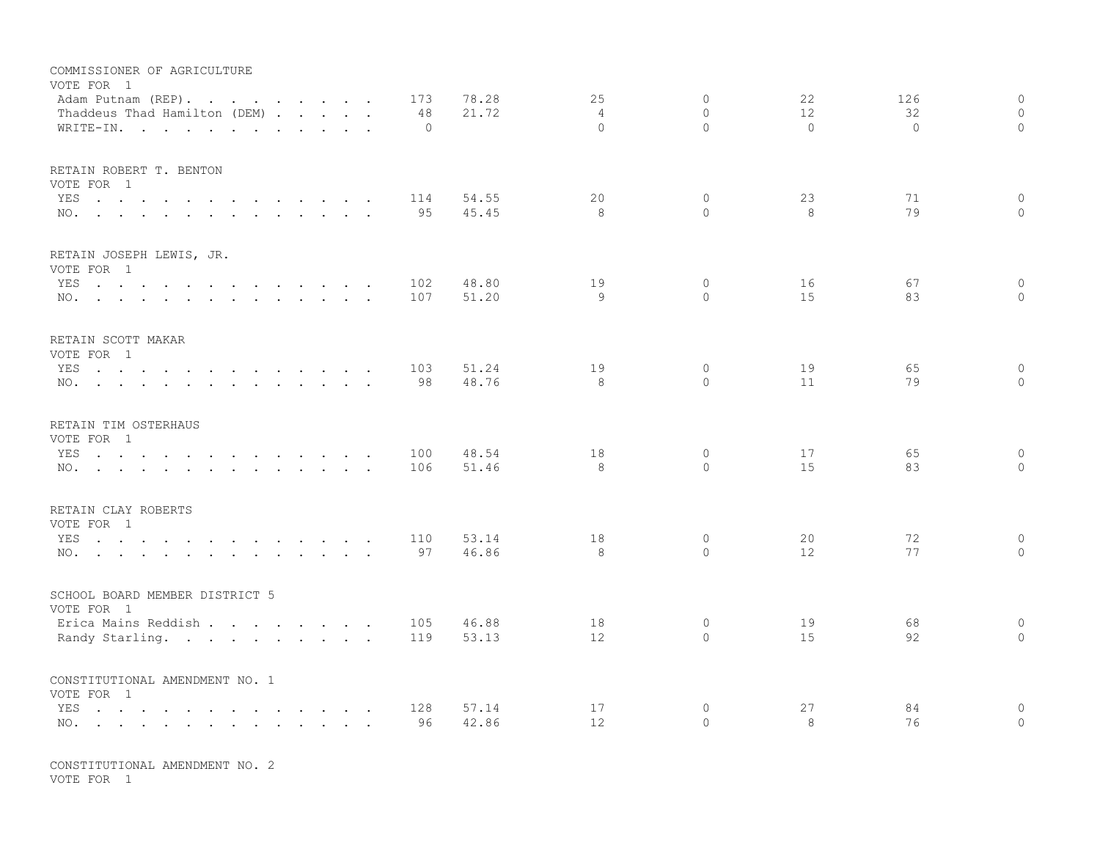| COMMISSIONER OF AGRICULTURE<br>VOTE FOR 1<br>Adam Putnam (REP).<br>Thaddeus Thad Hamilton (DEM)<br>WRITE-IN.                                                            |               | 173<br>48<br>$\Omega$ | 78.28<br>21.72 | 25<br>$\overline{4}$<br>$\Omega$ | $\Omega$<br>$\Omega$<br>$\Omega$ | 22<br>12<br>$\Omega$ | 126<br>32<br>$\Omega$ | $\circ$<br>$\Omega$<br>$\Omega$ |
|-------------------------------------------------------------------------------------------------------------------------------------------------------------------------|---------------|-----------------------|----------------|----------------------------------|----------------------------------|----------------------|-----------------------|---------------------------------|
| RETAIN ROBERT T. BENTON<br>VOTE FOR 1<br>YES<br>NO.                                                                                                                     |               | 114<br>95             | 54.55<br>45.45 | 20<br>8                          | $\circ$<br>$\Omega$              | 23<br>8              | 71<br>79              | $\circ$<br>$\Omega$             |
| RETAIN JOSEPH LEWIS, JR.<br>VOTE FOR 1<br>YES<br>the contract of the contract of the contract of the contract of the contract of the contract of the contract of<br>NO. |               | 102<br>107            | 48.80<br>51.20 | 19<br>9                          | $\circ$<br>$\Omega$              | 16<br>15             | 67<br>83              | $\circ$<br>$\Omega$             |
| RETAIN SCOTT MAKAR<br>VOTE FOR 1<br>YES<br>NO.                                                                                                                          |               | 103<br>98             | 51.24<br>48.76 | 19<br>8                          | $\circ$<br>$\Omega$              | 19<br>11             | 65<br>79              | $\mathbf 0$<br>$\mathbf 0$      |
| RETAIN TIM OSTERHAUS<br>VOTE FOR 1<br>YES<br>the contract of the contract of the contract of the contract of the contract of the contract of the contract of<br>NO.     |               | 100<br>106            | 48.54<br>51.46 | 18<br>8                          | $\circ$<br>$\Omega$              | 17<br>15             | 65<br>83              | $\mathbf{0}$<br>$\mathbf 0$     |
| RETAIN CLAY ROBERTS<br>VOTE FOR 1<br>YES<br>NO.                                                                                                                         |               | 110<br>97             | 53.14<br>46.86 | 18<br>8                          | 0<br>$\Omega$                    | 20<br>12             | 72<br>77              | $\circ$<br>$\circ$              |
| SCHOOL BOARD MEMBER DISTRICT 5<br>VOTE FOR 1<br>Erica Mains Reddish                                                                                                     |               | 105                   | 46.88          | 18                               | $\circ$<br>$\circ$               | 19                   | 68                    | $\mathbf 0$<br>$\circ$          |
| Randy Starling.<br>CONSTITUTIONAL AMENDMENT NO. 1<br>VOTE FOR 1                                                                                                         |               | 119                   | 53.13          | 12                               |                                  | 15                   | 92                    |                                 |
| YES<br>the contract of the contract of the contract of the contract of the contract of the contract of the contract of<br>NO.                                           | $\sim$ $\sim$ | 128<br>96             | 57.14<br>42.86 | 17<br>$12 \overline{ }$          | 0<br>$\Omega$                    | 27<br>8              | 84<br>76              | $\circ$<br>$\mathbf 0$          |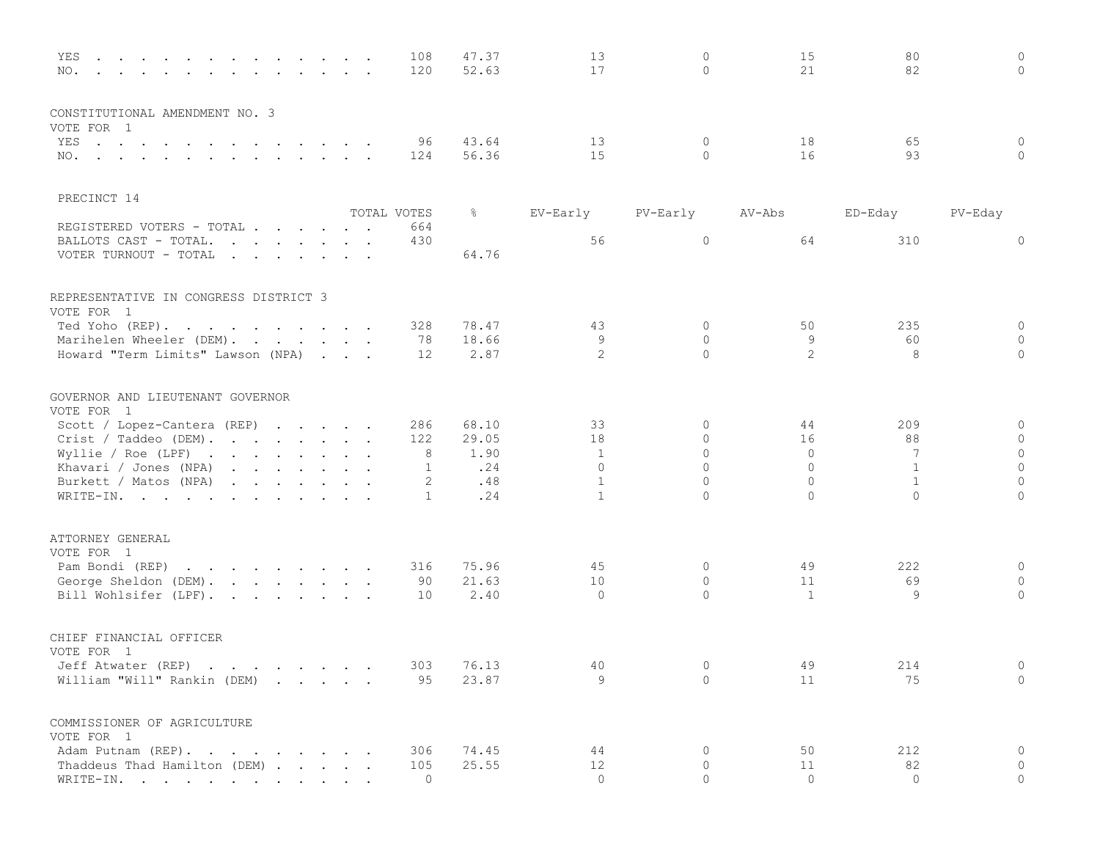| YES<br>the contract of the contract of the contract of the contract of<br>NO.<br>$\mathbf{r}$ , $\mathbf{r}$ , $\mathbf{r}$ , $\mathbf{r}$<br>$\sim$<br>$\sim$                                                                                                                      |  | 108<br>120     | 47.37<br>52.63 | 13<br>17     | $\mathbf 0$<br>$\mathbf{0}$ | 15<br>21     | 80<br>82     | $\mathbf{0}$<br>$\mathbf{0}$ |
|-------------------------------------------------------------------------------------------------------------------------------------------------------------------------------------------------------------------------------------------------------------------------------------|--|----------------|----------------|--------------|-----------------------------|--------------|--------------|------------------------------|
| CONSTITUTIONAL AMENDMENT NO. 3<br>VOTE FOR 1                                                                                                                                                                                                                                        |  |                |                |              |                             |              |              |                              |
| YES<br>the contract of the contract of the contract of the contract of the contract of the contract of the contract of                                                                                                                                                              |  | 96             | 43.64          | 13           | $\mathbf 0$                 | 18           | 65           | $\mathbf 0$                  |
| NO.                                                                                                                                                                                                                                                                                 |  | 124            | 56.36          | 15           | $\circ$                     | 16           | 93           | $\circ$                      |
| PRECINCT 14                                                                                                                                                                                                                                                                         |  |                |                |              |                             |              |              |                              |
|                                                                                                                                                                                                                                                                                     |  | TOTAL VOTES    | ိဝ             | EV-Early     | PV-Early                    | AV-Abs       | ED-Eday      | PV-Eday                      |
| REGISTERED VOTERS - TOTAL                                                                                                                                                                                                                                                           |  | 664            |                |              |                             |              |              |                              |
| BALLOTS CAST - TOTAL.<br>$\mathbf{r}$ . The contract of the contract of the contract of the contract of the contract of the contract of the contract of the contract of the contract of the contract of the contract of the contract of the contract of th<br>VOTER TURNOUT - TOTAL |  | 430            | 64.76          | 56           | $\circ$                     | 64           | 310          | $\circ$                      |
| REPRESENTATIVE IN CONGRESS DISTRICT 3<br>VOTE FOR 1                                                                                                                                                                                                                                 |  |                |                |              |                             |              |              |                              |
| Ted Yoho (REP).                                                                                                                                                                                                                                                                     |  | 328            | 78.47          | 43           | $\circ$                     | 50           | 235          | $\circ$                      |
| Marihelen Wheeler (DEM).                                                                                                                                                                                                                                                            |  | 78             | 18.66          | 9            | $\circ$                     | 9            | 60           | $\mathbf{0}$                 |
| Howard "Term Limits" Lawson (NPA)                                                                                                                                                                                                                                                   |  | 12             | 2.87           | 2            | $\mathbf{0}$                | 2            | 8            | $\mathbf{0}$                 |
| GOVERNOR AND LIEUTENANT GOVERNOR<br>VOTE FOR 1                                                                                                                                                                                                                                      |  |                |                |              |                             |              |              |                              |
| Scott / Lopez-Cantera (REP)                                                                                                                                                                                                                                                         |  | 286            | 68.10          | 33           | 0                           | 44           | 209          | $\circ$                      |
| Crist / Taddeo (DEM).                                                                                                                                                                                                                                                               |  | 122            | 29.05          | 18           | $\mathbf 0$                 | 16           | 88           | $\circ$                      |
| Wyllie / Roe (LPF) $\cdot \cdot \cdot \cdot \cdot \cdot \cdot$                                                                                                                                                                                                                      |  | 8              | 1.90           | $\mathbf{1}$ | $\mathbf{0}$                | $\circ$      | 7            | $\circ$                      |
| Khavari / Jones (NPA)                                                                                                                                                                                                                                                               |  | $\mathbf{1}$   | .24            | $\Omega$     | $\Omega$                    | $\circ$      | $\mathbf{1}$ | $\circ$                      |
| Burkett / Matos (NPA)                                                                                                                                                                                                                                                               |  | 2              | .48            | $\mathbf{1}$ | $\Omega$                    | $\Omega$     | $\mathbf{1}$ | $\circ$                      |
| WRITE-IN.                                                                                                                                                                                                                                                                           |  | $\mathbf{1}$   | .24            | $\mathbf{1}$ | $\mathbf{0}$                | $\circ$      | $\circ$      | $\circ$                      |
| ATTORNEY GENERAL                                                                                                                                                                                                                                                                    |  |                |                |              |                             |              |              |                              |
| VOTE FOR 1                                                                                                                                                                                                                                                                          |  |                |                |              |                             |              |              |                              |
| Pam Bondi (REP)<br>the contract of the contract of the contract of the contract of the contract of the contract of the contract of                                                                                                                                                  |  | 316            | 75.96<br>21.63 | 45<br>10     | $\mathbf 0$<br>$\mathbf{0}$ | 49<br>11     | 222<br>69    | $\mathbf 0$<br>$\mathbf{0}$  |
| George Sheldon (DEM).                                                                                                                                                                                                                                                               |  | 90             |                | $\circ$      | $\circ$                     |              |              | $\overline{0}$               |
| Bill Wohlsifer (LPF).                                                                                                                                                                                                                                                               |  | 10             | 2.40           |              |                             | $\mathbf{1}$ | 9            |                              |
| CHIEF FINANCIAL OFFICER<br>VOTE FOR 1                                                                                                                                                                                                                                               |  |                |                |              |                             |              |              |                              |
| Jeff Atwater (REP)                                                                                                                                                                                                                                                                  |  | 303            | 76.13          | 40           | $\mathbf 0$                 | 49           | 214          | $\mathbf{0}$                 |
| William "Will" Rankin (DEM)                                                                                                                                                                                                                                                         |  | 95             | 23.87          | 9            | $\circ$                     | 11           | 75           | $\circ$                      |
| COMMISSIONER OF AGRICULTURE<br>VOTE FOR 1                                                                                                                                                                                                                                           |  |                |                |              |                             |              |              |                              |
| Adam Putnam (REP).                                                                                                                                                                                                                                                                  |  | 306            | 74.45          | 44           | 0                           | 50           | 212          | $\circ$                      |
| Thaddeus Thad Hamilton (DEM)                                                                                                                                                                                                                                                        |  | 105            | 25.55          | 12           | $\circ$                     | 11           | 82           | $\circ$                      |
| WRITE-IN.                                                                                                                                                                                                                                                                           |  | $\overline{0}$ |                | $\circ$      | $\mathbf{0}$                | $\circ$      | $\circ$      | $\circ$                      |
|                                                                                                                                                                                                                                                                                     |  |                |                |              |                             |              |              |                              |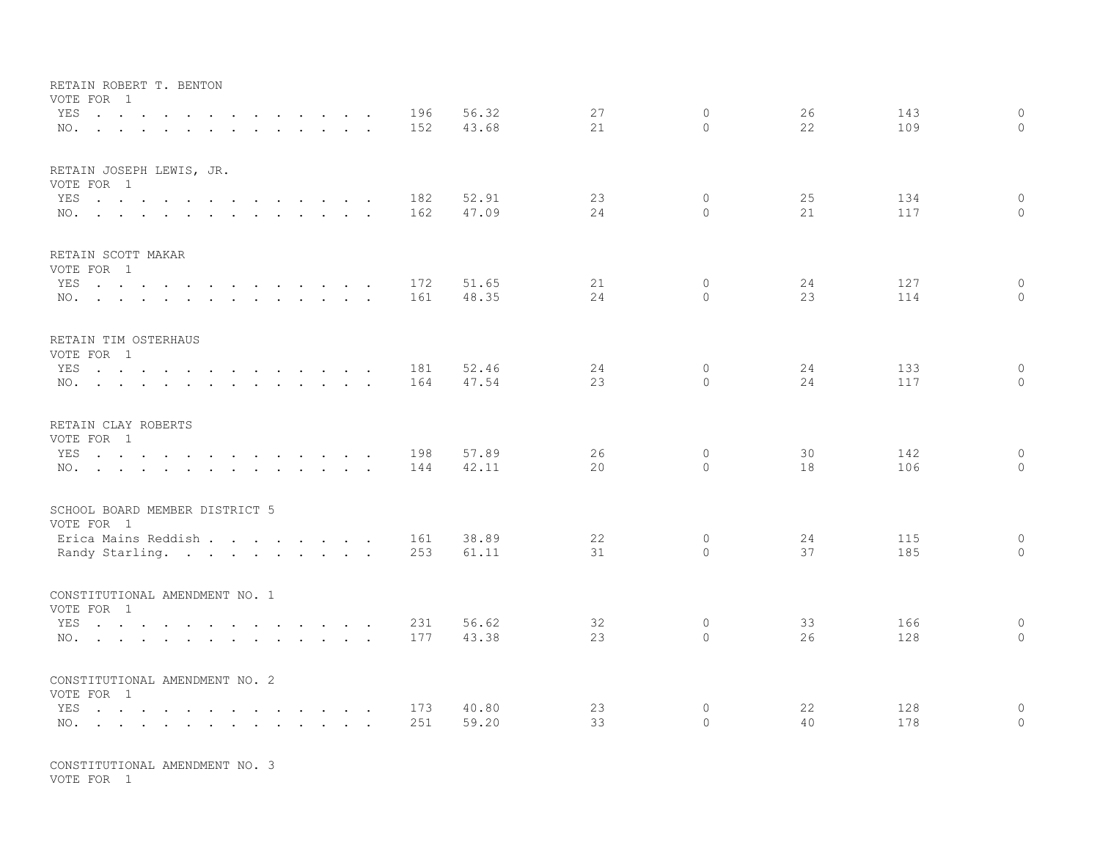| RETAIN ROBERT T. BENTON<br>VOTE FOR 1                                                                                                                                                                                                        |  |            |                |          |                            |          |            |                              |
|----------------------------------------------------------------------------------------------------------------------------------------------------------------------------------------------------------------------------------------------|--|------------|----------------|----------|----------------------------|----------|------------|------------------------------|
| YES<br>the contract of the contract of the contract of the contract of the contract of the contract of the contract of<br>NO.                                                                                                                |  | 196<br>152 | 56.32<br>43.68 | 27<br>21 | $\overline{0}$<br>$\Omega$ | 26<br>22 | 143<br>109 | $\mathbf{0}$<br>$\mathbf{0}$ |
| RETAIN JOSEPH LEWIS, JR.<br>VOTE FOR 1                                                                                                                                                                                                       |  |            |                |          |                            |          |            |                              |
| YES $\cdots$<br>NO.                                                                                                                                                                                                                          |  | 182<br>162 | 52.91<br>47.09 | 23<br>24 | $\circ$<br>$\Omega$        | 25<br>21 | 134<br>117 | $\circ$<br>$\Omega$          |
| RETAIN SCOTT MAKAR<br>VOTE FOR 1                                                                                                                                                                                                             |  |            |                |          |                            |          |            |                              |
| YES<br>the contract of the contract of the contract of the contract of the contract of the contract of the contract of<br>NO.                                                                                                                |  | 172<br>161 | 51.65<br>48.35 | 21<br>24 | $\overline{0}$<br>$\Omega$ | 24<br>23 | 127<br>114 | $\mathbf 0$<br>$\mathbf{0}$  |
| RETAIN TIM OSTERHAUS<br>VOTE FOR 1                                                                                                                                                                                                           |  |            |                |          |                            |          |            |                              |
| YES<br>NO.                                                                                                                                                                                                                                   |  | 181<br>164 | 52.46<br>47.54 | 24<br>23 | $\overline{0}$<br>$\Omega$ | 24<br>24 | 133<br>117 | $\circ$<br>$\circ$           |
| RETAIN CLAY ROBERTS<br>VOTE FOR 1                                                                                                                                                                                                            |  |            |                |          |                            |          |            |                              |
| YES<br>the contract of the contract of the contract of the contract of the contract of the contract of the contract of<br>NO.                                                                                                                |  | 198<br>144 | 57.89<br>42.11 | 26<br>20 | $\overline{0}$<br>$\Omega$ | 30<br>18 | 142<br>106 | $\circ$<br>$\Omega$          |
| SCHOOL BOARD MEMBER DISTRICT 5<br>VOTE FOR 1                                                                                                                                                                                                 |  |            |                |          |                            |          |            |                              |
| Erica Mains Reddish<br>Randy Starling.                                                                                                                                                                                                       |  | 161<br>253 | 38.89<br>61.11 | 22<br>31 | $\circ$<br>$\Omega$        | 24<br>37 | 115<br>185 | $\mathbf{0}$<br>$\Omega$     |
| CONSTITUTIONAL AMENDMENT NO. 1<br>VOTE FOR 1                                                                                                                                                                                                 |  |            |                |          |                            |          |            |                              |
| the contract of the contract of the contract of the contract of the contract of the contract of the contract of<br>YES<br>$\mathbf{r}$ , and $\mathbf{r}$ , and $\mathbf{r}$ , and $\mathbf{r}$ , and $\mathbf{r}$ , and $\mathbf{r}$<br>NO. |  | 231<br>177 | 56.62<br>43.38 | 32<br>23 | $\mathbf 0$<br>$\Omega$    | 33<br>26 | 166<br>128 | $\circ$<br>$\Omega$          |
| CONSTITUTIONAL AMENDMENT NO. 2<br>VOTE FOR 1                                                                                                                                                                                                 |  |            |                |          |                            |          |            |                              |
| YES<br>$\mathbf{r}$ , and $\mathbf{r}$ , and $\mathbf{r}$ , and $\mathbf{r}$ , and $\mathbf{r}$<br>NO.                                                                                                                                       |  | 173<br>251 | 40.80<br>59.20 | 23<br>33 | 0<br>$\mathbf{0}$          | 22<br>40 | 128<br>178 | $\mathbf 0$<br>$\mathbf{0}$  |

CONSTITUTIONAL AMENDMENT NO. 3 VOTE FOR 1